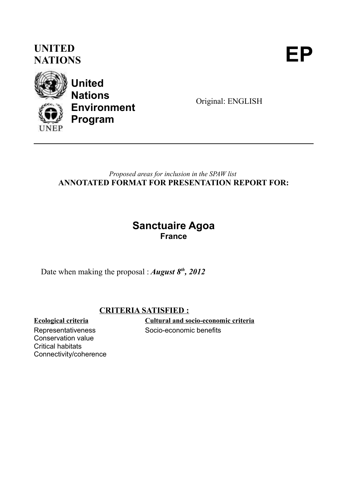## **UNITED** UNITED<br>NATIONS





**United Nations Environment Program**

Original: ENGLISH

#### *Proposed areas for inclusion in the SPAW list* **ANNOTATED FORMAT FOR PRESENTATION REPORT FOR:**

### **Sanctuaire Agoa France**

Date when making the proposal : *August 8th, 2012*

#### **CRITERIA SATISFIED :**

Representativeness Conservation value Critical habitats Connectivity/coherence

**Ecological criteria Cultural and socio-economic criteria** Socio-economic benefits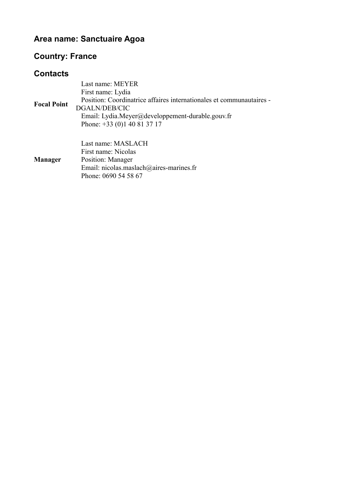### **Area name: Sanctuaire Agoa**

### **Country: France**

#### **Contacts**

| <b>Focal Point</b> | Last name: MEYER<br>First name: Lydia<br>Position: Coordinatrice affaires internationales et communautaires -<br>DGALN/DEB/CIC<br>Email: Lydia.Meyer@developpement-durable.gouv.fr<br>Phone: $+33(0)140813717$ |
|--------------------|----------------------------------------------------------------------------------------------------------------------------------------------------------------------------------------------------------------|
| <b>Manager</b>     | Last name: MASLACH<br>First name: Nicolas<br>Position: Manager<br>Email: nicolas.maslach@aires-marines.fr<br>Phone: 0690 54 58 67                                                                              |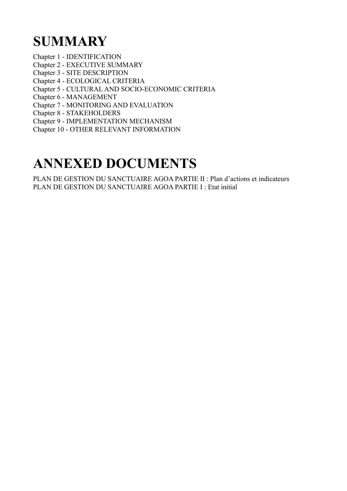# **SUMMARY**

- Chapter 1 IDENTIFICATION
- Chapter 2 EXECUTIVE SUMMARY
- Chapter 3 SITE DESCRIPTION
- Chapter 4 ECOLOGICAL CRITERIA
- Chapter 5 CULTURAL AND SOCIO-ECONOMIC CRITERIA
- Chapter 6 MANAGEMENT
- Chapter 7 MONITORING AND EVALUATION
- Chapter 8 STAKEHOLDERS
- Chapter 9 IMPLEMENTATION MECHANISM
- Chapter 10 OTHER RELEVANT INFORMATION

# **ANNEXED DOCUMENTS**

PLAN DE GESTION DU SANCTUAIRE AGOA PARTIE II : Plan d'actions et indicateurs PLAN DE GESTION DU SANCTUAIRE AGOA PARTIE I : Etat initial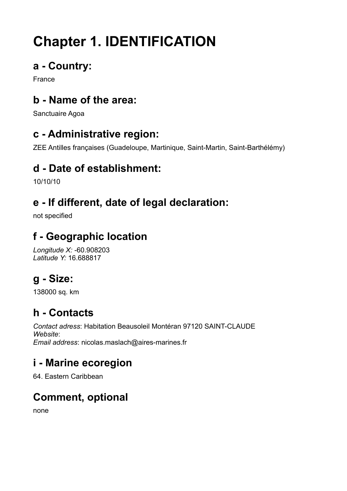# **Chapter 1. IDENTIFICATION**

## **a - Country:**

France

## **b - Name of the area:**

Sanctuaire Agoa

## **c - Administrative region:**

ZEE Antilles françaises (Guadeloupe, Martinique, Saint-Martin, Saint-Barthélémy)

## **d - Date of establishment:**

10/10/10

## **e - If different, date of legal declaration:**

not specified

## **f - Geographic location**

*Longitude X:* -60.908203 *Latitude Y:* 16.688817

## **g - Size:**

138000 sq. km

## **h - Contacts**

*Contact adress*: Habitation Beausoleil Montéran 97120 SAINT-CLAUDE *Website*: *Email address*: nicolas.maslach@aires-marines.fr

## **i - Marine ecoregion**

64. Eastern Caribbean

## **Comment, optional**

none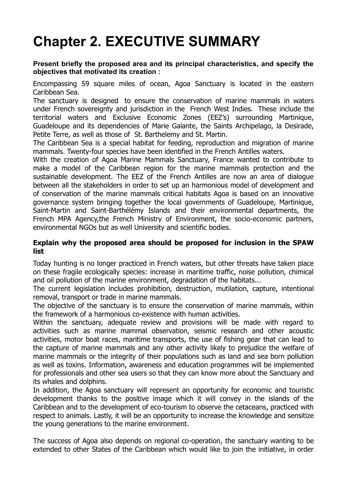# **Chapter 2. EXECUTIVE SUMMARY**

#### **Present briefly the proposed area and its principal characteristics, and specify the objectives that motivated its creation :**

Encompassing 59 square miles of ocean, Agoa Sanctuary is located in the eastern Caribbean Sea.

The sanctuary is designed to ensure the conservation of marine mammals in waters under French sovereignty and jurisdiction in the French West Indies. These include the territorial waters and Exclusive Economic Zones (EEZ's) surrounding Martinique, Guadeloupe and its dependencies of Marie Galante, the Saints Archipelago, la Desirade, Petite Terre, as well as those of St. Barthelemy and St. Martin.

The Caribbean Sea is a special habitat for feeding, reproduction and migration of marine mammals. Twenty-four species have been identified in the French Antilles waters.

With the creation of Agoa Marine Mammals Sanctuary, France wanted to contribute to make a model of the Caribbean region for the marine mammals protection and the sustainable development. The EEZ of the French Antilles are now an area of dialogue between all the stakeholders in order to set up an harmonious model of development and of conservation of the marine mammals critical habitats Agoa is based on an innovative governance system bringing together the local governments of Guadeloupe, Martinique, Saint-Martin and Saint-Barthélémy Islands and their environmental departments, the French MPA Agency,the French Ministry of Environment, the socio-economic partners, environmental NGOs but as well University and scientific bodies.

#### **Explain why the proposed area should be proposed for inclusion in the SPAW list**

Today hunting is no longer practiced in French waters, but other threats have taken place on these fragile ecologically species: increase in maritime traffic, noise pollution, chimical and oil pollution of the marine environment, degradation of the habitats...

The current legislation includes prohibition, destruction, mutilation, capture, intentional removal, transport or trade in marine mammals.

The objective of the sanctuary is to ensure the conservation of marine mammals, within the framework of a harmonious co-existence with human activities.

Within the sanctuary, adequate review and provisions will be made with regard to activities such as marine mammal observation, seismic research and other acoustic activities, motor boat races, maritime transports, the use of fishing gear that can lead to the capture of marine mammals and any other activity likely to prejudice the welfare of marine mammals or the integrity of their populations such as land and sea born pollution as well as toxins. Information, awareness and education programmes will be implemented for professionals and other sea users so that they can know more about the Sanctuary and its whales and dolphins.

In addition, the Agoa sanctuary will represent an opportunity for economic and touristic development thanks to the positive image which it will convey in the islands of the Caribbean and to the development of eco-tourism to observe the cetaceans, practiced with respect to animals. Lastly, it will be an opportunity to increase the knowledge and sensitize the young generations to the marine environment.

The success of Agoa also depends on regional co-operation, the sanctuary wanting to be extended to other States of the Caribbean which would like to join the initiative, in order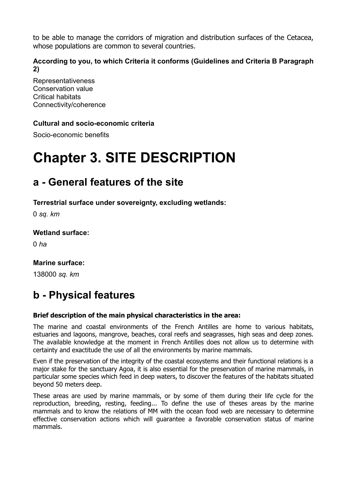to be able to manage the corridors of migration and distribution surfaces of the Cetacea, whose populations are common to several countries.

#### **According to you, to which Criteria it conforms (Guidelines and Criteria B Paragraph 2)**

Representativeness Conservation value Critical habitats Connectivity/coherence

#### **Cultural and socio-economic criteria**

Socio-economic benefits

# **Chapter 3. SITE DESCRIPTION**

### **a - General features of the site**

**Terrestrial surface under sovereignty, excluding wetlands:** 

0 *sq. km*

#### **Wetland surface:**

0 *ha*

#### **Marine surface:**

138000 *sq. km*

## **b - Physical features**

#### **Brief description of the main physical characteristics in the area:**

The marine and coastal environments of the French Antilles are home to various habitats, estuaries and lagoons, mangrove, beaches, coral reefs and seagrasses, high seas and deep zones. The available knowledge at the moment in French Antilles does not allow us to determine with certainty and exactitude the use of all the environments by marine mammals.

Even if the preservation of the integrity of the coastal ecosystems and their functional relations is a major stake for the sanctuary Agoa, it is also essential for the preservation of marine mammals, in particular some species which feed in deep waters, to discover the features of the habitats situated beyond 50 meters deep.

These areas are used by marine mammals, or by some of them during their life cycle for the reproduction, breeding, resting, feeding... To define the use of theses areas by the marine mammals and to know the relations of MM with the ocean food web are necessary to determine effective conservation actions which will guarantee a favorable conservation status of marine mammals.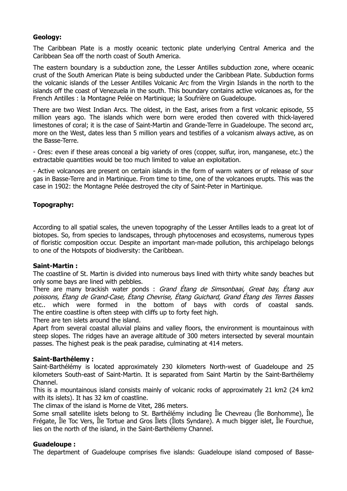#### **Geology:**

The Caribbean Plate is a mostly oceanic tectonic plate underlying Central America and the Caribbean Sea off the north coast of South America.

The eastern boundary is a subduction zone, the Lesser Antilles subduction zone, where oceanic crust of the South American Plate is being subducted under the Caribbean Plate. Subduction forms the volcanic islands of the Lesser Antilles Volcanic Arc from the Virgin Islands in the north to the islands off the coast of Venezuela in the south. This boundary contains active volcanoes as, for the French Antilles : la Montagne Pelée on Martinique; la Soufrière on Guadeloupe.

There are two West Indian Arcs. The oldest, in the East, arises from a first volcanic episode, 55 million years ago. The islands which were born were eroded then covered with thick-layered limestones of coral; it is the case of Saint-Martin and Grande-Terre in Guadeloupe. The second arc, more on the West, dates less than 5 million years and testifies of a volcanism always active, as on the Basse-Terre.

- Ores: even if these areas conceal a big variety of ores (copper, sulfur, iron, manganese, etc.) the extractable quantities would be too much limited to value an exploitation.

- Active volcanoes are present on certain islands in the form of warm waters or of release of sour gas in Basse-Terre and in Martinique. From time to time, one of the volcanoes erupts. This was the case in 1902: the Montagne Pelée destroyed the city of Saint-Peter in Martinique.

#### **Topography:**

According to all spatial scales, the uneven topography of the Lesser Antilles leads to a great lot of biotopes. So, from species to landscapes, through phytocenoses and ecosystems, numerous types of floristic composition occur. Despite an important man-made pollution, this archipelago belongs to one of the Hotspots of biodiversity: the Caribbean.

#### **Saint-Martin :**

The coastline of St. Martin is divided into numerous bays lined with thirty white sandy beaches but only some bays are lined with pebbles.

There are many brackish water ponds : Grand Étang de Simsonbaai, Great bav, Étana aux poissons, Étang de Grand-Case, Étang Chevrise, Étang Guichard, Grand Étang des Terres Basses etc.. which were formed in the bottom of bays with cords of coastal sands. The entire coastline is often steep with cliffs up to forty feet high.

There are ten islets around the island.

Apart from several coastal alluvial plains and valley floors, the environment is mountainous with steep slopes. The ridges have an average altitude of 300 meters intersected by several mountain passes. The highest peak is the peak paradise, culminating at 414 meters.

#### **Saint-Barthélemy :**

Saint-Barthélémy is located approximately 230 kilometers North-west of Guadeloupe and 25 kilometers South-east of Saint-Martin. It is separated from Saint Martin by the Saint-Barthélemy Channel.

This is a mountainous island consists mainly of volcanic rocks of approximately 21 km2 (24 km2 with its islets). It has 32 km of coastline.

The climax of the island is Morne de Vitet, 286 meters.

Some small satellite islets belong to St. Barthélémy including Île Chevreau (Île Bonhomme), Île Frégate, Île Toc Vers, Île Tortue and Gros Îlets (Îlots Syndare). A much bigger islet, Île Fourchue, lies on the north of the island, in the Saint-Barthélemy Channel.

#### **Guadeloupe :**

The department of Guadeloupe comprises five islands: Guadeloupe island composed of Basse-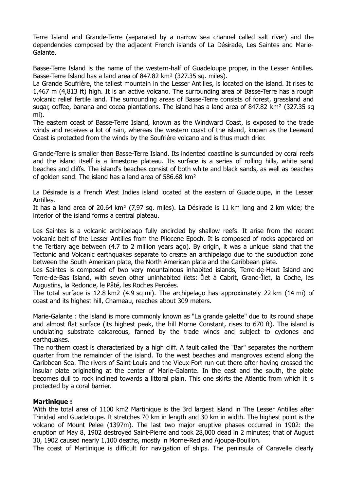Terre Island and Grande-Terre (separated by a narrow sea channel called salt river) and the dependencies composed by the adjacent French islands of La Désirade, Les Saintes and Marie-Galante.

Basse-Terre Island is the name of the western-half of Guadeloupe proper, in the Lesser Antilles. Basse-Terre Island has a land area of 847.82 km² (327.35 sq. miles).

La Grande Soufrière, the tallest mountain in the Lesser Antilles, is located on the island. It rises to 1,467 m (4,813 ft) high. It is an active volcano. The surrounding area of Basse-Terre has a rough volcanic relief fertile land. The surrounding areas of Basse-Terre consists of forest, grassland and sugar, coffee, banana and cocoa plantations. The island has a land area of 847.82 km<sup>2</sup> (327.35 sq mi).

The eastern coast of Basse-Terre Island, known as the Windward Coast, is exposed to the trade winds and receives a lot of rain, whereas the western coast of the island, known as the Leeward Coast is protected from the winds by the Soufrière volcano and is thus much drier.

Grande-Terre is smaller than Basse-Terre Island. Its indented coastline is surrounded by coral reefs and the island itself is a limestone plateau. Its surface is a series of rolling hills, white sand beaches and cliffs. The island's beaches consist of both white and black sands, as well as beaches of golden sand. The island has a land area of 586.68 km²

La Désirade is a French West Indies island located at the eastern of Guadeloupe, in the Lesser Antilles.

It has a land area of 20.64 km² (7,97 sq. miles). La Désirade is 11 km long and 2 km wide; the interior of the island forms a central plateau.

Les Saintes is a volcanic archipelago fully encircled by shallow reefs. It arise from the recent volcanic belt of the Lesser Antilles from the Pliocene Epoch. It is composed of rocks appeared on the Tertiary age between (4.7 to 2 million years ago). By origin, it was a unique island that the Tectonic and Volcanic earthquakes separate to create an archipelago due to the subduction zone between the South American plate, the North American plate and the Caribbean plate.

Les Saintes is composed of two very mountainous inhabited islands, Terre-de-Haut Island and Terre-de-Bas Island, with seven other uninhabited îlets: Îlet à Cabrit, Grand-Îlet, la Coche, les Augustins, la Redonde, le Pâté, les Roches Percées.

The total surface is 12.8 km2 (4.9 sq mi). The archipelago has approximately 22 km (14 mi) of coast and its highest hill, Chameau, reaches about 309 meters.

Marie-Galante : the island is more commonly known as "La grande galette" due to its round shape and almost flat surface (its highest peak, the hill Morne Constant, rises to 670 ft). The island is undulating substrate calcareous, fanned by the trade winds and subject to cyclones and earthquakes.

The northern coast is characterized by a high cliff. A fault called the "Bar" separates the northern quarter from the remainder of the island. To the west beaches and mangroves extend along the Caribbean Sea. The rivers of Saint-Louis and the Vieux-Fort run out there after having crossed the insular plate originating at the center of Marie-Galante. In the east and the south, the plate becomes dull to rock inclined towards a littoral plain. This one skirts the Atlantic from which it is protected by a coral barrier.

#### **Martinique :**

With the total area of 1100 km2 Martinique is the 3rd largest island in The Lesser Antilles after Trinidad and Guadeloupe. It stretches 70 km in length and 30 km in width. The highest point is the volcano of Mount Pelee (1397m). The last two major eruptive phases occurred in 1902: the eruption of May 8, 1902 destroyed Saint-Pierre and took 28,000 dead in 2 minutes; that of August 30, 1902 caused nearly 1,100 deaths, mostly in Morne-Red and Ajoupa-Bouillon.

The coast of Martinique is difficult for navigation of ships. The peninsula of Caravelle clearly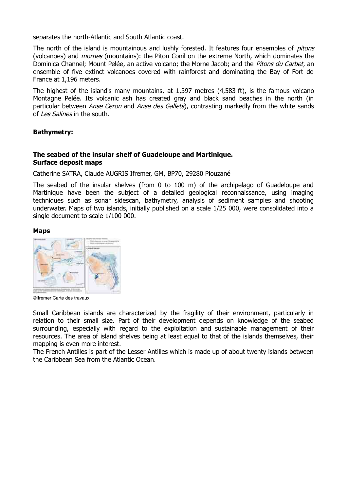separates the north-Atlantic and South Atlantic coast.

The north of the island is mountainous and lushly forested. It features four ensembles of *pitons* (volcanoes) and mornes (mountains): the Piton Conil on the extreme North, which dominates the Dominica Channel; Mount Pelée, an active volcano; the Morne Jacob; and the Pitons du Carbet, an ensemble of five extinct volcanoes covered with rainforest and dominating the Bay of Fort de France at 1,196 meters.

The highest of the island's many mountains, at 1,397 metres (4,583 ft), is the famous volcano Montagne Pelée. Its volcanic ash has created gray and black sand beaches in the north (in particular between *Anse Ceron* and *Anse des Gallets*), contrasting markedly from the white sands of Les Salines in the south.

#### **Bathymetry:**

#### **The seabed of the insular shelf of Guadeloupe and Martinique. Surface deposit maps**

Catherine SATRA, Claude AUGRIS Ifremer, GM, BP70, 29280 Plouzané

The seabed of the insular shelves (from 0 to 100 m) of the archipelago of Guadeloupe and Martinique have been the subject of a detailed geological reconnaissance, using imaging techniques such as sonar sidescan, bathymetry, analysis of sediment samples and shooting underwater. Maps of two islands, initially published on a scale 1/25 000, were consolidated into a single document to scale 1/100 000.

#### **Maps**



©Ifremer Carte des travaux

Small Caribbean islands are characterized by the fragility of their environment, particularly in relation to their small size. Part of their development depends on knowledge of the seabed surrounding, especially with regard to the exploitation and sustainable management of their resources. The area of island shelves being at least equal to that of the islands themselves, their mapping is even more interest.

The French Antilles is part of the Lesser Antilles which is made up of about twenty islands between the Caribbean Sea from the Atlantic Ocean.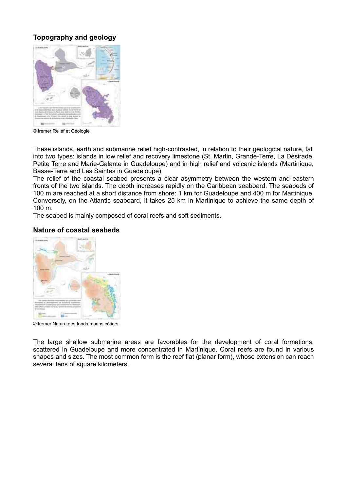#### **Topography and geology**



©Ifremer Relief et Géologie

These islands, earth and submarine relief high-contrasted, in relation to their geological nature, fall into two types: islands in low relief and recovery limestone (St. Martin, Grande-Terre, La Désirade, Petite Terre and Marie-Galante in Guadeloupe) and in high relief and volcanic islands (Martinique, Basse-Terre and Les Saintes in Guadeloupe).

The relief of the coastal seabed presents a clear asymmetry between the western and eastern fronts of the two islands. The depth increases rapidly on the Caribbean seaboard. The seabeds of 100 m are reached at a short distance from shore: 1 km for Guadeloupe and 400 m for Martinique. Conversely, on the Atlantic seaboard, it takes 25 km in Martinique to achieve the same depth of 100 m.

The seabed is mainly composed of coral reefs and soft sediments.

#### **Nature of coastal seabeds**



©Ifremer Nature des fonds marins côtiers

The large shallow submarine areas are favorables for the development of coral formations, scattered in Guadeloupe and more concentrated in Martinique. Coral reefs are found in various shapes and sizes. The most common form is the reef flat (planar form), whose extension can reach several tens of square kilometers.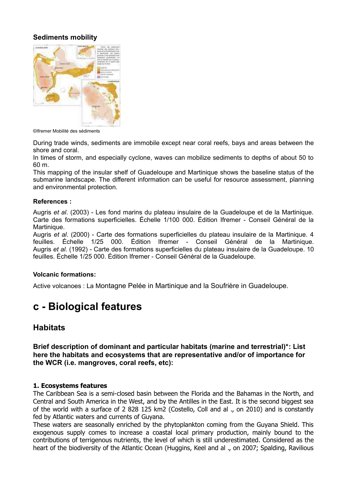#### **Sediments mobility**



©Ifremer Mobilité des sédiments

During trade winds, sediments are immobile except near coral reefs, bays and areas between the shore and coral.

In times of storm, and especially cyclone, waves can mobilize sediments to depths of about 50 to 60 m.

This mapping of the insular shelf of Guadeloupe and Martinique shows the baseline status of the submarine landscape. The different information can be useful for resource assessment, planning and environmental protection.

#### **References :**

Augris *et al*. (2003) - Les fond marins du plateau insulaire de la Guadeloupe et de la Martinique. Carte des formations superficielles. Échelle 1/100 000. Édition Ifremer - Conseil Général de la Martinique.

Augris *et al*. (2000) - Carte des formations superficielles du plateau insulaire de la Martinique. 4 feuilles. Échelle 1/25 000. Édition Ifremer - Conseil Général de la Martinique. Augris *et al*. (1992) - Carte des formations superficielles du plateau insulaire de la Guadeloupe. 10 feuilles. Échelle 1/25 000. Édition Ifremer - Conseil Général de la Guadeloupe.

#### **Volcanic formations:**

Active volcanoes : La Montagne Pelée in Martinique and la Soufrière in Guadeloupe.

### **c - Biological features**

#### **Habitats**

**Brief description of dominant and particular habitats (marine and terrestrial)\*: List here the habitats and ecosystems that are representative and/or of importance for the WCR (i.e. mangroves, coral reefs, etc):** 

#### **1. Ecosystems features**

The Caribbean Sea is a semi-closed basin between the Florida and the Bahamas in the North, and Central and South America in the West, and by the Antilles in the East. It is the second biggest sea of the world with a surface of 2 828 125 km2 (Costello, Coll and al ., on 2010) and is constantly fed by Atlantic waters and currents of Guyana.

These waters are seasonally enriched by the phytoplankton coming from the Guyana Shield. This exogenous supply comes to increase a coastal local primary production, mainly bound to the contributions of terrigenous nutrients, the level of which is still underestimated. Considered as the heart of the biodiversity of the Atlantic Ocean (Huggins, Keel and al ., on 2007; Spalding, Ravilious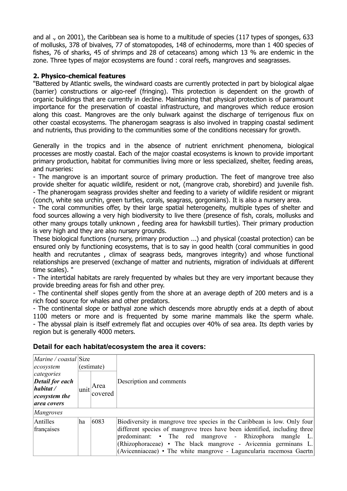and al ., on 2001), the Caribbean sea is home to a multitude of species (117 types of sponges, 633 of mollusks, 378 of bivalves, 77 of stomatopodes, 148 of echinoderms, more than 1 400 species of fishes, 76 of sharks, 45 of shrimps and 28 of cetaceans) among which 13 % are endemic in the zone. Three types of major ecosystems are found : coral reefs, mangroves and seagrasses.

#### **2. Physico-chemical features**

"Battered by Atlantic swells, the windward coasts are currently protected in part by biological algae (barrier) constructions or algo-reef (fringing). This protection is dependent on the growth of organic buildings that are currently in decline. Maintaining that physical protection is of paramount importance for the preservation of coastal infrastructure, and mangroves which reduce erosion along this coast. Mangroves are the only bulwark against the discharge of terrigenous flux on other coastal ecosystems. The phanerogam seagrass is also involved in trapping coastal sediment and nutrients, thus providing to the communities some of the conditions necessary for growth.

Generally in the tropics and in the absence of nutrient enrichment phenomena, biological processes are mostly coastal. Each of the major coastal ecosystems is known to provide important primary production, habitat for communities living more or less specialized, shelter, feeding areas, and nurseries:

- The mangrove is an important source of primary production. The feet of mangrove tree also provide shelter for aquatic wildlife, resident or not, (mangrove crab, shorebird) and juvenile fish. - The phanerogam seagrass provides shelter and feeding to a variety of wildlife resident or migrant (conch, white sea urchin, green turtles, corals, seagrass, gorgonians). It is also a nursery area.

- The coral communities offer, by their large spatial heterogeneity, multiple types of shelter and food sources allowing a very high biodiversity to live there (presence of fish, corals, mollusks and other many groups totally unknown , feeding area for hawksbill turtles). Their primary production is very high and they are also nursery grounds.

These biological functions (nursery, primary production ...) and physical (coastal protection) can be ensured only by functioning ecosystems, that is to say in good health (coral communities in good health and recrutantes , climax of seagrass beds, mangroves integrity) and whose functional relationships are preserved (exchange of matter and nutrients, migration of individuals at different time scales). "

- The intertidal habitats are rarely frequented by whales but they are very important because they provide breeding areas for fish and other prey.

- The continental shelf slopes gently from the shore at an average depth of 200 meters and is a rich food source for whales and other predators.

- The continental slope or bathyal zone which descends more abruptly ends at a depth of about 1100 meters or more and is frequented by some marine mammals like the sperm whale. - The abyssal plain is itself extremely flat and occupies over 40% of sea area. Its depth varies by region but is generally 4000 meters.

#### **Detail for each habitat/ecosystem the area it covers:**

| $\left  Marine / coastal \right  Size$<br> ecosystem                                                |    | (estimate)               |                                                                                                                                                                                                                                                                                                                                                             |  |
|-----------------------------------------------------------------------------------------------------|----|--------------------------|-------------------------------------------------------------------------------------------------------------------------------------------------------------------------------------------------------------------------------------------------------------------------------------------------------------------------------------------------------------|--|
| categories<br><b>Detail for each</b><br>$\vert$ <i>habitat</i> /<br>$ ecosystem$ the<br>area covers |    | $ unit $ Area<br>covered | Description and comments                                                                                                                                                                                                                                                                                                                                    |  |
| <i>Mangroves</i>                                                                                    |    |                          |                                                                                                                                                                                                                                                                                                                                                             |  |
| Antilles<br>françaises                                                                              | ha | 6083                     | Biodiversity in mangrove tree species in the Caribbean is low. Only four<br>different species of mangrove trees have been identified, including three<br>predominant: • The red mangrove - Rhizophora<br>mangle L.<br>(Rhizophoraceae) • The black mangrove - Avicennia germinans L.<br>(Avicenniaceae) • The white mangrove - Laguncularia racemosa Gaertn |  |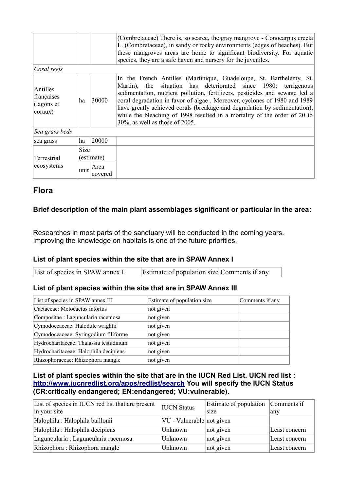|                                                                 |             |                 | (Combretaceae) There is, so scarce, the gray mangrove - Conocarpus erecta<br>L. (Combretaceae), in sandy or rocky environments (edges of beaches). But<br>these mangroves areas are home to significant biodiversity. For aquatic<br>species, they are a safe haven and nursery for the juveniles.                                                                                                                                                                                                |
|-----------------------------------------------------------------|-------------|-----------------|---------------------------------------------------------------------------------------------------------------------------------------------------------------------------------------------------------------------------------------------------------------------------------------------------------------------------------------------------------------------------------------------------------------------------------------------------------------------------------------------------|
| Coral reefs                                                     |             |                 |                                                                                                                                                                                                                                                                                                                                                                                                                                                                                                   |
| Antilles<br>françaises<br>$\int$ (lagons et<br>$ coraux\rangle$ | 30000<br>ha |                 | In the French Antilles (Martinique, Guadeloupe, St. Barthelemy, St.<br>Martin), the situation has deteriorated since 1980: terrigenous<br>sedimentation, nutrient pollution, fertilizers, pesticides and sewage led a<br>coral degradation in favor of algae. Moreover, cyclones of 1980 and 1989<br>have greatly achieved corals (breakage and degradation by sedimentation),<br>while the bleaching of 1998 resulted in a mortality of the order of 20 to<br>$30\%$ , as well as those of 2005. |
| Sea grass beds                                                  |             |                 |                                                                                                                                                                                                                                                                                                                                                                                                                                                                                                   |
| sea grass                                                       | ha          | 20000           |                                                                                                                                                                                                                                                                                                                                                                                                                                                                                                   |
| <b>Terrestrial</b><br>ecosystems                                | <b>Size</b> | (estimate)      |                                                                                                                                                                                                                                                                                                                                                                                                                                                                                                   |
|                                                                 | unit        | Area<br>covered |                                                                                                                                                                                                                                                                                                                                                                                                                                                                                                   |

#### **Flora**

#### **Brief description of the main plant assemblages significant or particular in the area:**

Researches in most parts of the sanctuary will be conducted in the coming years. Improving the knowledge on habitats is one of the future priorities.

#### **List of plant species within the site that are in SPAW Annex I**

| List of species in SPAW annex I | Estimate of population size Comments if any |  |
|---------------------------------|---------------------------------------------|--|
|                                 |                                             |  |

#### **List of plant species within the site that are in SPAW Annex III**

| List of species in SPAW annex III      | Estimate of population size | Comments if any |
|----------------------------------------|-----------------------------|-----------------|
| Cactaceae: Melocactus intortus         | not given                   |                 |
| Compositae : Laguncularia racemosa     | not given                   |                 |
| Cymodoceaceae: Halodule wrightii       | not given                   |                 |
| Cymodoceaceae: Syringodium filiforme   | not given                   |                 |
| Hydrocharitaceae: Thalassia testudinum | not given                   |                 |
| Hydrocharitaceae: Halophila decipiens  | not given                   |                 |
| Rhizophoraceae: Rhizophora mangle      | not given                   |                 |

#### **List of plant species within the site that are in the IUCN Red List. UICN red list : <http://www.iucnredlist.org/apps/redlist/search>You will specify the IUCN Status (CR:critically endangered; EN:endangered; VU:vulnerable).**

| List of species in IUCN red list that are present<br>in your site | <b>IUCN</b> Status        | Estimate of population<br>size | Comments if<br>any |
|-------------------------------------------------------------------|---------------------------|--------------------------------|--------------------|
| Halophila : Halophila baillonii                                   | VU - Vulnerable not given |                                |                    |
| Halophila : Halophila decipiens                                   | Unknown                   | not given                      | Least concern      |
| Laguncularia : Laguncularia racemosa                              | Unknown                   | not given                      | Least concern      |
| Rhizophora: Rhizophora mangle                                     | Unknown                   | not given                      | Least concern      |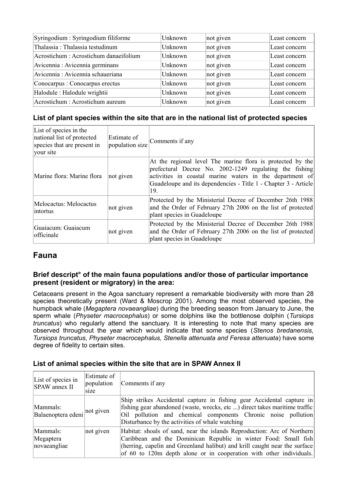| Syringodium : Syringodium filiforme    | Unknown | not given | Least concern |
|----------------------------------------|---------|-----------|---------------|
| Thalassia: Thalassia testudinum        | Unknown | not given | Least concern |
| Acrostichum : Acrostichum danaeifolium | Unknown | not given | Least concern |
| Avicennia: Avicennia germinans         | Unknown | not given | Least concern |
| Avicennia: Avicennia schaueriana       | Unknown | not given | Least concern |
| Conocarpus : Conocarpus erectus        | Unknown | not given | Least concern |
| Halodule : Halodule wrightii           | Unknown | not given | Least concern |
| Acrostichum : Acrostichum aureum       | Unknown | not given | Least concern |

#### **List of plant species within the site that are in the national list of protected species**

| List of species in the<br>national list of protected<br>species that are present in<br>vour site | Estimate of<br>population size | Comments if any                                                                                                                                                                                                                                             |
|--------------------------------------------------------------------------------------------------|--------------------------------|-------------------------------------------------------------------------------------------------------------------------------------------------------------------------------------------------------------------------------------------------------------|
| Marine flora: Marine flora                                                                       | not given                      | At the regional level The marine flora is protected by the<br>prefectural Decree No. 2002-1249 regulating the fishing<br>activities in coastal marine waters in the department of<br>Guadeloupe and its dependencies - Title 1 - Chapter 3 - Article<br>19. |
| Melocactus: Melocactus<br>lintortus                                                              | not given                      | Protected by the Ministerial Decree of December 26th 1988<br>and the Order of February 27th 2006 on the list of protected<br>plant species in Guadeloupe                                                                                                    |
| Guaiacum: Guaiacum<br>officinale                                                                 | not given                      | Protected by the Ministerial Decree of December 26th 1988<br>and the Order of February 27th 2006 on the list of protected<br>plant species in Guadeloupe                                                                                                    |

### **Fauna**

#### **Brief descript° of the main fauna populations and/or those of particular importance present (resident or migratory) in the area:**

Cetaceans present in the Agoa sanctuary represent a remarkable biodiversity with more than 28 species theoretically present (Ward & Moscrop 2001). Among the most observed species, the humpback whale (*Megaptera novaeangliae*) during the breeding season from January to June, the sperm whale (*Physeter macrocephalus*) or some dolphins like the bottlenose dolphin (*Tursiops truncatus*) who regularly attend the sanctuary. It is interesting to note that many species are observed throughout the year which would indicate that some species (*Stenos bredanensis, Tursiops truncatus, Physeter macrocephalus, Stenella attenuata and Feresa attenuata*) have some degree of fidelity to certain sites.

| List of species in<br><b>SPAW</b> annex II | Estimate of<br>population<br>size | Comments if any                                                                                                                                                                                                                                                                                 |
|--------------------------------------------|-----------------------------------|-------------------------------------------------------------------------------------------------------------------------------------------------------------------------------------------------------------------------------------------------------------------------------------------------|
| Mammals:<br>Balaenoptera edeni not given   |                                   | Ship strikes Accidental capture in fishing gear Accidental capture in<br>fishing gear abandoned (waste, wrecks, etc ) direct takes maritime traffic<br>Oil pollution and chemical components Chronic noise pollution<br>Disturbance by the activities of whale watching                         |
| Mammals:<br>Megaptera<br>novaeangliae      | not given                         | Habitat: shoals of sand, near the islands Reproduction: Arc of Northern<br>Caribbean and the Dominican Republic in winter Food: Small fish<br>(herring, capelin and Greenland halibut) and krill caught near the surface<br>of 60 to 120m depth alone or in cooperation with other individuals. |

#### **List of animal species within the site that are in SPAW Annex II**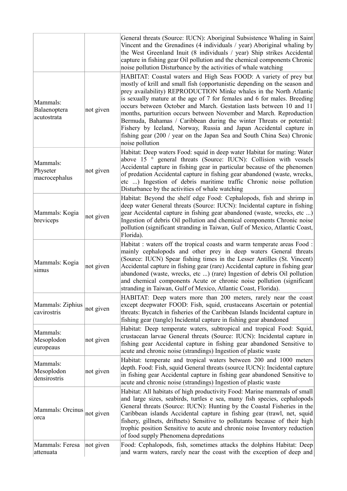|                                         |           | General threats (Source: IUCN): Aboriginal Subsistence Whaling in Saint<br>Vincent and the Grenadines (4 individuals / year) Aboriginal whaling by<br>the West Greenland Inuit (8 individuals / year) Ship strikes Accidental<br>capture in fishing gear Oil pollution and the chemical components Chronic<br>noise pollution Disturbance by the activities of whale watching                                                                                                                                                                                                                                                                                                             |
|-----------------------------------------|-----------|-------------------------------------------------------------------------------------------------------------------------------------------------------------------------------------------------------------------------------------------------------------------------------------------------------------------------------------------------------------------------------------------------------------------------------------------------------------------------------------------------------------------------------------------------------------------------------------------------------------------------------------------------------------------------------------------|
| Mammals:<br>Balaenoptera<br>acutostrata | not given | HABITAT: Coastal waters and High Seas FOOD: A variety of prey but<br>mostly of krill and small fish (opportunistic depending on the season and<br>prey availability) REPRODUCTION Minke whales in the North Atlantic<br>is sexually mature at the age of 7 for females and 6 for males. Breeding<br>occurs between October and March. Gestation lasts between 10 and 11<br>months, parturition occurs between November and March. Reproduction<br>Bermuda, Bahamas / Caribbean during the winter Threats or potential:<br>Fishery by Iceland, Norway, Russia and Japan Accidental capture in<br>fishing gear (200 / year on the Japan Sea and South China Sea) Chronic<br>noise pollution |
| Mammals:<br>Physeter<br>macrocephalus   | not given | Habitat: Deep waters Food: squid in deep water Habitat for mating: Water<br>above 15 ° general threats (Source: IUCN): Collision with vessels<br>Accidental capture in fishing gear in particular because of the phenomen<br>of predation Accidental capture in fishing gear abandoned (waste, wrecks,<br>etc ) Ingestion of debris maritime traffic Chronic noise pollution<br>Disturbance by the activities of whale watching                                                                                                                                                                                                                                                           |
| Mammals: Kogia<br>breviceps             | not given | Habitat: Beyond the shelf edge Food: Cephalopods, fish and shrimp in<br>deep water General threats (Source: IUCN): Incidental capture in fishing<br>gear Accidental capture in fishing gear abandoned (waste, wrecks, etc )<br>Ingestion of debris Oil pollution and chemical components Chronic noise<br>pollution (significant stranding in Taiwan, Gulf of Mexico, Atlantic Coast,<br>Florida).                                                                                                                                                                                                                                                                                        |
| Mammals: Kogia<br>simus                 | not given | Habitat : waters off the tropical coasts and warm temperate areas Food :<br>mainly cephalopods and other prey in deep waters General threats<br>(Source: IUCN) Spear fishing times in the Lesser Antilles (St. Vincent)<br>Accidental capture in fishing gear (rare) Accidental capture in fishing gear<br>abandoned (waste, wrecks, etc ) (rare) Ingestion of debris Oil pollution<br>and chemical components Acute or chronic noise pollution (significant<br>stranding in Taiwan, Gulf of Mexico, Atlantic Coast, Florida).                                                                                                                                                            |
| Mammals: Ziphius<br>cavirostris         | not given | HABITAT: Deep waters more than 200 meters, rarely near the coast<br>except deepwater FOOD: Fish, squid, crustaceans Ascertain or potential<br>threats: Bycatch in fisheries of the Caribbean Islands Incidental capture in<br>fishing gear (tangle) Incidental capture in fishing gear abandoned                                                                                                                                                                                                                                                                                                                                                                                          |
| Mammals:<br>Mesoplodon<br>europeaus     | not given | Habitat: Deep temperate waters, subtropical and tropical Food: Squid,<br>crustacean larvae General threats (Source: IUCN): Incidental capture in<br>fishing gear Accidental capture in fishing gear abandoned Sensitive to<br>acute and chronic noise (strandings) Ingestion of plastic waste                                                                                                                                                                                                                                                                                                                                                                                             |
| Mammals:<br>Mesoplodon<br>densirostris  | not given | Habitat: temperate and tropical waters between 200 and 1000 meters<br>depth. Food: Fish, squid General threats (source IUCN): Incidental capture<br>in fishing gear Accidental capture in fishing gear abandoned Sensitive to<br>acute and chronic noise (strandings) Ingestion of plastic waste                                                                                                                                                                                                                                                                                                                                                                                          |
| Mammals: Orcinus<br>orca                | not given | Habitat: All habitats of high productivity Food: Marine mammals of small<br>and large sizes, seabirds, turtles e sea, many fish species, cephalopods<br>General threats (Source: IUCN): Hunting by the Coastal Fisheries in the<br>Caribbean islands Accidental capture in fishing gear (trawl, net, squid<br>fishery, gillnets, driftnets) Sensitive to pollutants because of their high<br>trophic position Sensitive to acute and chronic noise Inventory reduction<br>of food supply Phenomena depredations                                                                                                                                                                           |
| Mammals: Feresa<br>attenuata            | not given | Food: Cephalopods, fish, sometimes attacks the dolphins Habitat: Deep<br>and warm waters, rarely near the coast with the exception of deep and                                                                                                                                                                                                                                                                                                                                                                                                                                                                                                                                            |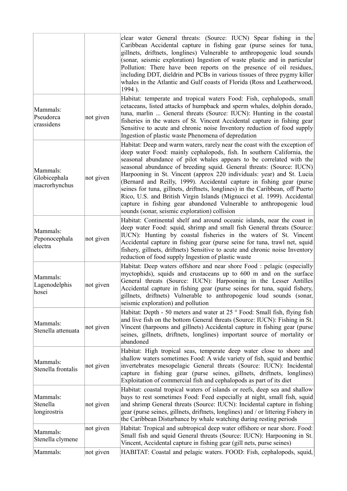| Mammals:<br>Pseudorca<br>crassidens       | not given              | clear water General threats: (Source: IUCN) Spear fishing in the<br>Caribbean Accidental capture in fishing gear (purse seines for tuna,<br>gillnets, driftnets, longlines) Vulnerable to anthropogenic loud sounds<br>(sonar, seismic exploration) Ingestion of waste plastic and in particular<br>Pollution: There have been reports on the presence of oil residues,<br>including DDT, dieldrin and PCBs in various tissues of three pygmy killer<br>whales in the Atlantic and Gulf coasts of Florida (Ross and Leatherwood,<br>1994).<br>Habitat: temperate and tropical waters Food: Fish, cephalopods, small<br>cetaceans, listed attacks of humpback and sperm whales, dolphin dorado,<br>tuna, marlin  General threats (Source: IUCN): Hunting in the coastal<br>fisheries in the waters of St. Vincent Accidental capture in fishing gear<br>Sensitive to acute and chronic noise Inventory reduction of food supply |
|-------------------------------------------|------------------------|--------------------------------------------------------------------------------------------------------------------------------------------------------------------------------------------------------------------------------------------------------------------------------------------------------------------------------------------------------------------------------------------------------------------------------------------------------------------------------------------------------------------------------------------------------------------------------------------------------------------------------------------------------------------------------------------------------------------------------------------------------------------------------------------------------------------------------------------------------------------------------------------------------------------------------|
| Mammals:<br>Globicephala<br>macrorhynchus | not given              | Ingestion of plastic waste Phenomena of depredation<br>Habitat: Deep and warm waters, rarely near the coast with the exception of<br>deep water Food: mainly cephalopods, fish. In southern California, the<br>seasonal abundance of pilot whales appears to be correlated with the<br>seasonal abundance of breeding squid. General threats: (Source: IUCN)<br>Harpooning in St. Vincent (approx 220 individuals: year) and St. Lucia<br>(Bernard and Reilly, 1999). Accidental capture in fishing gear (purse<br>seines for tuna, gillnets, driftnets, longlines) in the Caribbean, off Puerto<br>Rico, U.S. and British Virgin Islands (Mignucci et al. 1999). Accidental<br>capture in fishing gear abandoned Vulnerable to anthropogenic loud<br>sounds (sonar, seismic exploration) collision                                                                                                                            |
| Mammals:<br>Peponocephala<br>electra      | not given              | Habitat: Continental shelf and around oceanic islands, near the coast in<br>deep water Food: squid, shrimp and small fish General threats (Source:<br>IUCN): Hunting by coastal fisheries in the waters of St. Vincent<br>Accidental capture in fishing gear (purse seine for tuna, trawl net, squid<br>fishery, gillnets, driftnets) Sensitive to acute and chronic noise Inventory<br>reduction of food supply Ingestion of plastic waste                                                                                                                                                                                                                                                                                                                                                                                                                                                                                    |
| Mammals:<br>Lagenodelphis<br>hosei        | not given              | Habitat: Deep waters offshore and near shore Food : pelagic (especially<br>myctophids), squids and crustaceans up to 600 m and on the surface<br>General threats (Source: IUCN): Harpooning in the Lesser Antilles<br>Accidental capture in fishing gear (purse seines for tuna, squid fishery,<br>gillnets, driftnets) Vulnerable to anthropogenic loud sounds (sonar,<br>seismic exploration) and pollution                                                                                                                                                                                                                                                                                                                                                                                                                                                                                                                  |
| Mammals:<br>Stenella attenuata            | not given              | Habitat: Depth - 50 meters and water at 25 ° Food: Small fish, flying fish<br>and live fish on the bottom General threats (Source: IUCN): Fishing in St.<br>Vincent (harpoons and gillnets) Accidental capture in fishing gear (purse<br>seines, gillnets, driftnets, longlines) important source of mortality or<br>abandoned                                                                                                                                                                                                                                                                                                                                                                                                                                                                                                                                                                                                 |
| Mammals:<br>Stenella frontalis            | not given              | Habitat: High tropical seas, temperate deep water close to shore and<br>shallow waters sometimes Food: A wide variety of fish, squid and benthic<br>invertebrates mesopelagic General threats (Source: IUCN): Incidental<br>capture in fishing gear (purse seines, gillnets, driftnets, longlines)<br>Exploitation of commercial fish and cephalopods as part of its diet                                                                                                                                                                                                                                                                                                                                                                                                                                                                                                                                                      |
| Mammals:<br>Stenella<br>longirostris      | not given              | Habitat: coastal tropical waters of islands or reefs, deep sea and shallow<br>bays to rest sometimes Food: Feed especially at night, small fish, squid<br>and shrimp General threats (Source: IUCN): Incidental capture in fishing<br>gear (purse seines, gillnets, driftnets, longlines) and / or littering Fishery in<br>the Caribbean Disturbance by whale watching during resting periods                                                                                                                                                                                                                                                                                                                                                                                                                                                                                                                                  |
| Mammals:<br>Stenella clymene<br>Mammals:  | not given<br>not given | Habitat: Tropical and subtropical deep water offshore or near shore. Food:<br>Small fish and squid General threats (Source: IUCN): Harpooning in St.<br>Vincent, Accidental capture in fishing gear (gill nets, purse seines)<br>HABITAT: Coastal and pelagic waters. FOOD: Fish, cephalopods, squid,                                                                                                                                                                                                                                                                                                                                                                                                                                                                                                                                                                                                                          |
|                                           |                        |                                                                                                                                                                                                                                                                                                                                                                                                                                                                                                                                                                                                                                                                                                                                                                                                                                                                                                                                |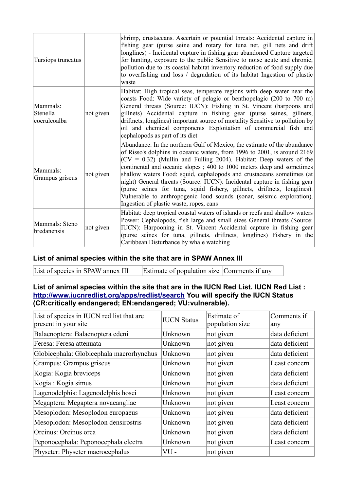| Tursiops truncatus                   |           | shrimp, crustaceans. Ascertain or potential threats: Accidental capture in<br>fishing gear (purse seine and rotary for tuna net, gill nets and drift)<br>longlines) - Incidental capture in fishing gear abandoned Capture targeted<br>for hunting, exposure to the public Sensitive to noise acute and chronic,<br>pollution due to its coastal habitat inventory reduction of food supply due<br>to overfishing and loss / degradation of its habitat Ingestion of plastic<br>waste                                                                                                                                                                      |
|--------------------------------------|-----------|------------------------------------------------------------------------------------------------------------------------------------------------------------------------------------------------------------------------------------------------------------------------------------------------------------------------------------------------------------------------------------------------------------------------------------------------------------------------------------------------------------------------------------------------------------------------------------------------------------------------------------------------------------|
| Mammals:<br>Stenella<br>coeruleoalba | not given | Habitat: High tropical seas, temperate regions with deep water near the<br>coasts Food: Wide variety of pelagic or benthopelagic (200 to 700 m)<br>General threats (Source: IUCN): Fishing in St. Vincent (harpoons and<br>gillnets) Accidental capture in fishing gear (purse seines, gillnets,<br>driftnets, longlines) important source of mortality Sensitive to pollution by<br>oil and chemical components Exploitation of commercial fish and<br>cephalopods as part of its diet                                                                                                                                                                    |
| Mammals:<br>Grampus griseus          | not given | Abundance: In the northern Gulf of Mexico, the estimate of the abundance<br>of Risso's dolphins in oceanic waters, from 1996 to 2001, is around 2169<br>$(CV = 0.32)$ (Mullin and Fulling 2004). Habitat: Deep waters of the<br>continental and oceanic slopes; 400 to 1000 meters deep and sometimes<br>shallow waters Food: squid, cephalopods and crustaceans sometimes (at<br>night) General threats (Source: IUCN): Incidental capture in fishing gear<br>(purse seines for tuna, squid fishery, gillnets, driftnets, longlines).<br>Vulnerable to anthropogenic loud sounds (sonar, seismic exploration).<br>Ingestion of plastic waste, ropes, cans |
| Mammals: Steno<br>bredanensis        | not given | Habitat: deep tropical coastal waters of islands or reefs and shallow waters<br>Power: Cephalopods, fish large and small sizes General threats (Source:<br>IUCN): Harpooning in St. Vincent Accidental capture in fishing gear<br>(purse seines for tuna, gillnets, driftnets, longlines) Fishery in the<br>Caribbean Disturbance by whale watching                                                                                                                                                                                                                                                                                                        |

#### **List of animal species within the site that are in SPAW Annex III**

List of species in SPAW annex III Estimate of population size Comments if any

#### **List of animal species within the site that are in the IUCN Red List. IUCN Red List : <http://www.iucnredlist.org/apps/redlist/search>You will specify the IUCN Status (CR:critically endangered; EN:endangered; VU:vulnerable).**

| List of species in IUCN red list that are<br>present in your site | <b>IUCN Status</b> | Estimate of<br>population size | Comments if<br>any |
|-------------------------------------------------------------------|--------------------|--------------------------------|--------------------|
| Balaenoptera: Balaenoptera edeni                                  | Unknown            | not given                      | data deficient     |
| Feresa: Feresa attenuata                                          | Unknown            | not given                      | data deficient     |
| Globicephala: Globicephala macrorhynchus                          | Unknown            | not given                      | data deficient     |
| Grampus: Grampus griseus                                          | Unknown            | not given                      | Least concern      |
| Kogia: Kogia breviceps                                            | Unknown            | not given                      | data deficient     |
| Kogia : Kogia simus                                               | Unknown            | not given                      | data deficient     |
| Lagenodelphis: Lagenodelphis hosei                                | Unknown            | not given                      | Least concern      |
| Megaptera: Megaptera novaeangliae                                 | Unknown            | not given                      | Least concern      |
| Mesoplodon: Mesoplodon europaeus                                  | Unknown            | not given                      | data deficient     |
| Mesoplodon: Mesoplodon densirostris                               | Unknown            | not given                      | data deficient     |
| Orcinus: Orcinus orca                                             | Unknown            | not given                      | data deficient     |
| Peponocephala: Peponocephala electra                              | Unknown            | not given                      | Least concern      |
| Physeter: Physeter macrocephalus                                  | $VU$ -             | not given                      |                    |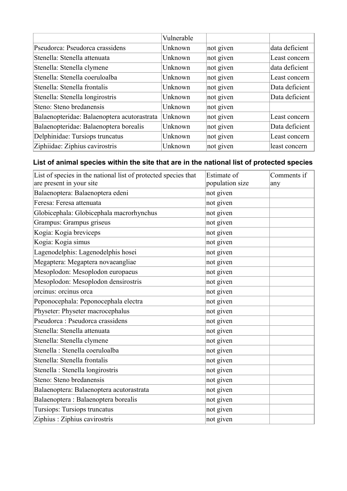|                                             | Vulnerable |           |                |
|---------------------------------------------|------------|-----------|----------------|
| Pseudorca: Pseudorca crassidens             | Unknown    | not given | data deficient |
| Stenella: Stenella attenuata                | Unknown    | not given | Least concern  |
| Stenella: Stenella clymene                  | Unknown    | not given | data deficient |
| Stenella: Stenella coeruloalba              | Unknown    | not given | Least concern  |
| Stenella: Stenella frontalis                | Unknown    | not given | Data deficient |
| Stenella: Stenella longirostris             | Unknown    | not given | Data deficient |
| Steno: Steno bredanensis                    | Unknown    | not given |                |
| Balaenopteridae: Balaenoptera acutorastrata | Unknown    | not given | Least concern  |
| Balaenopteridae: Balaenoptera borealis      | Unknown    | not given | Data deficient |
| Delphinidae: Tursiops truncatus             | Unknown    | not given | Least concern  |
| Ziphiidae: Ziphius cavirostris              | Unknown    | not given | least concern  |

### **List of animal species within the site that are in the national list of protected species**

| List of species in the national list of protected species that | Estimate of     | Comments if |
|----------------------------------------------------------------|-----------------|-------------|
| are present in your site                                       | population size | any         |
| Balaenoptera: Balaenoptera edeni                               | not given       |             |
| Feresa: Feresa attenuata                                       | not given       |             |
| Globicephala: Globicephala macrorhynchus                       | not given       |             |
| Grampus: Grampus griseus                                       | not given       |             |
| Kogia: Kogia breviceps                                         | not given       |             |
| Kogia: Kogia simus                                             | not given       |             |
| Lagenodelphis: Lagenodelphis hosei                             | not given       |             |
| Megaptera: Megaptera novaeangliae                              | not given       |             |
| Mesoplodon: Mesoplodon europaeus                               | not given       |             |
| Mesoplodon: Mesoplodon densirostris                            | not given       |             |
| orcinus: orcinus orca                                          | not given       |             |
| Peponocephala: Peponocephala electra                           | not given       |             |
| Physeter: Physeter macrocephalus                               | not given       |             |
| Pseudorca: Pseudorca crassidens                                | not given       |             |
| Stenella: Stenella attenuata                                   | not given       |             |
| Stenella: Stenella clymene                                     | not given       |             |
| Stenella : Stenella coeruloalba                                | not given       |             |
| Stenella: Stenella frontalis                                   | not given       |             |
| Stenella : Stenella longirostris                               | not given       |             |
| Steno: Steno bredanensis                                       | not given       |             |
| Balaenoptera: Balaenoptera acutorastrata                       | not given       |             |
| Balaenoptera : Balaenoptera borealis                           | not given       |             |
| Tursiops: Tursiops truncatus                                   | not given       |             |
| Ziphius: Ziphius cavirostris                                   | not given       |             |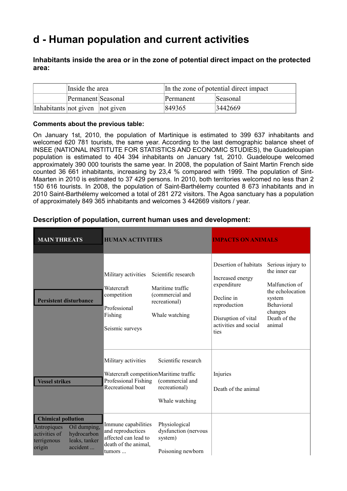## **d - Human population and current activities**

#### **Inhabitants inside the area or in the zone of potential direct impact on the protected area:**

|                                 | Inside the area    | In the zone of potential direct impact |          |  |
|---------------------------------|--------------------|----------------------------------------|----------|--|
|                                 | Permanent Seasonal | Permanent                              | Seasonal |  |
| Inhabitants not given not given |                    | 849365                                 | 3442669  |  |

#### **Comments about the previous table:**

On January 1st, 2010, the population of Martinique is estimated to 399 637 inhabitants and welcomed 620 781 tourists, the same year. According to the last demographic balance sheet of INSEE (NATIONAL INSTITUTE FOR STATISTICS AND ECONOMIC STUDIES), the Guadeloupian population is estimated to 404 394 inhabitants on January 1st, 2010. Guadeloupe welcomed approximately 390 000 tourists the same year. In 2008, the population of Saint Martin French side counted 36 661 inhabitants, increasing by 23,4 % compared with 1999. The population of Sint-Maarten in 2010 is estimated to 37 429 persons. In 2010, both territories welcomed no less than 2 150 616 tourists. In 2008, the population of Saint-Barthélemy counted 8 673 inhabitants and in 2010 Saint-Barthélemy welcomed a total of 281 272 visitors. The Agoa sanctuary has a population of approximately 849 365 inhabitants and welcomes 3 442669 visitors / year.

| <b>MAIN THREATS</b>                                                                                                                            | <b>HUMAN ACTIVITIES</b>                                                                                                                                                                         | <b>IMPACTS ON ANIMALS</b>                                                                                                                                                                                                                                                               |  |  |
|------------------------------------------------------------------------------------------------------------------------------------------------|-------------------------------------------------------------------------------------------------------------------------------------------------------------------------------------------------|-----------------------------------------------------------------------------------------------------------------------------------------------------------------------------------------------------------------------------------------------------------------------------------------|--|--|
| <b>Persistent disturbance</b>                                                                                                                  | Military activities<br>Scientific research<br>Watercraft<br>Maritime traffic<br>(commercial and<br>competition<br>recreational)<br>Professional<br>Fishing<br>Whale watching<br>Seismic surveys | Desertion of habitats<br>Serious injury to<br>the inner ear<br>Increased energy<br>expenditure<br>Malfunction of<br>the echolocation<br>Decline in<br>system<br>Behavioral<br>reproduction<br>changes<br>Death of the<br>Disruption of vital<br>activities and social<br>animal<br>ties |  |  |
| <b>Vessel strikes</b>                                                                                                                          | Scientific research<br>Military activities<br>Watercraft competitionMaritime traffic<br>Professional Fishing<br>(commercial and<br>Recreational boat<br>recreational)<br>Whale watching         | Injuries<br>Death of the animal                                                                                                                                                                                                                                                         |  |  |
| <b>Chimical pollution</b><br>Oil dumping,<br>Antropiques<br>hydrocarbon<br>activities of<br>leaks, tanker<br>terrigenous<br>accident<br>origin | Physiological<br>Immune capabilities<br>and reproductices<br>dysfunction (nervous<br>affected can lead to<br>system)<br>death of the animal,<br>Poisoning newborn<br>tumors                     |                                                                                                                                                                                                                                                                                         |  |  |

#### **Description of population, current human uses and development:**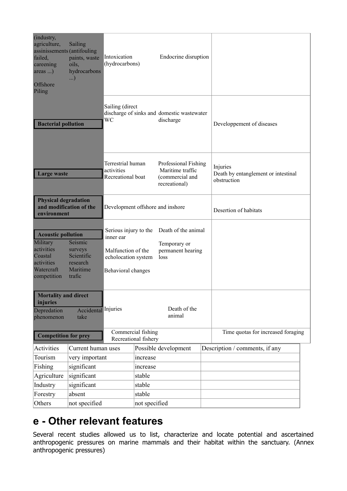| (industry,<br>agriculture,<br>assinissements (antifouling<br>failed,<br>careening<br>$area.$ )<br>Offshore<br>Piling                                                            | Sailing<br>paints, waste<br>oils,<br>hydrocarbons<br>$\ldots$ | Intoxication<br>(hydrocarbons)                                                                        |               | Endocrine disruption                                                         |                       |                                                                |
|---------------------------------------------------------------------------------------------------------------------------------------------------------------------------------|---------------------------------------------------------------|-------------------------------------------------------------------------------------------------------|---------------|------------------------------------------------------------------------------|-----------------------|----------------------------------------------------------------|
| <b>Bacterial pollution</b>                                                                                                                                                      |                                                               | Sailing (direct<br>WС                                                                                 |               | discharge of sinks and domestic wastewater<br>discharge                      |                       | Developpement of diseases                                      |
| <b>Large waste</b>                                                                                                                                                              |                                                               | Terrestrial human<br>activities<br>Recreational boat                                                  |               | Professional Fishing<br>Maritime traffic<br>(commercial and<br>recreational) |                       | Injuries<br>Death by entanglement or intestinal<br>obstruction |
| <b>Physical degradation</b><br>and modification of the<br>environment                                                                                                           |                                                               | Development offshore and inshore                                                                      |               |                                                                              | Desertion of habitats |                                                                |
| <b>Acoustic pollution</b><br>Military<br>Seismic<br>activities<br>surveys<br>Scientific<br>Coastal<br>activities<br>research<br>Maritime<br>Watercraft<br>competition<br>trafic |                                                               | Serious injury to the<br>inner ear<br>Malfunction of the<br>echolocation system<br>Behavioral changes |               | Death of the animal<br>Temporary or<br>permanent hearing<br>loss             |                       |                                                                |
| <b>Mortality and direct</b><br>injuries<br>Depredation<br>phenomenon                                                                                                            | Accidental Injuries<br>take                                   |                                                                                                       |               | Death of the<br>animal                                                       |                       |                                                                |
| <b>Competition for prey</b>                                                                                                                                                     |                                                               | Commercial fishing<br>Recreational fishery                                                            |               |                                                                              |                       | Time quotas for increased foraging                             |
| Activities                                                                                                                                                                      | Current human uses                                            |                                                                                                       |               | Possible development                                                         |                       | Description / comments, if any                                 |
| Tourism                                                                                                                                                                         | very important                                                |                                                                                                       | increase      |                                                                              |                       |                                                                |
| Fishing                                                                                                                                                                         | significant                                                   |                                                                                                       | increase      |                                                                              |                       |                                                                |
| Agriculture                                                                                                                                                                     | significant                                                   |                                                                                                       | stable        |                                                                              |                       |                                                                |
| Industry                                                                                                                                                                        | significant                                                   |                                                                                                       | stable        |                                                                              |                       |                                                                |
| Forestry                                                                                                                                                                        | absent                                                        |                                                                                                       | stable        |                                                                              |                       |                                                                |
| Others                                                                                                                                                                          | not specified                                                 |                                                                                                       | not specified |                                                                              |                       |                                                                |

## **e - Other relevant features**

Several recent studies allowed us to list, characterize and locate potential and ascertained anthropogenic pressures on marine mammals and their habitat within the sanctuary. (Annex anthropogenic pressures)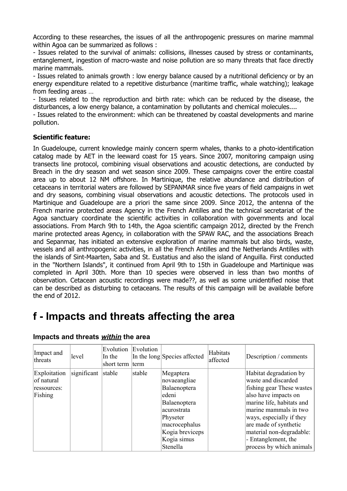According to these researches, the issues of all the anthropogenic pressures on marine mammal within Agoa can be summarized as follows :

- Issues related to the survival of animals: collisions, illnesses caused by stress or contaminants, entanglement, ingestion of macro-waste and noise pollution are so many threats that face directly marine mammals.

- Issues related to animals growth : low energy balance caused by a nutritional deficiency or by an energy expenditure related to a repetitive disturbance (maritime traffic, whale watching); leakage from feeding areas …

- Issues related to the reproduction and birth rate: which can be reduced by the disease, the disturbances, a low energy balance, a contamination by pollutants and chemical molecules....

- Issues related to the environment: which can be threatened by coastal developments and marine pollution.

#### **Scientific feature:**

In Guadeloupe, current knowledge mainly concern sperm whales, thanks to a photo-identification catalog made by AET in the leeward coast for 15 years. Since 2007, monitoring campaign using transects line protocol, combining visual observations and acoustic detections, are conducted by Breach in the dry season and wet season since 2009. These campaigns cover the entire coastal area up to about 12 NM offshore. In Martinique, the relative abundance and distribution of cetaceans in territorial waters are followed by SEPANMAR since five years of field campaigns in wet and dry seasons, combining visual observations and acoustic detections. The protocols used in Martinique and Guadeloupe are a priori the same since 2009. Since 2012, the antenna of the French marine protected areas Agency in the French Antilles and the technical secretariat of the Agoa sanctuary coordinate the scientific activities in collaboration with governments and local associations. From March 9th to 14th, the Agoa scientific campaign 2012, directed by the French marine protected areas Agency, in collaboration with the SPAW RAC, and the associations Breach and Sepanmar, has initiated an extensive exploration of marine mammals but also birds, waste, vessels and all anthropogenic activities, in all the French Antilles and the Netherlands Antilles with the islands of Sint-Maarten, Saba and St. Eustatius and also the island of Anguilla. First conducted in the "Northern Islands", it continued from April 9th to 15th in Guadeloupe and Martinique was completed in April 30th. More than 10 species were observed in less than two months of observation. Cetacean acoustic recordings were made??, as well as some unidentified noise that can be described as disturbing to cetaceans. The results of this campaign will be available before the end of 2012.

### **f - Impacts and threats affecting the area**

| Impact and<br>threats                                | level       | Evolution<br>In the<br>short term | Evolution<br>term | In the long Species affected                                                                                                                                 | Habitats<br>affected | Description / comments                                                                                                                                                                                                                                                                       |
|------------------------------------------------------|-------------|-----------------------------------|-------------------|--------------------------------------------------------------------------------------------------------------------------------------------------------------|----------------------|----------------------------------------------------------------------------------------------------------------------------------------------------------------------------------------------------------------------------------------------------------------------------------------------|
| Exploitation<br>of natural<br>ressources:<br>Fishing | significant | stable                            | stable            | Megaptera<br>novaeangliae<br>Balaenoptera<br>edeni<br>Balaenoptera<br>acurostrata<br>Physeter<br>macrocephalus<br>Kogia breviceps<br>Kogia simus<br>Stenella |                      | Habitat degradation by<br>waste and discarded<br>fishing gear These wastes<br>also have impacts on<br>marine life, habitats and<br>marine mammals in two<br>ways, especially if they<br>are made of synthetic<br>material non-degradable:<br>- Entanglement, the<br>process by which animals |

#### **Impacts and threats** *within* **the area**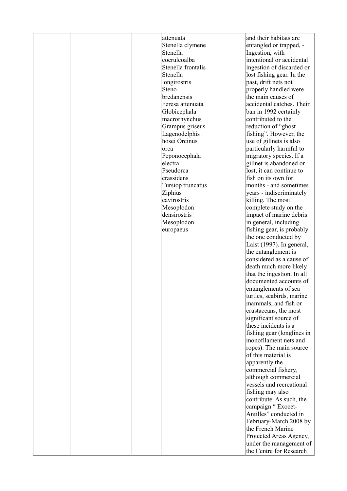|  |  | attenuata<br>Stenella clymene<br>Stenella<br>coeruleoalba<br>Stenella frontalis<br>Stenella<br>longirostris<br>Steno<br>bredanensis<br>Feresa attenuata<br>Globicephala<br>macrorhynchus<br>Grampus griseus<br>Lagenodelphis<br>hosei Orcinus<br>orca<br>Peponocephala<br>electra<br>Pseudorca<br>crassidens<br>Tursiop truncatus<br>Ziphius<br>cavirostris<br>Mesoplodon<br>densirostris<br>Mesoplodon<br>europaeus | and their habitats are<br>entangled or trapped, -<br>Ingestion, with<br>intentional or accidental<br>ingestion of discarded or<br>lost fishing gear. In the<br>past, drift nets not<br>properly handled were<br>the main causes of<br>accidental catches. Their<br>ban in 1992 certainly<br>contributed to the<br>reduction of "ghost<br>fishing". However, the<br>use of gillnets is also<br>particularly harmful to<br>migratory species. If a<br>gillnet is abandoned or<br>lost, it can continue to<br>fish on its own for<br>months - and sometimes<br>years - indiscriminately<br>killing. The most<br>complete study on the<br>impact of marine debris<br>in general, including<br>fishing gear, is probably<br>the one conducted by<br>Laist (1997). In general,<br>the entanglement is<br>considered as a cause of<br>death much more likely |
|--|--|----------------------------------------------------------------------------------------------------------------------------------------------------------------------------------------------------------------------------------------------------------------------------------------------------------------------------------------------------------------------------------------------------------------------|-------------------------------------------------------------------------------------------------------------------------------------------------------------------------------------------------------------------------------------------------------------------------------------------------------------------------------------------------------------------------------------------------------------------------------------------------------------------------------------------------------------------------------------------------------------------------------------------------------------------------------------------------------------------------------------------------------------------------------------------------------------------------------------------------------------------------------------------------------|
|  |  |                                                                                                                                                                                                                                                                                                                                                                                                                      | documented accounts of<br>entanglements of sea<br>turtles, seabirds, marine<br>mammals, and fish or<br>crustaceans, the most<br>significant source of<br>these incidents is a<br>fishing gear (longlines in<br>monofilament nets and<br>ropes). The main source<br>of this material is<br>apparently the<br>commercial fishery,<br>although commercial<br>vessels and recreational<br>fishing may also<br>contribute. As such, the<br>campaign " Exocet-<br>Antilles" conducted in<br>February-March 2008 by<br>the French Marine<br>Protected Areas Agency,                                                                                                                                                                                                                                                                                          |
|  |  |                                                                                                                                                                                                                                                                                                                                                                                                                      | under the management of<br>the Centre for Research                                                                                                                                                                                                                                                                                                                                                                                                                                                                                                                                                                                                                                                                                                                                                                                                    |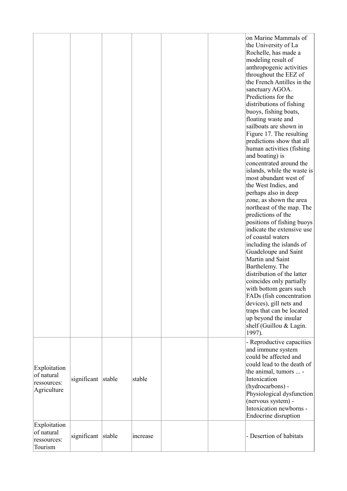|                                                          |                    |        |          |  | on Marine Mammals of<br>the University of La<br>Rochelle, has made a<br>modeling result of<br>anthropogenic activities<br>throughout the EEZ of<br>the French Antilles in the<br>sanctuary AGOA.<br>Predictions for the<br>distributions of fishing<br>buoys, fishing boats,<br>floating waste and<br>sailboats are shown in<br>Figure 17. The resulting<br>predictions show that all<br>human activities (fishing<br>and boating) is<br>concentrated around the<br>islands, while the waste is<br>most abundant west of<br>the West Indies, and<br>perhaps also in deep<br>zone, as shown the area<br>northeast of the map. The<br>predictions of the<br>positions of fishing buoys<br>indicate the extensive use<br>of coastal waters<br>including the islands of<br>Guadeloupe and Saint<br>Martin and Saint<br>Barthelemy. The<br>distribution of the latter<br>coincides only partially<br>with bottom gears such<br>FADs (fish concentration)<br>devices), gill nets and<br>traps that can be located<br>up beyond the insular<br>shelf (Guillou & Lagin.<br>1997). |
|----------------------------------------------------------|--------------------|--------|----------|--|---------------------------------------------------------------------------------------------------------------------------------------------------------------------------------------------------------------------------------------------------------------------------------------------------------------------------------------------------------------------------------------------------------------------------------------------------------------------------------------------------------------------------------------------------------------------------------------------------------------------------------------------------------------------------------------------------------------------------------------------------------------------------------------------------------------------------------------------------------------------------------------------------------------------------------------------------------------------------------------------------------------------------------------------------------------------------|
| Exploitation<br>of natural<br>ressources:<br>Agriculture | significant        | stable | stable   |  | - Reproductive capacities<br>and immune system<br>could be affected and<br>could lead to the death of<br>the animal, tumors  -<br>Intoxication<br>(hydrocarbons) -<br>Physiological dysfunction<br>(nervous system) -<br>Intoxication newborns -<br>Endocrine disruption                                                                                                                                                                                                                                                                                                                                                                                                                                                                                                                                                                                                                                                                                                                                                                                                  |
| Exploitation<br>of natural<br>ressources:<br>Tourism     | significant stable |        | increase |  | - Desertion of habitats                                                                                                                                                                                                                                                                                                                                                                                                                                                                                                                                                                                                                                                                                                                                                                                                                                                                                                                                                                                                                                                   |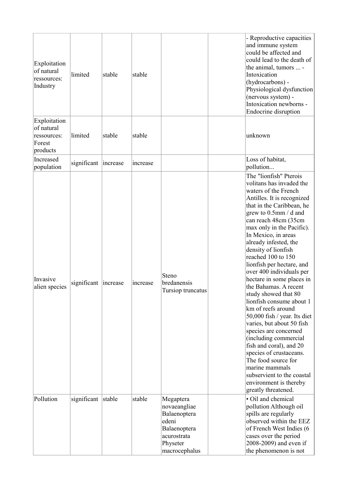| Exploitation<br>of natural<br>ressources:<br>Industry           | limited              | stable | stable   |                                                                                                                | - Reproductive capacities<br>and immune system<br>could be affected and<br>could lead to the death of<br>the animal, tumors  -<br>Intoxication<br>(hydrocarbons) -<br>Physiological dysfunction<br>(nervous system) -<br>Intoxication newborns -<br>Endocrine disruption                                                                                                                                                                                                                                                                                                                                                                                                                                                                                                                                  |  |
|-----------------------------------------------------------------|----------------------|--------|----------|----------------------------------------------------------------------------------------------------------------|-----------------------------------------------------------------------------------------------------------------------------------------------------------------------------------------------------------------------------------------------------------------------------------------------------------------------------------------------------------------------------------------------------------------------------------------------------------------------------------------------------------------------------------------------------------------------------------------------------------------------------------------------------------------------------------------------------------------------------------------------------------------------------------------------------------|--|
| Exploitation<br>of natural<br>ressources:<br>Forest<br>products | limited              | stable | stable   |                                                                                                                | unknown                                                                                                                                                                                                                                                                                                                                                                                                                                                                                                                                                                                                                                                                                                                                                                                                   |  |
| Increased<br>population                                         | significant increase |        | increase |                                                                                                                | Loss of habitat,<br>pollution                                                                                                                                                                                                                                                                                                                                                                                                                                                                                                                                                                                                                                                                                                                                                                             |  |
| Invasive<br>alien species                                       | significant increase |        | increase | Steno<br>bredanensis<br>Tursiop truncatus                                                                      | The "lionfish" Pterois<br>volitans has invaded the<br>waters of the French<br>Antilles. It is recognized<br>that in the Caribbean, he<br>grew to $0.5$ mm / d and<br>can reach 48cm (35cm<br>max only in the Pacific).<br>In Mexico, in areas<br>already infested, the<br>density of lionfish<br>reached 100 to 150<br>lionfish per hectare, and<br>over 400 individuals per<br>hectare in some places in<br>the Bahamas. A recent<br>study showed that 80<br>lionfish consume about 1<br>km of reefs around<br>50,000 fish / year. Its diet<br>varies, but about 50 fish<br>species are concerned<br>(including commercial<br>fish and coral), and 20<br>species of crustaceans.<br>The food source for<br>marine mammals<br>subservient to the coastal<br>environment is thereby<br>greatly threatened. |  |
| Pollution                                                       | significant stable   |        | stable   | Megaptera<br>novaeangliae<br>Balaenoptera<br>edeni<br>Balaenoptera<br>acurostrata<br>Physeter<br>macrocephalus | • Oil and chemical<br>pollution Although oil<br>spills are regularly<br>observed within the EEZ<br>of French West Indies (6<br>cases over the period<br>2008-2009) and even if<br>the phenomenon is not                                                                                                                                                                                                                                                                                                                                                                                                                                                                                                                                                                                                   |  |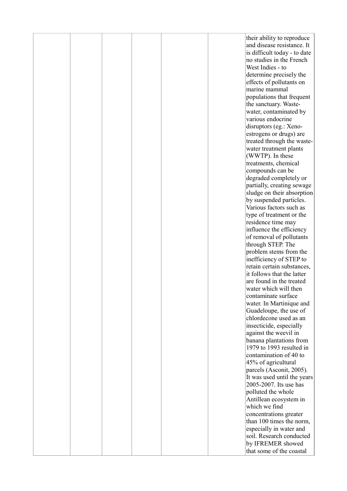|  |  |  | their ability to reproduce                          |
|--|--|--|-----------------------------------------------------|
|  |  |  | and disease resistance. It                          |
|  |  |  | is difficult today - to date                        |
|  |  |  | no studies in the French                            |
|  |  |  | West Indies - to                                    |
|  |  |  |                                                     |
|  |  |  | determine precisely the                             |
|  |  |  | effects of pollutants on                            |
|  |  |  | marine mammal                                       |
|  |  |  | populations that frequent                           |
|  |  |  | the sanctuary. Waste-                               |
|  |  |  | water, contaminated by                              |
|  |  |  | various endocrine                                   |
|  |  |  | disruptors (eg.: Xeno-                              |
|  |  |  | estrogens or drugs) are                             |
|  |  |  | treated through the waste-                          |
|  |  |  | water treatment plants                              |
|  |  |  | (WWTP). In these                                    |
|  |  |  | treatments, chemical                                |
|  |  |  | compounds can be                                    |
|  |  |  | degraded completely or                              |
|  |  |  | partially, creating sewage                          |
|  |  |  | sludge on their absorption                          |
|  |  |  | by suspended particles.                             |
|  |  |  | Various factors such as                             |
|  |  |  | type of treatment or the                            |
|  |  |  | residence time may                                  |
|  |  |  | influence the efficiency                            |
|  |  |  | of removal of pollutants                            |
|  |  |  | through STEP. The                                   |
|  |  |  | problem stems from the                              |
|  |  |  | inefficiency of STEP to                             |
|  |  |  | retain certain substances,                          |
|  |  |  | it follows that the latter                          |
|  |  |  | are found in the treated                            |
|  |  |  | water which will then                               |
|  |  |  | contaminate surface                                 |
|  |  |  | water. In Martinique and                            |
|  |  |  | Guadeloupe, the use of                              |
|  |  |  | chlordecone used as an                              |
|  |  |  | insecticide, especially                             |
|  |  |  | against the weevil in                               |
|  |  |  |                                                     |
|  |  |  | banana plantations from<br>1979 to 1993 resulted in |
|  |  |  | contamination of 40 to                              |
|  |  |  |                                                     |
|  |  |  | 45% of agricultural                                 |
|  |  |  | parcels (Asconit, 2005).                            |
|  |  |  | It was used until the years                         |
|  |  |  | 2005-2007. Its use has                              |
|  |  |  | polluted the whole                                  |
|  |  |  | Antillean ecosystem in                              |
|  |  |  | which we find                                       |
|  |  |  | concentrations greater                              |
|  |  |  | than 100 times the norm,                            |
|  |  |  | especially in water and                             |
|  |  |  | soil. Research conducted                            |
|  |  |  | by IFREMER showed                                   |
|  |  |  | that some of the coastal                            |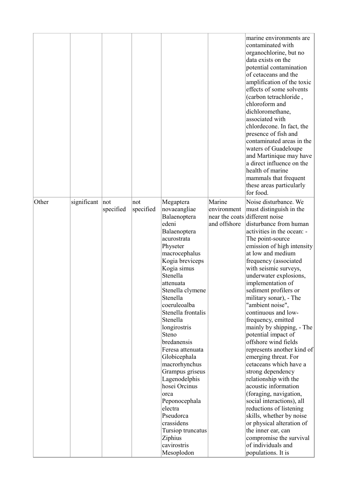|       |             |                  |                  |                                                                                                                                                                                                                                                                                                                                                                                                                                                                                                                                           |                                       | marine environments are<br>contaminated with<br>organochlorine, but no<br>data exists on the<br>potential contamination<br>of cetaceans and the<br>amplification of the toxic<br>effects of some solvents<br>(carbon tetrachloride,<br>chloroform and<br>dichloromethane,<br>associated with<br>chlordecone. In fact, the<br>presence of fish and<br>contaminated areas in the<br>waters of Guadeloupe<br>and Martinique may have<br>a direct influence on the<br>health of marine<br>mammals that frequent<br>these areas particularly<br>for food.                                                                                                                                                                                                                                                                                                                                                             |
|-------|-------------|------------------|------------------|-------------------------------------------------------------------------------------------------------------------------------------------------------------------------------------------------------------------------------------------------------------------------------------------------------------------------------------------------------------------------------------------------------------------------------------------------------------------------------------------------------------------------------------------|---------------------------------------|------------------------------------------------------------------------------------------------------------------------------------------------------------------------------------------------------------------------------------------------------------------------------------------------------------------------------------------------------------------------------------------------------------------------------------------------------------------------------------------------------------------------------------------------------------------------------------------------------------------------------------------------------------------------------------------------------------------------------------------------------------------------------------------------------------------------------------------------------------------------------------------------------------------|
| Other | significant | not<br>specified | not<br>specified | Megaptera<br>novaeangliae<br>Balaenoptera<br>edeni<br>Balaenoptera<br>acurostrata<br>Physeter<br>macrocephalus<br>Kogia breviceps<br>Kogia simus<br>Stenella<br>attenuata<br>Stenella clymene<br>Stenella<br>coeruleoalba<br>Stenella frontalis<br>Stenella<br>longirostris<br>Steno<br>bredanensis<br>Feresa attenuata<br>Globicephala<br>macrorhynchus<br>Grampus griseus<br>Lagenodelphis<br>hosei Orcinus<br>orca<br>Peponocephala<br>electra<br>Pseudorca<br>crassidens<br>Tursiop truncatus<br>Ziphius<br>cavirostris<br>Mesoplodon | Marine<br>environment<br>and offshore | Noise disturbance. We<br>must distinguish in the<br>near the coats different noise<br>disturbance from human<br>activities in the ocean: -<br>The point-source<br>emission of high intensity<br>at low and medium<br>frequency (associated<br>with seismic surveys,<br>underwater explosions,<br>implementation of<br>sediment profilers or<br>military sonar), - The<br>"ambient noise",<br>continuous and low-<br>frequency, emitted<br>mainly by shipping, - The<br>potential impact of<br>offshore wind fields<br>represents another kind of<br>emerging threat. For<br>cetaceans which have a<br>strong dependency<br>relationship with the<br>acoustic information<br>(foraging, navigation,<br>social interactions), all<br>reductions of listening<br>skills, whether by noise<br>or physical alteration of<br>the inner ear, can<br>compromise the survival<br>of individuals and<br>populations. It is |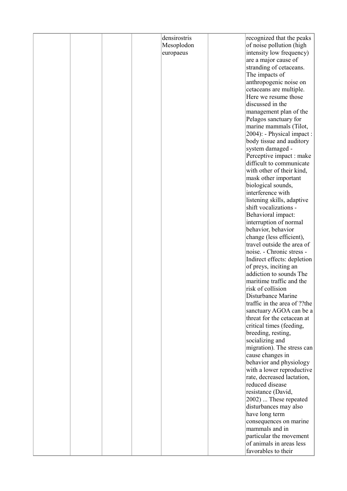|  |  | densirostris | recognized that the peaks    |
|--|--|--------------|------------------------------|
|  |  |              |                              |
|  |  | Mesoplodon   | of noise pollution (high     |
|  |  | europaeus    | intensity low frequency)     |
|  |  |              | are a major cause of         |
|  |  |              | stranding of cetaceans.      |
|  |  |              | The impacts of               |
|  |  |              | anthropogenic noise on       |
|  |  |              | cetaceans are multiple.      |
|  |  |              | Here we resume those         |
|  |  |              | discussed in the             |
|  |  |              | management plan of the       |
|  |  |              |                              |
|  |  |              | Pelagos sanctuary for        |
|  |  |              | marine mammals (Tilot,       |
|  |  |              | 2004): - Physical impact :   |
|  |  |              | body tissue and auditory     |
|  |  |              | system damaged -             |
|  |  |              | Perceptive impact : make     |
|  |  |              | difficult to communicate     |
|  |  |              | with other of their kind,    |
|  |  |              | mask other important         |
|  |  |              | biological sounds,           |
|  |  |              | interference with            |
|  |  |              | listening skills, adaptive   |
|  |  |              | shift vocalizations -        |
|  |  |              |                              |
|  |  |              | Behavioral impact:           |
|  |  |              | interruption of normal       |
|  |  |              | behavior, behavior           |
|  |  |              | change (less efficient),     |
|  |  |              | travel outside the area of   |
|  |  |              | noise. - Chronic stress -    |
|  |  |              | Indirect effects: depletion  |
|  |  |              | of preys, inciting an        |
|  |  |              | addiction to sounds The      |
|  |  |              | maritime traffic and the     |
|  |  |              | risk of collision            |
|  |  |              | Disturbance Marine           |
|  |  |              | traffic in the area of ??the |
|  |  |              | sanctuary AGOA can be a      |
|  |  |              | threat for the cetacean at   |
|  |  |              | critical times (feeding,     |
|  |  |              | breeding, resting,           |
|  |  |              |                              |
|  |  |              | socializing and              |
|  |  |              | migration). The stress can   |
|  |  |              | cause changes in             |
|  |  |              | behavior and physiology      |
|  |  |              | with a lower reproductive    |
|  |  |              | rate, decreased lactation,   |
|  |  |              | reduced disease              |
|  |  |              | resistance (David,           |
|  |  |              | 2002)  These repeated        |
|  |  |              | disturbances may also        |
|  |  |              | have long term               |
|  |  |              | consequences on marine       |
|  |  |              | mammals and in               |
|  |  |              | particular the movement      |
|  |  |              |                              |
|  |  |              | of animals in areas less     |
|  |  |              | favorables to their          |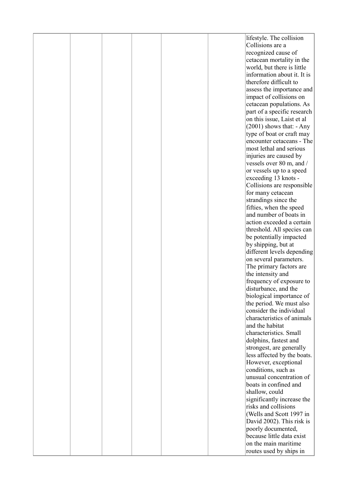| Collisions are a<br>recognized cause of<br>cetacean mortality in the<br>world, but there is little<br>information about it. It is<br>therefore difficult to<br>assess the importance and<br>impact of collisions on<br>cetacean populations. As<br>part of a specific research<br>on this issue, Laist et al<br>$(2001)$ shows that: - Any<br>type of boat or craft may<br>encounter cetaceans - The<br>most lethal and serious<br>injuries are caused by<br>vessels over 80 m, and /<br>or vessels up to a speed<br>exceeding 13 knots -<br>Collisions are responsible<br>for many cetacean<br>strandings since the<br>fifties, when the speed<br>and number of boats in<br>action exceeded a certain<br>threshold. All species can<br>be potentially impacted<br>by shipping, but at<br>different levels depending<br>on several parameters.<br>The primary factors are<br>the intensity and<br>frequency of exposure to<br>disturbance, and the<br>biological importance of<br>the period. We must also<br>consider the individual<br>characteristics of animals<br>and the habitat<br>characteristics. Small<br>dolphins, fastest and<br>strongest, are generally<br>less affected by the boats.<br>However, exceptional<br>conditions, such as<br>unusual concentration of<br>boats in confined and<br>shallow, could<br>significantly increase the<br>risks and collisions<br>(Wells and Scott 1997 in<br>David 2002). This risk is<br>poorly documented,<br>because little data exist<br>on the main maritime |  |  |  | lifestyle. The collision |
|----------------------------------------------------------------------------------------------------------------------------------------------------------------------------------------------------------------------------------------------------------------------------------------------------------------------------------------------------------------------------------------------------------------------------------------------------------------------------------------------------------------------------------------------------------------------------------------------------------------------------------------------------------------------------------------------------------------------------------------------------------------------------------------------------------------------------------------------------------------------------------------------------------------------------------------------------------------------------------------------------------------------------------------------------------------------------------------------------------------------------------------------------------------------------------------------------------------------------------------------------------------------------------------------------------------------------------------------------------------------------------------------------------------------------------------------------------------------------------------------------------------------|--|--|--|--------------------------|
|                                                                                                                                                                                                                                                                                                                                                                                                                                                                                                                                                                                                                                                                                                                                                                                                                                                                                                                                                                                                                                                                                                                                                                                                                                                                                                                                                                                                                                                                                                                      |  |  |  |                          |
|                                                                                                                                                                                                                                                                                                                                                                                                                                                                                                                                                                                                                                                                                                                                                                                                                                                                                                                                                                                                                                                                                                                                                                                                                                                                                                                                                                                                                                                                                                                      |  |  |  |                          |
|                                                                                                                                                                                                                                                                                                                                                                                                                                                                                                                                                                                                                                                                                                                                                                                                                                                                                                                                                                                                                                                                                                                                                                                                                                                                                                                                                                                                                                                                                                                      |  |  |  |                          |
|                                                                                                                                                                                                                                                                                                                                                                                                                                                                                                                                                                                                                                                                                                                                                                                                                                                                                                                                                                                                                                                                                                                                                                                                                                                                                                                                                                                                                                                                                                                      |  |  |  |                          |
|                                                                                                                                                                                                                                                                                                                                                                                                                                                                                                                                                                                                                                                                                                                                                                                                                                                                                                                                                                                                                                                                                                                                                                                                                                                                                                                                                                                                                                                                                                                      |  |  |  |                          |
|                                                                                                                                                                                                                                                                                                                                                                                                                                                                                                                                                                                                                                                                                                                                                                                                                                                                                                                                                                                                                                                                                                                                                                                                                                                                                                                                                                                                                                                                                                                      |  |  |  |                          |
|                                                                                                                                                                                                                                                                                                                                                                                                                                                                                                                                                                                                                                                                                                                                                                                                                                                                                                                                                                                                                                                                                                                                                                                                                                                                                                                                                                                                                                                                                                                      |  |  |  |                          |
|                                                                                                                                                                                                                                                                                                                                                                                                                                                                                                                                                                                                                                                                                                                                                                                                                                                                                                                                                                                                                                                                                                                                                                                                                                                                                                                                                                                                                                                                                                                      |  |  |  |                          |
|                                                                                                                                                                                                                                                                                                                                                                                                                                                                                                                                                                                                                                                                                                                                                                                                                                                                                                                                                                                                                                                                                                                                                                                                                                                                                                                                                                                                                                                                                                                      |  |  |  |                          |
|                                                                                                                                                                                                                                                                                                                                                                                                                                                                                                                                                                                                                                                                                                                                                                                                                                                                                                                                                                                                                                                                                                                                                                                                                                                                                                                                                                                                                                                                                                                      |  |  |  |                          |
|                                                                                                                                                                                                                                                                                                                                                                                                                                                                                                                                                                                                                                                                                                                                                                                                                                                                                                                                                                                                                                                                                                                                                                                                                                                                                                                                                                                                                                                                                                                      |  |  |  |                          |
|                                                                                                                                                                                                                                                                                                                                                                                                                                                                                                                                                                                                                                                                                                                                                                                                                                                                                                                                                                                                                                                                                                                                                                                                                                                                                                                                                                                                                                                                                                                      |  |  |  |                          |
|                                                                                                                                                                                                                                                                                                                                                                                                                                                                                                                                                                                                                                                                                                                                                                                                                                                                                                                                                                                                                                                                                                                                                                                                                                                                                                                                                                                                                                                                                                                      |  |  |  |                          |
|                                                                                                                                                                                                                                                                                                                                                                                                                                                                                                                                                                                                                                                                                                                                                                                                                                                                                                                                                                                                                                                                                                                                                                                                                                                                                                                                                                                                                                                                                                                      |  |  |  |                          |
|                                                                                                                                                                                                                                                                                                                                                                                                                                                                                                                                                                                                                                                                                                                                                                                                                                                                                                                                                                                                                                                                                                                                                                                                                                                                                                                                                                                                                                                                                                                      |  |  |  |                          |
|                                                                                                                                                                                                                                                                                                                                                                                                                                                                                                                                                                                                                                                                                                                                                                                                                                                                                                                                                                                                                                                                                                                                                                                                                                                                                                                                                                                                                                                                                                                      |  |  |  |                          |
|                                                                                                                                                                                                                                                                                                                                                                                                                                                                                                                                                                                                                                                                                                                                                                                                                                                                                                                                                                                                                                                                                                                                                                                                                                                                                                                                                                                                                                                                                                                      |  |  |  |                          |
|                                                                                                                                                                                                                                                                                                                                                                                                                                                                                                                                                                                                                                                                                                                                                                                                                                                                                                                                                                                                                                                                                                                                                                                                                                                                                                                                                                                                                                                                                                                      |  |  |  |                          |
|                                                                                                                                                                                                                                                                                                                                                                                                                                                                                                                                                                                                                                                                                                                                                                                                                                                                                                                                                                                                                                                                                                                                                                                                                                                                                                                                                                                                                                                                                                                      |  |  |  |                          |
|                                                                                                                                                                                                                                                                                                                                                                                                                                                                                                                                                                                                                                                                                                                                                                                                                                                                                                                                                                                                                                                                                                                                                                                                                                                                                                                                                                                                                                                                                                                      |  |  |  |                          |
|                                                                                                                                                                                                                                                                                                                                                                                                                                                                                                                                                                                                                                                                                                                                                                                                                                                                                                                                                                                                                                                                                                                                                                                                                                                                                                                                                                                                                                                                                                                      |  |  |  |                          |
|                                                                                                                                                                                                                                                                                                                                                                                                                                                                                                                                                                                                                                                                                                                                                                                                                                                                                                                                                                                                                                                                                                                                                                                                                                                                                                                                                                                                                                                                                                                      |  |  |  |                          |
|                                                                                                                                                                                                                                                                                                                                                                                                                                                                                                                                                                                                                                                                                                                                                                                                                                                                                                                                                                                                                                                                                                                                                                                                                                                                                                                                                                                                                                                                                                                      |  |  |  |                          |
|                                                                                                                                                                                                                                                                                                                                                                                                                                                                                                                                                                                                                                                                                                                                                                                                                                                                                                                                                                                                                                                                                                                                                                                                                                                                                                                                                                                                                                                                                                                      |  |  |  |                          |
|                                                                                                                                                                                                                                                                                                                                                                                                                                                                                                                                                                                                                                                                                                                                                                                                                                                                                                                                                                                                                                                                                                                                                                                                                                                                                                                                                                                                                                                                                                                      |  |  |  |                          |
|                                                                                                                                                                                                                                                                                                                                                                                                                                                                                                                                                                                                                                                                                                                                                                                                                                                                                                                                                                                                                                                                                                                                                                                                                                                                                                                                                                                                                                                                                                                      |  |  |  |                          |
|                                                                                                                                                                                                                                                                                                                                                                                                                                                                                                                                                                                                                                                                                                                                                                                                                                                                                                                                                                                                                                                                                                                                                                                                                                                                                                                                                                                                                                                                                                                      |  |  |  |                          |
|                                                                                                                                                                                                                                                                                                                                                                                                                                                                                                                                                                                                                                                                                                                                                                                                                                                                                                                                                                                                                                                                                                                                                                                                                                                                                                                                                                                                                                                                                                                      |  |  |  |                          |
|                                                                                                                                                                                                                                                                                                                                                                                                                                                                                                                                                                                                                                                                                                                                                                                                                                                                                                                                                                                                                                                                                                                                                                                                                                                                                                                                                                                                                                                                                                                      |  |  |  |                          |
|                                                                                                                                                                                                                                                                                                                                                                                                                                                                                                                                                                                                                                                                                                                                                                                                                                                                                                                                                                                                                                                                                                                                                                                                                                                                                                                                                                                                                                                                                                                      |  |  |  |                          |
|                                                                                                                                                                                                                                                                                                                                                                                                                                                                                                                                                                                                                                                                                                                                                                                                                                                                                                                                                                                                                                                                                                                                                                                                                                                                                                                                                                                                                                                                                                                      |  |  |  |                          |
|                                                                                                                                                                                                                                                                                                                                                                                                                                                                                                                                                                                                                                                                                                                                                                                                                                                                                                                                                                                                                                                                                                                                                                                                                                                                                                                                                                                                                                                                                                                      |  |  |  |                          |
|                                                                                                                                                                                                                                                                                                                                                                                                                                                                                                                                                                                                                                                                                                                                                                                                                                                                                                                                                                                                                                                                                                                                                                                                                                                                                                                                                                                                                                                                                                                      |  |  |  |                          |
|                                                                                                                                                                                                                                                                                                                                                                                                                                                                                                                                                                                                                                                                                                                                                                                                                                                                                                                                                                                                                                                                                                                                                                                                                                                                                                                                                                                                                                                                                                                      |  |  |  |                          |
|                                                                                                                                                                                                                                                                                                                                                                                                                                                                                                                                                                                                                                                                                                                                                                                                                                                                                                                                                                                                                                                                                                                                                                                                                                                                                                                                                                                                                                                                                                                      |  |  |  |                          |
|                                                                                                                                                                                                                                                                                                                                                                                                                                                                                                                                                                                                                                                                                                                                                                                                                                                                                                                                                                                                                                                                                                                                                                                                                                                                                                                                                                                                                                                                                                                      |  |  |  |                          |
|                                                                                                                                                                                                                                                                                                                                                                                                                                                                                                                                                                                                                                                                                                                                                                                                                                                                                                                                                                                                                                                                                                                                                                                                                                                                                                                                                                                                                                                                                                                      |  |  |  |                          |
|                                                                                                                                                                                                                                                                                                                                                                                                                                                                                                                                                                                                                                                                                                                                                                                                                                                                                                                                                                                                                                                                                                                                                                                                                                                                                                                                                                                                                                                                                                                      |  |  |  |                          |
|                                                                                                                                                                                                                                                                                                                                                                                                                                                                                                                                                                                                                                                                                                                                                                                                                                                                                                                                                                                                                                                                                                                                                                                                                                                                                                                                                                                                                                                                                                                      |  |  |  |                          |
|                                                                                                                                                                                                                                                                                                                                                                                                                                                                                                                                                                                                                                                                                                                                                                                                                                                                                                                                                                                                                                                                                                                                                                                                                                                                                                                                                                                                                                                                                                                      |  |  |  |                          |
|                                                                                                                                                                                                                                                                                                                                                                                                                                                                                                                                                                                                                                                                                                                                                                                                                                                                                                                                                                                                                                                                                                                                                                                                                                                                                                                                                                                                                                                                                                                      |  |  |  |                          |
|                                                                                                                                                                                                                                                                                                                                                                                                                                                                                                                                                                                                                                                                                                                                                                                                                                                                                                                                                                                                                                                                                                                                                                                                                                                                                                                                                                                                                                                                                                                      |  |  |  |                          |
|                                                                                                                                                                                                                                                                                                                                                                                                                                                                                                                                                                                                                                                                                                                                                                                                                                                                                                                                                                                                                                                                                                                                                                                                                                                                                                                                                                                                                                                                                                                      |  |  |  |                          |
|                                                                                                                                                                                                                                                                                                                                                                                                                                                                                                                                                                                                                                                                                                                                                                                                                                                                                                                                                                                                                                                                                                                                                                                                                                                                                                                                                                                                                                                                                                                      |  |  |  |                          |
|                                                                                                                                                                                                                                                                                                                                                                                                                                                                                                                                                                                                                                                                                                                                                                                                                                                                                                                                                                                                                                                                                                                                                                                                                                                                                                                                                                                                                                                                                                                      |  |  |  |                          |
|                                                                                                                                                                                                                                                                                                                                                                                                                                                                                                                                                                                                                                                                                                                                                                                                                                                                                                                                                                                                                                                                                                                                                                                                                                                                                                                                                                                                                                                                                                                      |  |  |  |                          |
|                                                                                                                                                                                                                                                                                                                                                                                                                                                                                                                                                                                                                                                                                                                                                                                                                                                                                                                                                                                                                                                                                                                                                                                                                                                                                                                                                                                                                                                                                                                      |  |  |  |                          |
|                                                                                                                                                                                                                                                                                                                                                                                                                                                                                                                                                                                                                                                                                                                                                                                                                                                                                                                                                                                                                                                                                                                                                                                                                                                                                                                                                                                                                                                                                                                      |  |  |  |                          |
|                                                                                                                                                                                                                                                                                                                                                                                                                                                                                                                                                                                                                                                                                                                                                                                                                                                                                                                                                                                                                                                                                                                                                                                                                                                                                                                                                                                                                                                                                                                      |  |  |  |                          |
|                                                                                                                                                                                                                                                                                                                                                                                                                                                                                                                                                                                                                                                                                                                                                                                                                                                                                                                                                                                                                                                                                                                                                                                                                                                                                                                                                                                                                                                                                                                      |  |  |  |                          |
|                                                                                                                                                                                                                                                                                                                                                                                                                                                                                                                                                                                                                                                                                                                                                                                                                                                                                                                                                                                                                                                                                                                                                                                                                                                                                                                                                                                                                                                                                                                      |  |  |  |                          |
|                                                                                                                                                                                                                                                                                                                                                                                                                                                                                                                                                                                                                                                                                                                                                                                                                                                                                                                                                                                                                                                                                                                                                                                                                                                                                                                                                                                                                                                                                                                      |  |  |  |                          |
|                                                                                                                                                                                                                                                                                                                                                                                                                                                                                                                                                                                                                                                                                                                                                                                                                                                                                                                                                                                                                                                                                                                                                                                                                                                                                                                                                                                                                                                                                                                      |  |  |  |                          |
|                                                                                                                                                                                                                                                                                                                                                                                                                                                                                                                                                                                                                                                                                                                                                                                                                                                                                                                                                                                                                                                                                                                                                                                                                                                                                                                                                                                                                                                                                                                      |  |  |  |                          |
|                                                                                                                                                                                                                                                                                                                                                                                                                                                                                                                                                                                                                                                                                                                                                                                                                                                                                                                                                                                                                                                                                                                                                                                                                                                                                                                                                                                                                                                                                                                      |  |  |  |                          |
|                                                                                                                                                                                                                                                                                                                                                                                                                                                                                                                                                                                                                                                                                                                                                                                                                                                                                                                                                                                                                                                                                                                                                                                                                                                                                                                                                                                                                                                                                                                      |  |  |  |                          |
|                                                                                                                                                                                                                                                                                                                                                                                                                                                                                                                                                                                                                                                                                                                                                                                                                                                                                                                                                                                                                                                                                                                                                                                                                                                                                                                                                                                                                                                                                                                      |  |  |  | routes used by ships in  |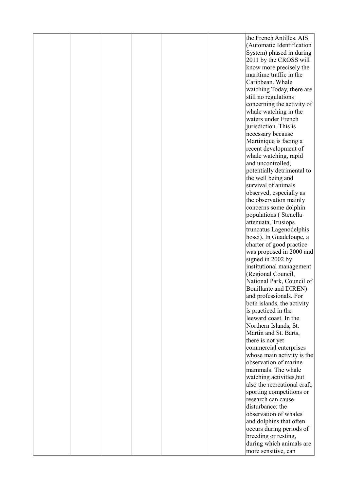| the French Antilles. AIS<br>(Automatic Identification<br>System) phased in during |  |
|-----------------------------------------------------------------------------------|--|
|                                                                                   |  |
|                                                                                   |  |
| 2011 by the CROSS will                                                            |  |
| know more precisely the                                                           |  |
| maritime traffic in the                                                           |  |
| Caribbean. Whale                                                                  |  |
| watching Today, there are                                                         |  |
| still no regulations                                                              |  |
| concerning the activity of                                                        |  |
| whale watching in the                                                             |  |
| waters under French                                                               |  |
| jurisdiction. This is                                                             |  |
| necessary because                                                                 |  |
| Martinique is facing a                                                            |  |
| recent development of                                                             |  |
| whale watching, rapid                                                             |  |
| and uncontrolled,                                                                 |  |
| potentially detrimental to                                                        |  |
| the well being and                                                                |  |
| survival of animals                                                               |  |
| observed, especially as                                                           |  |
| the observation mainly                                                            |  |
| concerns some dolphin                                                             |  |
| populations (Stenella                                                             |  |
| attenuata, Trusiops                                                               |  |
| truncatus Lagenodelphis                                                           |  |
| hosei). In Guadeloupe, a                                                          |  |
| charter of good practice                                                          |  |
| was proposed in 2000 and                                                          |  |
| signed in 2002 by                                                                 |  |
| institutional management                                                          |  |
| (Regional Council,                                                                |  |
| National Park, Council of                                                         |  |
| <b>Bouillante and DIREN)</b>                                                      |  |
| and professionals. For                                                            |  |
| both islands, the activity                                                        |  |
| is practiced in the                                                               |  |
| leeward coast. In the                                                             |  |
| Northern Islands, St.                                                             |  |
| Martin and St. Barts,                                                             |  |
| there is not yet                                                                  |  |
| commercial enterprises                                                            |  |
| whose main activity is the<br>observation of marine                               |  |
| mammals. The whale                                                                |  |
| watching activities, but                                                          |  |
| also the recreational craft,                                                      |  |
| sporting competitions or                                                          |  |
| research can cause                                                                |  |
| disturbance: the                                                                  |  |
| observation of whales                                                             |  |
| and dolphins that often                                                           |  |
| occurs during periods of                                                          |  |
| breeding or resting,                                                              |  |
| during which animals are                                                          |  |
| more sensitive, can                                                               |  |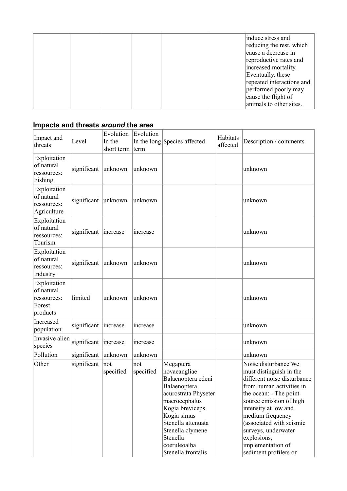|  |  |  | induce stress and<br>reducing the rest, which |
|--|--|--|-----------------------------------------------|
|  |  |  | cause a decrease in                           |
|  |  |  | reproductive rates and                        |
|  |  |  | increased mortality.                          |
|  |  |  | Eventually, these                             |
|  |  |  | repeated interactions and                     |
|  |  |  | performed poorly may                          |
|  |  |  | cause the flight of                           |
|  |  |  | animals to other sites.                       |

#### **Impacts and threats** *around* **the area**

| Impact and<br>threats                                           | Level       | Evolution<br>In the<br>short term | Evolution<br>term | In the long Species affected                                                                                                                                                                                                           | Habitats<br>affected | Description / comments                                                                                                                                                                                                                                                                                                       |
|-----------------------------------------------------------------|-------------|-----------------------------------|-------------------|----------------------------------------------------------------------------------------------------------------------------------------------------------------------------------------------------------------------------------------|----------------------|------------------------------------------------------------------------------------------------------------------------------------------------------------------------------------------------------------------------------------------------------------------------------------------------------------------------------|
| Exploitation<br>of natural<br>ressources:<br>Fishing            | significant | unknown                           | unknown           |                                                                                                                                                                                                                                        |                      | unknown                                                                                                                                                                                                                                                                                                                      |
| Exploitation<br>of natural<br>ressources:<br>Agriculture        | significant | unknown                           | unknown           |                                                                                                                                                                                                                                        |                      | unknown                                                                                                                                                                                                                                                                                                                      |
| Exploitation<br>of natural<br>ressources:<br>Tourism            | significant | increase                          | increase          |                                                                                                                                                                                                                                        |                      | unknown                                                                                                                                                                                                                                                                                                                      |
| Exploitation<br>of natural<br>ressources:<br>Industry           | significant | unknown                           | unknown           |                                                                                                                                                                                                                                        |                      | unknown                                                                                                                                                                                                                                                                                                                      |
| Exploitation<br>of natural<br>ressources:<br>Forest<br>products | limited     | unknown                           | unknown           |                                                                                                                                                                                                                                        |                      | unknown                                                                                                                                                                                                                                                                                                                      |
| Increased<br>population                                         | significant | increase                          | increase          |                                                                                                                                                                                                                                        |                      | unknown                                                                                                                                                                                                                                                                                                                      |
| Invasive alien<br>species                                       | significant | increase                          | increase          |                                                                                                                                                                                                                                        |                      | unknown                                                                                                                                                                                                                                                                                                                      |
| Pollution                                                       | significant | unknown                           | unknown           |                                                                                                                                                                                                                                        |                      | unknown                                                                                                                                                                                                                                                                                                                      |
| Other                                                           | significant | not<br>specified                  | not<br>specified  | Megaptera<br>novaeangliae<br>Balaenoptera edeni<br>Balaenoptera<br>acurostrata Physeter<br>macrocephalus<br>Kogia breviceps<br>Kogia simus<br>Stenella attenuata<br>Stenella clymene<br>Stenella<br>coeruleoalba<br>Stenella frontalis |                      | Noise disturbance We<br>must distinguish in the<br>different noise disturbance<br>from human activities in<br>the ocean: - The point-<br>source emission of high<br>intensity at low and<br>medium frequency<br>(associated with seismic<br>surveys, underwater<br>explosions,<br>implementation of<br>sediment profilers or |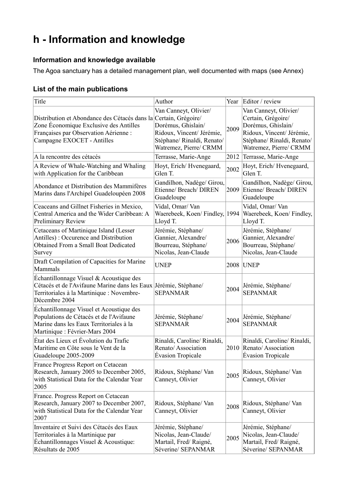## **h - Information and knowledge**

#### **Information and knowledge available**

The Agoa sanctuary has a detailed management plan, well documented with maps (see Annex)

#### **List of the main publications**

| Title                                                                                                                                                                             | Author                                                                                                                           | Year | Editor / review                                                                                                                                        |
|-----------------------------------------------------------------------------------------------------------------------------------------------------------------------------------|----------------------------------------------------------------------------------------------------------------------------------|------|--------------------------------------------------------------------------------------------------------------------------------------------------------|
| Distribution et Abondance des Cétacés dans la Certain, Grégoire/<br>Zone Economique Exclusive des Antilles<br>Françaises par Observation Aérienne :<br>Campagne EXOCET - Antilles | Van Canneyt, Olivier/<br>Dorémus, Ghislain/<br>Ridoux, Vincent/ Jérémie,<br>Stéphane/ Rinaldi, Renato/<br>Watremez, Pierre/ CRMM | 2009 | Van Canneyt, Olivier/<br>Certain, Grégoire/<br>Dorémus, Ghislain/<br>Ridoux, Vincent/ Jérémie,<br>Stéphane/ Rinaldi, Renato/<br>Watremez, Pierre/ CRMM |
| A la rencontre des cétacés                                                                                                                                                        | Terrasse, Marie-Ange                                                                                                             | 2012 | Terrasse, Marie-Ange                                                                                                                                   |
| A Review of Whale-Watching and Whaling<br>with Application for the Caribbean                                                                                                      | Hoyt, Erich/Hyenegaard,<br>Glen T.                                                                                               | 2002 | Hoyt, Erich/Hvenegaard,<br>Glen T.                                                                                                                     |
| Abondance et Distribution des Mammifères<br>Marins dans l'Archipel Guadeloupéen 2008                                                                                              | Gandilhon, Nadège/ Girou,<br>Etienne/ Breach/ DIREN<br>Guadeloupe                                                                | 2009 | Gandilhon, Nadège/ Girou,<br>Etienne/ Breach/ DIREN<br>Guadeloupe                                                                                      |
| Ceaceans and Gillnet Fisheries in Mexico,<br>Central America and the Wider Caribbean: A<br>Preliminary Review                                                                     | Vidal, Omar/Van<br>Waerebeek, Koen/Findley,<br>Lloyd T.                                                                          | 1994 | Vidal, Omar/Van<br>Waerebeek, Koen/Findley,<br>Lloyd T.                                                                                                |
| Cetaceans of Martinique Island (Lesser<br>Antilles): Occurence and Distribution<br>Obtained From a Small Boat Dedicated<br>Survey                                                 | Jérémie, Stéphane/<br>Gannier, Alexandre/<br>Bourreau, Stéphane/<br>Nicolas, Jean-Claude                                         | 2006 | Jérémie, Stéphane/<br>Gannier, Alexandre/<br>Bourreau, Stéphane/<br>Nicolas, Jean-Claude                                                               |
| Draft Compilation of Capacities for Marine<br>Mammals                                                                                                                             | <b>UNEP</b>                                                                                                                      | 2008 | <b>UNEP</b>                                                                                                                                            |
| Echantillonnage Visuel & Acoustique des<br>Cétacés et de l'Avifaune Marine dans les Eaux Jérémie, Stéphane/<br>Territoriales à la Martinique : Novembre-<br>Décembre 2004         | <b>SEPANMAR</b>                                                                                                                  | 2004 | Jérémie, Stéphane/<br><b>SEPANMAR</b>                                                                                                                  |
| Echantillonnage Visuel et Acoustique des<br>Populations de Cétacés et de l'Avifaune<br>Marine dans les Eaux Territoriales à la<br>Martinique : Février-Mars 2004                  | Jérémie, Stéphane/<br><b>SEPANMAR</b>                                                                                            | 2004 | Jérémie, Stéphane/<br><b>SEPANMAR</b>                                                                                                                  |
| État des Lieux et Évolution du Trafic<br>Maritime en Côte sous le Vent de la<br>Guadeloupe 2005-2009                                                                              | Rinaldi, Caroline/ Rinaldi,<br>Renato/Association<br><b>Évasion Tropicale</b>                                                    | 2010 | Rinaldi, Caroline/ Rinaldi,<br>Renato/Association<br><b>Evasion Tropicale</b>                                                                          |
| France Progress Report on Cetacean<br>Research, January 2005 to December 2005,<br>with Statistical Data for the Calendar Year<br>2005                                             | Ridoux, Stéphane/Van<br>Canneyt, Olivier                                                                                         | 2005 | Ridoux, Stéphane/Van<br>Canneyt, Olivier                                                                                                               |
| France. Progress Report on Cetacean<br>Research, January 2007 to December 2007,<br>with Statistical Data for the Calendar Year<br>2007                                            | Ridoux, Stéphane/Van<br>Canneyt, Olivier                                                                                         | 2008 | Ridoux, Stéphane/Van<br>Canneyt, Olivier                                                                                                               |
| Inventaire et Suivi des Cétacés des Eaux<br>Territoriales à la Martinique par<br>Echantillonnages Visuel & Acoustique:<br>Résultats de 2005                                       | Jérémie, Stéphane/<br>Nicolas, Jean-Claude/<br>Martail, Fred/Raigné,<br>Séverine/ SEPANMAR                                       | 2005 | Jérémie, Stéphane/<br>Nicolas, Jean-Claude/<br>Martail, Fred/Raigné,<br>Séverine/ SEPANMAR                                                             |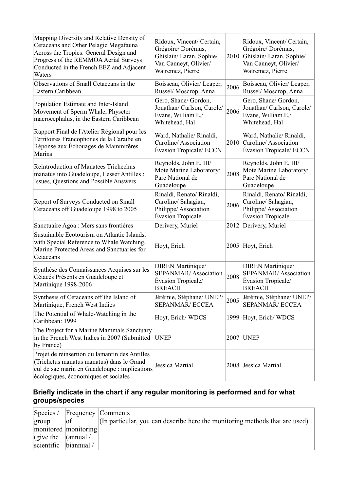| Mapping Diversity and Relative Density of<br>Cetaceans and Other Pelagic Megafauna<br>Across the Tropics: General Design and<br>Progress of the REMMOA Aerial Surveys<br>Conducted in the French EEZ and Adjacent<br>Waters | Ridoux, Vincent/ Certain,<br>Grégoire/Dorémus,<br>Ghislain/Laran, Sophie/<br>Van Canneyt, Olivier/<br>Watremez, Pierre | 2010 | Ridoux, Vincent/ Certain,<br>Grégoire/Dorémus,<br>Ghislain/Laran, Sophie/<br>Van Canneyt, Olivier/<br>Watremez, Pierre |
|-----------------------------------------------------------------------------------------------------------------------------------------------------------------------------------------------------------------------------|------------------------------------------------------------------------------------------------------------------------|------|------------------------------------------------------------------------------------------------------------------------|
| Observations of Small Cetaceans in the<br>Eastern Caribbean                                                                                                                                                                 | Boisseau, Olivier/Leaper,<br>Russel/Moscrop, Anna                                                                      | 2006 | Boisseau, Olivier/Leaper,<br>Russel/Moscrop, Anna                                                                      |
| Population Estimate and Inter-Island<br>Movement of Sperm Whale, Physeter<br>macrocephalus, in the Eastern Caribbean                                                                                                        | Gero, Shane/ Gordon,<br>Jonathan/ Carlson, Carole/<br>Evans, William E./<br>Whitehead, Hal                             | 2006 | Gero, Shane/ Gordon,<br>Jonathan/ Carlson, Carole/<br>Evans, William E./<br>Whitehead, Hal                             |
| Rapport Final de l'Atelier Régional pour les<br>Territoires Francophones de la Caraïbe en<br>Réponse aux Échouages de Mammifères<br>Marins                                                                                  | Ward, Nathalie/ Rinaldi,<br>Caroline/Association<br>Évasion Tropicale/ ECCN                                            | 2010 | Ward, Nathalie/ Rinaldi,<br>Caroline/Association<br>Évasion Tropicale/ ECCN                                            |
| <b>Reintroduction of Manatees Trichechus</b><br>manatus into Guadeloupe, Lesser Antilles :<br>Issues, Questions and Possible Answers                                                                                        | Reynolds, John E. III/<br>Mote Marine Laboratory/<br>Parc National de<br>Guadeloupe                                    | 2008 | Reynolds, John E. III/<br>Mote Marine Laboratory/<br>Parc National de<br>Guadeloupe                                    |
| Report of Surveys Conducted on Small<br>Cetaceans off Guadeloupe 1998 to 2005                                                                                                                                               | Rinaldi, Renato/ Rinaldi,<br>Caroline/ Sahagian,<br>Philippe/Association<br><b>Évasion Tropicale</b>                   | 2006 | Rinaldi, Renato/ Rinaldi,<br>Caroline/ Sahagian,<br>Philippe/Association<br><b>Évasion Tropicale</b>                   |
| Sanctuaire Agoa : Mers sans frontières                                                                                                                                                                                      | Derivery, Muriel                                                                                                       | 2012 | Derivery, Muriel                                                                                                       |
| Sustainable Ecotourism on Atlantic Islands,<br>with Special Reference to Whale Watching,<br>Marine Protected Areas and Sanctuaries for<br>Cetaceans                                                                         | Hoyt, Erich                                                                                                            |      | 2005 Hoyt, Erich                                                                                                       |
| Synthèse des Connaissances Acquises sur les<br>Cétacés Présents en Guadeloupe et<br>Martinique 1998-2006                                                                                                                    | <b>DIREN</b> Martinique/<br><b>SEPANMAR/Association</b><br>Évasion Tropicale/<br><b>BREACH</b>                         | 2008 | <b>DIREN</b> Martinique/<br>SEPANMAR/Association<br><b>Évasion Tropicale/</b><br><b>BREACH</b>                         |
| Synthesis of Cetaceans off the Island of<br>Martinique, French West Indies                                                                                                                                                  | Jérémie, Stéphane/ UNEP/<br><b>SEPANMAR/ ECCEA</b>                                                                     | 2005 | Jérémie, Stéphane/ UNEP/<br><b>SEPANMAR/ ECCEA</b>                                                                     |
| The Potential of Whale-Watching in the<br>Caribbean: 1999                                                                                                                                                                   | Hoyt, Erich/WDCS                                                                                                       | 1999 | Hoyt, Erich/WDCS                                                                                                       |
| The Project for a Marine Mammals Sanctuary<br>in the French West Indies in 2007 (Submitted<br>by France)                                                                                                                    | <b>UNEP</b>                                                                                                            | 2007 | <b>UNEP</b>                                                                                                            |
| Projet de réinsertion du lamantin des Antilles<br>(Trichetus manatus manatus) dans le Grand<br>cul de sac marin en Guadeloupe : implications<br>écologiques, économiques et sociales                                        | Jessica Martial                                                                                                        | 2008 | Jessica Martial                                                                                                        |

#### **Briefly indicate in the chart if any regular monitoring is performed and for what groups/species**

|                             | Species / Frequency Comments |                                                                             |
|-----------------------------|------------------------------|-----------------------------------------------------------------------------|
| group                       | of                           | (In particular, you can describe here the monitoring methods that are used) |
|                             | monitored   monitoring       |                                                                             |
| $ $ (give the $ $ (annual / |                              |                                                                             |
| $ scientific$ $ biannual$ / |                              |                                                                             |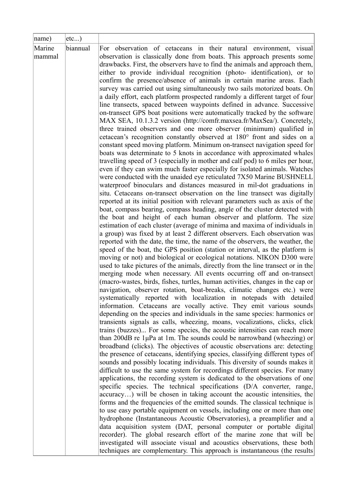|                            | etc)     |                                                                                                                                                                                                                                                                                                                                                                                                                                                                                                                                                                                                                                                                                                                                                                                                                                                                                                                                                                                                                                                                                                                                                                                                                                                                                                                                                                                                                                                                                                                                                                                                                                                                                                                                                                                                                                                                                                                                                                                                                                                                                                                                                                                                                                                                                                                                                                                                                                                                                                                                                                                                                                                                                                                                                                                                                                                                                                                                                                                                                                                                                                                                                                                                                                                                                                                                                                                                                                                                                                                                                                                                                                                                                                                                                                                                                                                                                         |
|----------------------------|----------|-----------------------------------------------------------------------------------------------------------------------------------------------------------------------------------------------------------------------------------------------------------------------------------------------------------------------------------------------------------------------------------------------------------------------------------------------------------------------------------------------------------------------------------------------------------------------------------------------------------------------------------------------------------------------------------------------------------------------------------------------------------------------------------------------------------------------------------------------------------------------------------------------------------------------------------------------------------------------------------------------------------------------------------------------------------------------------------------------------------------------------------------------------------------------------------------------------------------------------------------------------------------------------------------------------------------------------------------------------------------------------------------------------------------------------------------------------------------------------------------------------------------------------------------------------------------------------------------------------------------------------------------------------------------------------------------------------------------------------------------------------------------------------------------------------------------------------------------------------------------------------------------------------------------------------------------------------------------------------------------------------------------------------------------------------------------------------------------------------------------------------------------------------------------------------------------------------------------------------------------------------------------------------------------------------------------------------------------------------------------------------------------------------------------------------------------------------------------------------------------------------------------------------------------------------------------------------------------------------------------------------------------------------------------------------------------------------------------------------------------------------------------------------------------------------------------------------------------------------------------------------------------------------------------------------------------------------------------------------------------------------------------------------------------------------------------------------------------------------------------------------------------------------------------------------------------------------------------------------------------------------------------------------------------------------------------------------------------------------------------------------------------------------------------------------------------------------------------------------------------------------------------------------------------------------------------------------------------------------------------------------------------------------------------------------------------------------------------------------------------------------------------------------------------------------------------------------------------------------------------------------------------|
| name)<br>Marine<br> mammal | biannual | For observation of cetaceans in their natural environment, visual<br>observation is classically done from boats. This approach presents some<br>drawbacks. First, the observers have to find the animals and approach them,<br>either to provide individual recognition (photo- identification), or to<br>confirm the presence/absence of animals in certain marine areas. Each<br>survey was carried out using simultaneously two sails motorized boats. On<br>a daily effort, each platform prospected randomly a different target of four<br>line transects, spaced between waypoints defined in advance. Successive<br>on-transect GPS boat positions were automatically tracked by the software<br>MAX SEA, 10.1.3.2 version (http://comfr.maxsea.fr/MaxSea/). Concretely,<br>three trained observers and one more observer (minimum) qualified in<br>cetacean's recognition constantly observed at 180° front and sides on a<br>constant speed moving platform. Minimum on-transect navigation speed for<br>boats was determinate to 5 knots in accordance with approximated whales<br>travelling speed of 3 (especially in mother and calf pod) to 6 miles per hour,<br>even if they can swim much faster especially for isolated animals. Watches<br>were conducted with the unaided eye reticulated 7X50 Marine BUSHNELL<br>waterproof binoculars and distances measured in mil-dot graduations in<br>situ. Cetaceans on-transect observation on the line transect was digitally<br>reported at its initial position with relevant parameters such as axis of the<br>boat, compass bearing, compass heading, angle of the cluster detected with<br>the boat and height of each human observer and platform. The size<br>estimation of each cluster (average of minima and maxima of individuals in<br>a group) was fixed by at least 2 different observers. Each observation was<br>reported with the date, the time, the name of the observers, the weather, the<br>speed of the boat, the GPS position (station or interval, as the platform is<br>moving or not) and biological or ecological notations. NIKON D300 were<br>used to take pictures of the animals, directly from the line transect or in the<br>merging mode when necessary. All events occurring off and on-transect<br>(macro-wastes, birds, fishes, turtles, human activities, changes in the cap or<br>navigation, observer rotation, boat-breaks, climatic changes etc.) were<br>systematically reported with localization in notepads with detailed<br>information. Cetaceans are vocally active. They emit various sounds<br>depending on the species and individuals in the same species: harmonics or<br>transients signals as calls, wheezing, moans, vocalizations, clicks, click<br>trains (buzzes) For some species, the acoustic intensities can reach more<br>than 200dB re 1µPa at 1m. The sounds could be narrowband (wheezing) or<br>broadband (clicks). The objectives of acoustic observations are: detecting<br>the presence of cetaceans, identifying species, classifying different types of<br>sounds and possibly locating individuals. This diversity of sounds makes it<br>difficult to use the same system for recordings different species. For many<br>applications, the recording system is dedicated to the observations of one<br>specific species. The technical specifications (D/A converter, range,<br>accuracy) will be chosen in taking account the acoustic intensities, the<br>forms and the frequencies of the emitted sounds. The classical technique is<br>to use easy portable equipment on vessels, including one or more than one<br>hydrophone (Instantaneous Acoustic Observatories), a preamplifier and a<br>data acquisition system (DAT, personal computer or portable digital)<br>recorder). The global research effort of the marine zone that will be |
|                            |          | investigated will associate visual and acoustics observations, these both                                                                                                                                                                                                                                                                                                                                                                                                                                                                                                                                                                                                                                                                                                                                                                                                                                                                                                                                                                                                                                                                                                                                                                                                                                                                                                                                                                                                                                                                                                                                                                                                                                                                                                                                                                                                                                                                                                                                                                                                                                                                                                                                                                                                                                                                                                                                                                                                                                                                                                                                                                                                                                                                                                                                                                                                                                                                                                                                                                                                                                                                                                                                                                                                                                                                                                                                                                                                                                                                                                                                                                                                                                                                                                                                                                                                               |
|                            |          | techniques are complementary. This approach is instantaneous (the results)                                                                                                                                                                                                                                                                                                                                                                                                                                                                                                                                                                                                                                                                                                                                                                                                                                                                                                                                                                                                                                                                                                                                                                                                                                                                                                                                                                                                                                                                                                                                                                                                                                                                                                                                                                                                                                                                                                                                                                                                                                                                                                                                                                                                                                                                                                                                                                                                                                                                                                                                                                                                                                                                                                                                                                                                                                                                                                                                                                                                                                                                                                                                                                                                                                                                                                                                                                                                                                                                                                                                                                                                                                                                                                                                                                                                              |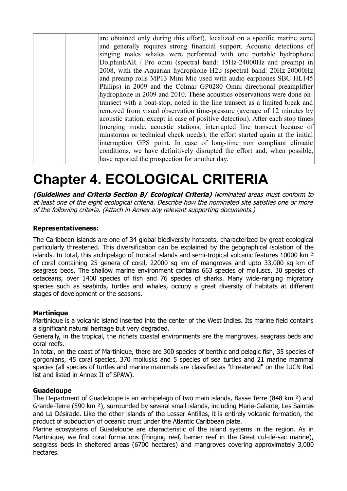| are obtained only during this effort), localized on a specific marine zone     |
|--------------------------------------------------------------------------------|
| and generally requires strong financial support. Acoustic detections of        |
| singing males whales were performed with one portable hydrophone               |
| DolphinEAR / Pro omni (spectral band: 15Hz-24000Hz and preamp) in              |
| 2008, with the Aquarian hydrophone H2b (spectral band: 20Hz-20000Hz)           |
| and preamp rolls MP13 Mini Mic used with audio earphones SBC HL145             |
| Philips) in 2009 and the Colmar GP0280 Omni directional preamplifier           |
| hydrophone in 2009 and 2010. These acoustics observations were done on-        |
| transect with a boat-stop, noted in the line transect as a limited break and   |
| removed from visual observation time-pressure (average of 12 minutes by        |
| acoustic station, except in case of positive detection). After each stop times |
| (merging mode, acoustic stations, interrupted line transect because of         |
| rainstorms or technical check needs), the effort started again at the initial  |
| interruption GPS point. In case of long-time non compliant climatic            |
| conditions, we have definitively disrupted the effort and, when possible,      |
| have reported the prospection for another day.                                 |

# **Chapter 4. ECOLOGICAL CRITERIA**

**(Guidelines and Criteria Section B/ Ecological Criteria)** Nominated areas must conform to at least one of the eight ecological criteria. Describe how the nominated site satisfies one or more of the following criteria. (Attach in Annex any relevant supporting documents.)

#### **Representativeness:**

The Caribbean islands are one of 34 global biodiversity hotspots, characterized by great ecological particularly threatened. This diversification can be explained by the geographical isolation of the islands. In total, this archipelago of tropical islands and semi-tropical volcanic features 10000 km<sup>2</sup> of coral containing 25 genera of coral, 22000 sq km of mangroves and upto 33,000 sq km of seagrass beds. The shallow marine environment contains 663 species of molluscs, 30 species of cetaceans, over 1400 species of fish and 76 species of sharks. Many wide-ranging migratory species such as seabirds, turtles and whales, occupy a great diversity of habitats at different stages of development or the seasons.

#### **Martinique**

Martinique is a volcanic island inserted into the center of the West Indies. Its marine field contains a significant natural heritage but very degraded.

Generally, in the tropical, the richets coastal environments are the mangroves, seagrass beds and coral reefs.

In total, on the coast of Martinique, there are 300 species of benthic and pelagic fish, 35 species of gorgonians, 45 coral species, 370 mollusks and 5 species of sea turtles and 21 marine mammal species (all species of turtles and marine mammals are classified as "threatened" on the IUCN Red list and listed in Annex II of SPAW).

#### **Guadeloupe**

The Department of Guadeloupe is an archipelago of two main islands, Basse Terre (848 km ²) and Grande-Terre (590 km ²), surrounded by several small islands, including Marie-Galante, Les Saintes and La Désirade. Like the other islands of the Lesser Antilles, it is entirely volcanic formation, the product of subduction of oceanic crust under the Atlantic Caribbean plate.

Marine ecosystems of Guadeloupe are characteristic of the island systems in the region. As in Martinique, we find coral formations (fringing reef, barrier reef in the Great cul-de-sac marine), seagrass beds in sheltered areas (6700 hectares) and mangroves covering approximately 3,000 hectares.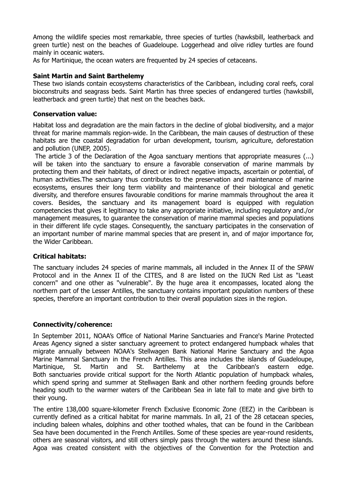Among the wildlife species most remarkable, three species of turtles (hawksbill, leatherback and green turtle) nest on the beaches of Guadeloupe. Loggerhead and olive ridley turtles are found mainly in oceanic waters.

As for Martinique, the ocean waters are frequented by 24 species of cetaceans.

#### **Saint Martin and Saint Barthelemy**

These two islands contain ecosystems characteristics of the Caribbean, including coral reefs, coral bioconstruits and seagrass beds. Saint Martin has three species of endangered turtles (hawksbill, leatherback and green turtle) that nest on the beaches back.

#### **Conservation value:**

Habitat loss and degradation are the main factors in the decline of global biodiversity, and a major threat for marine mammals region-wide. In the Caribbean, the main causes of destruction of these habitats are the coastal degradation for urban development, tourism, agriculture, deforestation and pollution (UNEP, 2005).

The article 3 of the Declaration of the Agoa sanctuary mentions that appropriate measures (...) will be taken into the sanctuary to ensure a favorable conservation of marine mammals by protecting them and their habitats, of direct or indirect negative impacts, ascertain or potential, of human activities.The sanctuary thus contributes to the preservation and maintenance of marine ecosystems, ensures their long term viability and maintenance of their biological and genetic diversity, and therefore ensures favourable conditions for marine mammals throughout the area it covers. Besides, the sanctuary and its management board is equipped with regulation competencies that gives it legitimacy to take any appropriate initiative, including regulatory and./or management measures, to guarantee the conservation of marine mammal species and populations in their different life cycle stages. Consequently, the sanctuary participates in the conservation of an important number of marine mammal species that are present in, and of major importance for, the Wider Caribbean.

#### **Critical habitats:**

The sanctuary includes 24 species of marine mammals, all included in the Annex II of the SPAW Protocol and in the Annex II of the CITES, and 8 are listed on the IUCN Red List as "Least concern" and one other as "vulnerable". By the huge area it encompasses, located along the northern part of the Lesser Antilles, the sanctuary contains important population numbers of these species, therefore an important contribution to their overall population sizes in the region.

#### **Connectivity/coherence:**

In September 2011, NOAA's Office of National Marine Sanctuaries and France's Marine Protected Areas Agency signed a sister sanctuary agreement to protect endangered humpback whales that migrate annually between NOAA's Stellwagen Bank National Marine Sanctuary and the Agoa Marine Mammal Sanctuary in the French Antilles. This area includes the islands of Guadeloupe, Martinique, St. Martin and St. Barthelemy at the Caribbean's eastern edge. Both sanctuaries provide critical support for the North Atlantic population of humpback whales, which spend spring and summer at Stellwagen Bank and other northern feeding grounds before heading south to the warmer waters of the Caribbean Sea in late fall to mate and give birth to their young.

The entire 138,000 square-kilometer French Exclusive Economic Zone (EEZ) in the Caribbean is currently defined as a critical habitat for marine mammals. In all, 21 of the 28 cetacean species, including baleen whales, dolphins and other toothed whales, that can be found in the Caribbean Sea have been documented in the French Antilles. Some of these species are year-round residents, others are seasonal visitors, and still others simply pass through the waters around these islands. Agoa was created consistent with the objectives of the Convention for the Protection and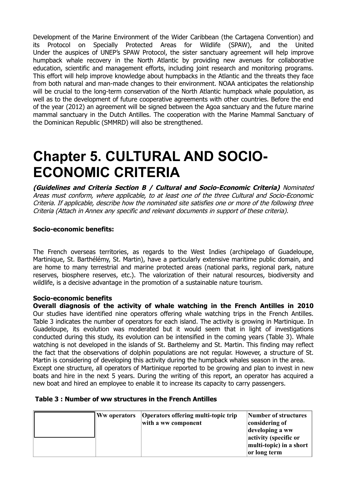Development of the Marine Environment of the Wider Caribbean (the Cartagena Convention) and its Protocol on Specially Protected Areas for Wildlife (SPAW), and the United Under the auspices of UNEP's SPAW Protocol, the sister sanctuary agreement will help improve humpback whale recovery in the North Atlantic by providing new avenues for collaborative education, scientific and management efforts, including joint research and monitoring programs. This effort will help improve knowledge about humpbacks in the Atlantic and the threats they face from both natural and man-made changes to their environment. NOAA anticipates the relationship will be crucial to the long-term conservation of the North Atlantic humpback whale population, as well as to the development of future cooperative agreements with other countries. Before the end of the year (2012) an agreement will be signed between the Agoa sanctuary and the future marine mammal sanctuary in the Dutch Antilles. The cooperation with the Marine Mammal Sanctuary of the Dominican Republic (SMMRD) will also be strengthened.

# **Chapter 5. CULTURAL AND SOCIO-ECONOMIC CRITERIA**

**(Guidelines and Criteria Section B / Cultural and Socio-Economic Criteria)** Nominated Areas must conform, where applicable, to at least one of the three Cultural and Socio-Economic Criteria. If applicable, describe how the nominated site satisfies one or more of the following three Criteria (Attach in Annex any specific and relevant documents in support of these criteria).

#### **Socio-economic benefits:**

The French overseas territories, as regards to the West Indies (archipelago of Guadeloupe, Martinique, St. Barthélémy, St. Martin), have a particularly extensive maritime public domain, and are home to many terrestrial and marine protected areas (national parks, regional park, nature reserves, biosphere reserves, etc.). The valorization of their natural resources, biodiversity and wildlife, is a decisive advantage in the promotion of a sustainable nature tourism.

#### **Socio-economic benefits**

**Overall diagnosis of the activity of whale watching in the French Antilles in 2010** Our studies have identified nine operators offering whale watching trips in the French Antilles. Table 3 indicates the number of operators for each island. The activity is growing in Martinique. In Guadeloupe, its evolution was moderated but it would seem that in light of investigations conducted during this study, its evolution can be intensified in the coming years (Table 3). Whale watching is not developed in the islands of St. Barthelemy and St. Martin. This finding may reflect the fact that the observations of dolphin populations are not regular. However, a structure of St. Martin is considering of developing this activity during the humpback whales season in the area. Except one structure, all operators of Martinique reported to be growing and plan to invest in new boats and hire in the next 5 years. During the writing of this report, an operator has acquired a new boat and hired an employee to enable it to increase its capacity to carry passengers.

#### **Table 3 : Number of ww structures in the French Antilles**

|  | Ww operators | Operators offering multi-topic trip<br>with a ww component | Number of structures<br>considering of<br>developing a ww<br>activity (specific or<br>multi-topic) in a short<br>or long term |
|--|--------------|------------------------------------------------------------|-------------------------------------------------------------------------------------------------------------------------------|
|--|--------------|------------------------------------------------------------|-------------------------------------------------------------------------------------------------------------------------------|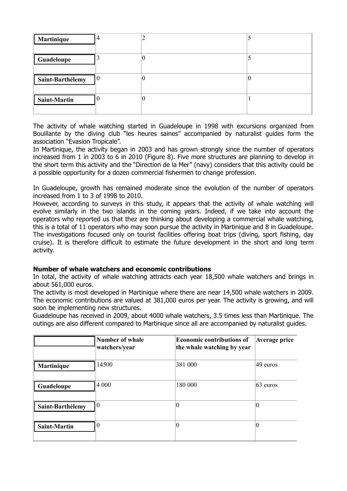| Martinique          |    |   |  |
|---------------------|----|---|--|
| Guadeloupe          |    | 0 |  |
| Saint-Barthélemy    | 10 | 0 |  |
| <b>Saint-Martin</b> |    | U |  |

The activity of whale watching started in Guadeloupe in 1998 with excursions organized from Bouillante by the diving club "les heures saines" accompanied by naturalist guides form the association "Evasion Tropicale".

In Martinique, the activity began in 2003 and has grown strongly since the number of operators increased from 1 in 2003 to 6 in 2010 (Figure 8). Five more structures are planning to develop in the short term this activity and the "Direction de la Mer" (navy) considers that this activity could be a possible opportunity for a dozen commercial fishermen to change profession.

In Guadeloupe, growth has remained moderate since the evolution of the number of operators increased from 1 to 3 of 1998 to 2010.

However, according to surveys in this study, it appears that the activity of whale watching will evolve similarly in the two islands in the coming years. Indeed, if we take into account the operators who reported us that thez are thinking about developing a commercial whale watching, this is a total of 11 operators who may soon pursue the activity in Martinique and 8 in Guadeloupe. The investigations focused only on tourist facilities offering boat trips (diving, sport fishing, day cruise). It is therefore difficult to estimate the future development in the short and long term activity.

#### **Number of whale watchers and economic contributions**

In total, the activity of whale watching attracts each year 18,500 whale watchers and brings in about 561,000 euros.

The activity is most developed in Martinique where there are near 14,500 whale watchers in 2009. The economic contributions are valued at 381,000 euros per year. The activity is growing, and will soon be implementing new structures.

Guadeloupe has received in 2009, about 4000 whale watchers, 3.5 times less than Martinique. The outings are also different compared to Martinique since all are accompanied by naturalist guides.

|                     | <b>Number of whale</b><br>watchers/year | <b>Economic contributions of</b><br>the whale watching by year | Average price |
|---------------------|-----------------------------------------|----------------------------------------------------------------|---------------|
| Martinique          | 14500                                   | 381 000                                                        | 49 euros      |
| Guadeloupe          | 4 000                                   | 180 000                                                        | $63$ euros    |
| Saint-Barthélemy    | $ 0\>$                                  | $\overline{0}$                                                 | 0             |
| <b>Saint-Martin</b> | $\vert$ ()                              | $\overline{0}$                                                 | $\theta$      |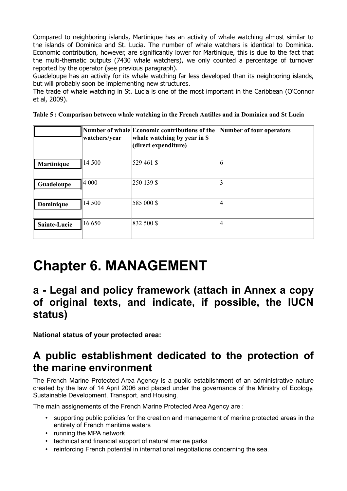Compared to neighboring islands, Martinique has an activity of whale watching almost similar to the islands of Dominica and St. Lucia. The number of whale watchers is identical to Dominica. Economic contribution, however, are significantly lower for Martinique, this is due to the fact that the multi-thematic outputs (7430 whale watchers), we only counted a percentage of turnover reported by the operator (see previous paragraph).

Guadeloupe has an activity for its whale watching far less developed than its neighboring islands, but will probably soon be implementing new structures.

The trade of whale watching in St. Lucia is one of the most important in the Caribbean (O'Connor et al, 2009).

**Table 5 : Comparison between whale watching in the French Antilles and in Dominica and St Lucia**

|              | watchers/year | Number of whale Economic contributions of the<br>whale watching by year in \$<br>(direct expenditure) | Number of tour operators |
|--------------|---------------|-------------------------------------------------------------------------------------------------------|--------------------------|
| Martinique   | 14 500        | 529 461 \$                                                                                            | 6                        |
| Guadeloupe   | 4 000         | 250 139 \$                                                                                            | 3                        |
| Dominique    | 14 500        | 585 000 \$                                                                                            | 4                        |
| Sainte-Lucie | 16 650        | 832 500 \$                                                                                            | 4                        |

# **Chapter 6. MANAGEMENT**

### **a - Legal and policy framework (attach in Annex a copy of original texts, and indicate, if possible, the IUCN status)**

**National status of your protected area:**

### **A public establishment dedicated to the protection of the marine environment**

The French Marine Protected Area Agency is a public establishment of an administrative nature created by the law of 14 April 2006 and placed under the governance of the Ministry of Ecology, Sustainable Development, Transport, and Housing.

The main assignements of the French Marine Protected Area Agency are :

- supporting public policies for the creation and management of marine protected areas in the entirety of French maritime waters
- running the MPA network
- technical and financial support of natural marine parks
- reinforcing French potential in international negotiations concerning the sea.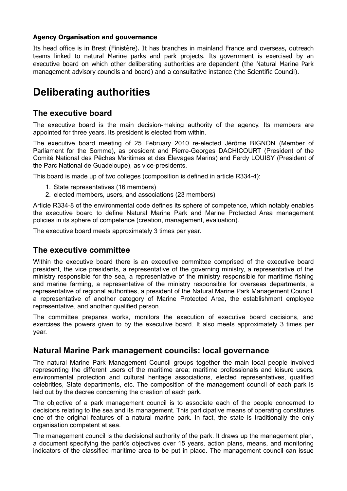#### **Agency Organisation and gouvernance**

Its head office is in Brest (Finistère). It has branches in mainland France and overseas, outreach teams linked to natural Marine parks and park projects. Its government is exercised by an executive board on which other deliberating authorities are dependent (the Natural Marine Park management advisory councils and board) and a consultative instance (the Scientific Council).

### **Deliberating authorities**

#### **The executive board**

The executive board is the main decision-making authority of the agency. Its members are appointed for three years. Its president is elected from within.

The executive board meeting of 25 February 2010 re-elected Jérôme BIGNON (Member of Parliament for the Somme), as president and Pierre-Georges DACHICOURT (President of the Comité National des Pêches Maritimes et des Élevages Marins) and Ferdy LOUISY (President of the Parc National de Guadeloupe), as vice-presidents.

This board is made up of two colleges (composition is defined in article R334-4):

- 1. State representatives (16 members)
- 2. elected members, users, and associations (23 members)

Article R334-8 of the environmental code defines its sphere of competence, which notably enables the executive board to define Natural Marine Park and Marine Protected Area management policies in its sphere of competence (creation, management, evaluation).

The executive board meets approximately 3 times per year.

#### **The executive committee**

Within the executive board there is an executive committee comprised of the executive board president, the vice presidents, a representative of the governing ministry, a representative of the ministry responsible for the sea, a representative of the ministry responsible for maritime fishing and marine farming, a representative of the ministry responsible for overseas departments, a representative of regional authorities, a president of the Natural Marine Park Management Council, a representative of another category of Marine Protected Area, the establishment employee representative, and another qualified person.

The committee prepares works, monitors the execution of executive board decisions, and exercises the powers given to by the executive board. It also meets approximately 3 times per year.

#### **Natural Marine Park management councils: local governance**

The natural Marine Park Management Council groups together the main local people involved representing the different users of the maritime area; maritime professionals and leisure users, environmental protection and cultural heritage associations, elected representatives, qualified celebrities, State departments, etc. The composition of the management council of each park is laid out by the decree concerning the creation of each park.

The objective of a park management council is to associate each of the people concerned to decisions relating to the sea and its management. This participative means of operating constitutes one of the original features of a natural marine park. In fact, the state is traditionally the only organisation competent at sea.

The management council is the decisional authority of the park. It draws up the management plan, a document specifying the park's objectives over 15 years, action plans, means, and monitoring indicators of the classified maritime area to be put in place. The management council can issue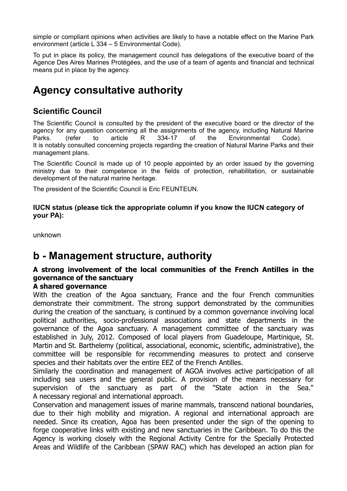simple or compliant opinions when activities are likely to have a notable effect on the Marine Park environment (article L 334 – 5 Environmental Code).

To put in place its policy, the management council has delegations of the executive board of the Agence Des Aires Marines Protégées, and the use of a team of agents and financial and technical means put in place by the agency.

## **Agency consultative authority**

#### **Scientific Council**

The Scientific Council is consulted by the president of the executive board or the director of the agency for any question concerning all the assignments of the agency, including Natural Marine Parks. (refer to article R 334-17 of the Environmental Code). It is notably consulted concerning projects regarding the creation of Natural Marine Parks and their management plans.

The Scientific Council is made up of 10 people appointed by an order issued by the governing ministry due to their competence in the fields of protection, rehabilitation, or sustainable development of the natural marine heritage.

The president of the Scientific Council is Eric FEUNTEUN.

**IUCN status (please tick the appropriate column if you know the IUCN category of your PA):** 

unknown

### **b - Management structure, authority**

#### **A strong involvement of the local communities of the French Antilles in the governance of the sanctuary**

#### **A shared governance**

With the creation of the Agoa sanctuary, France and the four French communities demonstrate their commitment. The strong support demonstrated by the communities during the creation of the sanctuary, is continued by a common governance involving local political authorities, socio-professional associations and state departments in the governance of the Agoa sanctuary. A management committee of the sanctuary was established in July, 2012. Composed of local players from Guadeloupe, Martinique, St. Martin and St. Barthelemy (political, associational, economic, scientific, administrative), the committee will be responsible for recommending measures to protect and conserve species and their habitats over the entire EEZ of the French Antilles.

Similarly the coordination and management of AGOA involves active participation of all including sea users and the general public. A provision of the means necessary for supervision of the sanctuary as part of the "State action in the Sea." A necessary regional and international approach.

Conservation and management issues of marine mammals, transcend national boundaries, due to their high mobility and migration. A regional and international approach are needed. Since its creation, Agoa has been presented under the sign of the opening to forge cooperative links with existing and new sanctuaries in the Caribbean. To do this the Agency is working closely with the Regional Activity Centre for the Specially Protected Areas and Wildlife of the Caribbean (SPAW RAC) which has developed an action plan for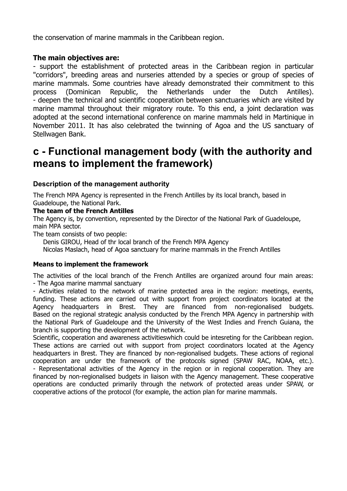the conservation of marine mammals in the Caribbean region.

#### **The main objectives are:**

- support the establishment of protected areas in the Caribbean region in particular "corridors", breeding areas and nurseries attended by a species or group of species of marine mammals. Some countries have already demonstrated their commitment to this process (Dominican Republic, the Netherlands under the Dutch Antilles). - deepen the technical and scientific cooperation between sanctuaries which are visited by marine mammal throughout their migratory route. To this end, a joint declaration was adopted at the second international conference on marine mammals held in Martinique in November 2011. It has also celebrated the twinning of Agoa and the US sanctuary of Stellwagen Bank.

### **c - Functional management body (with the authority and means to implement the framework)**

#### **Description of the management authority**

The French MPA Agency is represented in the French Antilles by its local branch, based in Guadeloupe, the National Park.

#### **The team of the French Antilles**

The Agency is, by convention, represented by the Director of the National Park of Guadeloupe, main MPA sector.

The team consists of two people:

 Denis GIROU, Head of thr local branch of the French MPA Agency Nicolas Maslach, head of Agoa sanctuary for marine mammals in the French Antilles

#### **Means to implement the framework**

The activities of the local branch of the French Antilles are organized around four main areas: - The Agoa marine mammal sanctuary

- Activities related to the network of marine protected area in the region: meetings, events, funding. These actions are carried out with support from project coordinators located at the Agency headquarters in Brest. They are financed from non-regionalised budgets. Based on the regional strategic analysis conducted by the French MPA Agency in partnership with the National Park of Guadeloupe and the University of the West Indies and French Guiana, the branch is supporting the development of the network.

Scientific, cooperation and awareness activitieswhich could be intesreting for the Caribbean region. These actions are carried out with support from project coordinators located at the Agency headquarters in Brest. They are financed by non-regionalised budgets. These actions of regional cooperation are under the framework of the protocols signed (SPAW RAC, NOAA, etc.). - Representational activities of the Agency in the region or in regional cooperation. They are financed by non-regionalised budgets in liaison with the Agency management. These cooperative operations are conducted primarily through the network of protected areas under SPAW, or cooperative actions of the protocol (for example, the action plan for marine mammals.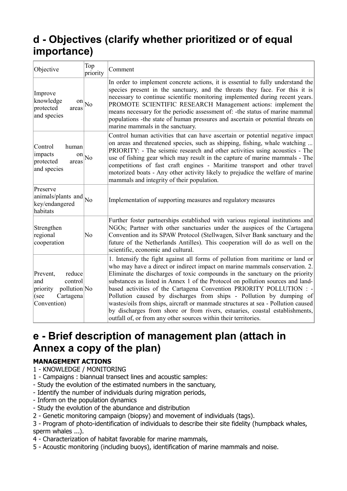## **d - Objectives (clarify whether prioritized or of equal importance)**

| Objective                                                                                            | Top<br>priority | Comment                                                                                                                                                                                                                                                                                                                                                                                                                                                                                                                                                                                                                                                                                                             |  |  |
|------------------------------------------------------------------------------------------------------|-----------------|---------------------------------------------------------------------------------------------------------------------------------------------------------------------------------------------------------------------------------------------------------------------------------------------------------------------------------------------------------------------------------------------------------------------------------------------------------------------------------------------------------------------------------------------------------------------------------------------------------------------------------------------------------------------------------------------------------------------|--|--|
| Improve<br>knowledge<br>on<br>protected<br>areas<br>and species                                      | N <sub>o</sub>  | In order to implement concrete actions, it is essential to fully understand the<br>species present in the sanctuary, and the threats they face. For this it is<br>necessary to continue scientific monitoring implemented during recent years.<br>PROMOTE SCIENTIFIC RESEARCH Management actions: implement the<br>means necessary for the periodic assessment of: - the status of marine mammal<br>populations - the state of human pressures and ascertain or potential threats on<br>marine mammals in the sanctuary.                                                                                                                                                                                            |  |  |
| Control<br>human<br>impacts<br>on<br>protected<br>areas<br>and species                               | No              | Control human activities that can have ascertain or potential negative impact<br>on areas and threatened species, such as shipping, fishing, whale watching<br>PRIORITY: - The seismic research and other activities using acoustics - The<br>use of fishing gear which may result in the capture of marine mammals - The<br>competitions of fast craft engines - Maritime transport and other travel<br>motorized boats - Any other activity likely to prejudice the welfare of marine<br>mammals and integrity of their population.                                                                                                                                                                               |  |  |
| Preserve<br>$\left \text{animals/plants and}\right _{\text{No}}$<br>key/endangered<br>habitats       |                 | Implementation of supporting measures and regulatory measures                                                                                                                                                                                                                                                                                                                                                                                                                                                                                                                                                                                                                                                       |  |  |
| Strengthen<br>regional<br>cooperation                                                                | No              | Further foster partnerships established with various regional institutions and<br>NGOs; Partner with other sanctuaries under the auspices of the Cartagena<br>Convention and its SPAW Protocol (Stellwagen, Silver Bank sanctuary and the<br>future of the Netherlands Antilles). This cooperation will do as well on the<br>scientific, economic and cultural.                                                                                                                                                                                                                                                                                                                                                     |  |  |
| reduce<br>Prevent,<br>control<br>and<br>pollution No<br>priority<br>Cartagena<br>(see<br>Convention) |                 | 1. Intensify the fight against all forms of pollution from maritime or land or<br>who may have a direct or indirect impact on marine mammals conservation. 2.<br>Eliminate the discharges of toxic compounds in the sanctuary on the priority<br>substances as listed in Annex 1 of the Protocol on pollution sources and land-<br>based activities of the Cartagena Convention PRIORITY POLLUTION : -<br>Pollution caused by discharges from ships - Pollution by dumping of<br>wastes/oils from ships, aircraft or manmade structures at sea - Pollution caused<br>by discharges from shore or from rivers, estuaries, coastal establishments,<br>outfall of, or from any other sources within their territories. |  |  |

### **e - Brief description of management plan (attach in Annex a copy of the plan)**

#### **MANAGEMENT ACTIONS**

- 1 KNOWLEDGE / MONITORING
- 1 Campaigns : biannual transect lines and acoustic samples:
- Study the evolution of the estimated numbers in the sanctuary,
- Identify the number of individuals during migration periods,
- Inform on the population dynamics
- Study the evolution of the abundance and distribution
- 2 Genetic monitoring campaign (biopsy) and movement of individuals (tags).
- 3 Program of photo-identification of individuals to describe their site fidelity (humpback whales, sperm whales ...).
- 4 Characterization of habitat favorable for marine mammals,
- 5 Acoustic monitoring (including buoys), identification of marine mammals and noise.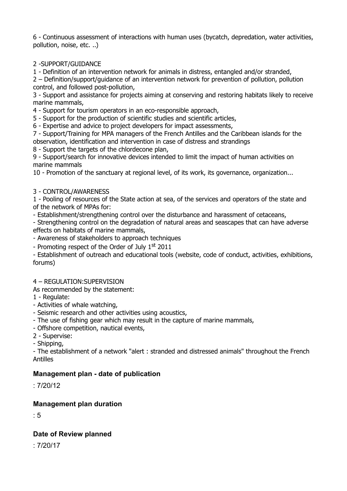6 - Continuous assessment of interactions with human uses (bycatch, depredation, water activities, pollution, noise, etc. ..)

#### 2 -SUPPORT/GUIDANCE

1 - Definition of an intervention network for animals in distress, entangled and/or stranded,

2 – Definition/support/guidance of an intervention network for prevention of pollution, pollution control, and followed post-pollution,

3 - Support and assistance for projects aiming at conserving and restoring habitats likely to receive marine mammals,

4 - Support for tourism operators in an eco-responsible approach,

5 - Support for the production of scientific studies and scientific articles,

6 - Expertise and advice to project developers for impact assessments,

7 - Support/Training for MPA managers of the French Antilles and the Caribbean islands for the observation, identification and intervention in case of distress and strandings

8 - Support the targets of the chlordecone plan,

9 - Support/search for innovative devices intended to limit the impact of human activities on marine mammals

10 - Promotion of the sanctuary at regional level, of its work, its governance, organization...

#### 3 - CONTROL/AWARENESS

1 - Pooling of resources of the State action at sea, of the services and operators of the state and of the network of MPAs for:

- Establishment/strengthening control over the disturbance and harassment of cetaceans,

- Strengthening control on the degradation of natural areas and seascapes that can have adverse effects on habitats of marine mammals,

- Awareness of stakeholders to approach techniques

- Promoting respect of the Order of July  $1<sup>st</sup>$  2011

- Establishment of outreach and educational tools (website, code of conduct, activities, exhibitions, forums)

#### 4 – REGULATION:SUPERVISION

As recommended by the statement:

- 1 Regulate:
- Activities of whale watching,
- Seismic research and other activities using acoustics,
- The use of fishing gear which may result in the capture of marine mammals,
- Offshore competition, nautical events,
- 2 Supervise:

- Shipping,

- The establishment of a network "alert : stranded and distressed animals" throughout the French Antilles

#### **Management plan - date of publication**

: 7/20/12

#### **Management plan duration**

: 5

#### **Date of Review planned**

: 7/20/17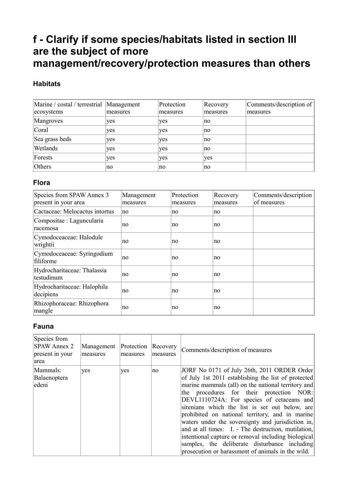## **f - Clarify if some species/habitats listed in section III are the subject of more management/recovery/protection measures than others**

#### **Habitats**

| Marine / costal / terrestrial Management |          | Protection | Recovery | Comments/description of |
|------------------------------------------|----------|------------|----------|-------------------------|
| ecosystems                               | measures | measures   | measures | measures                |
| Mangroves                                | yes      | yes        | no       |                         |
| Coral                                    | yes      | yes        | no       |                         |
| Sea grass beds                           | yes      | yes        | no       |                         |
| Wetlands                                 | yes      | yes        | no       |                         |
| Forests                                  | yes      | yes        | yes      |                         |
| Others                                   | no       | no         | no       |                         |

#### **Flora**

| Species from SPAW Annex 3<br>present in your area | Management<br>measures | Protection<br>measures | Recovery<br>measures | Comments/description<br>of measures |
|---------------------------------------------------|------------------------|------------------------|----------------------|-------------------------------------|
| Cactaceae: Melocactus intortus                    | no                     | no.                    | no                   |                                     |
| Compositae : Laguncularia<br>racemosa             | no                     | no                     | no                   |                                     |
| Cymodoceaceae: Halodule<br>wrightii               | no                     | no                     | no                   |                                     |
| Cymodoceaceae: Syringodium<br>filiforme           | no                     | no                     | no                   |                                     |
| Hydrocharitaceae: Thalassia<br>testudinum         | no                     | no                     | no                   |                                     |
| Hydrocharitaceae: Halophila<br>decipiens          | no                     | no                     | no                   |                                     |
| Rhizophoraceae: Rhizophora<br>mangle              | no                     | no                     | no                   |                                     |

#### **Fauna**

| Species from<br><b>SPAW Annex 2</b><br>present in your<br>area | Management<br>measures | Protection<br>measures | Recovery<br>measures | Comments/description of measures                                                                                                                                                                                                                                                                                                                                                                                                                                                                                                                                                                                                 |
|----------------------------------------------------------------|------------------------|------------------------|----------------------|----------------------------------------------------------------------------------------------------------------------------------------------------------------------------------------------------------------------------------------------------------------------------------------------------------------------------------------------------------------------------------------------------------------------------------------------------------------------------------------------------------------------------------------------------------------------------------------------------------------------------------|
| Mammals:<br>Balaenoptera<br>edeni                              | yes                    | yes                    | no                   | JORF No 0171 of July 26th, 2011 ORDER Order<br>of July 1st 2011 establishing the list of protected<br>marine mammals (all) on the national territory and<br>the procedures for their protection NOR:<br>DEVL1110724A: For species of cetaceans and<br>sirenians which the list is set out below, are<br>prohibited on national territory, and in marine<br>waters under the sovereignty and jurisdiction in,<br>and at all times: I. - The destruction, mutilation,<br>intentional capture or removal including biological<br>samples, the deliberate disturbance including<br>prosecution or harassment of animals in the wild. |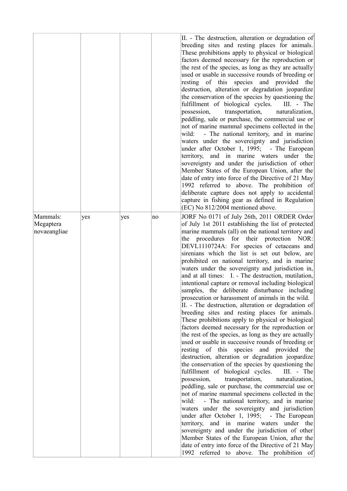|                                       |     |     |    | II. - The destruction, alteration or degradation of<br>breeding sites and resting places for animals.<br>These prohibitions apply to physical or biological<br>factors deemed necessary for the reproduction or<br>the rest of the species, as long as they are actually<br>used or usable in successive rounds of breeding or<br>resting of this species and provided the<br>destruction, alteration or degradation jeopardize<br>the conservation of the species by questioning the<br>fulfillment of biological cycles.<br>III. - The<br>possession,<br>transportation,<br>naturalization,<br>peddling, sale or purchase, the commercial use or<br>not of marine mammal specimens collected in the<br>- The national territory, and in marine<br>wild:<br>waters under the sovereignty and jurisdiction<br>under after October 1, 1995; - The European<br>territory, and in marine waters under the<br>sovereignty and under the jurisdiction of other<br>Member States of the European Union, after the<br>date of entry into force of the Directive of 21 May<br>1992 referred to above. The prohibition of<br>deliberate capture does not apply to accidental<br>capture in fishing gear as defined in Regulation<br>(EC) No 812/2004 mentioned above.                                                                                                                                                                                                                                                                                                                                                                                                                                                                                         |
|---------------------------------------|-----|-----|----|------------------------------------------------------------------------------------------------------------------------------------------------------------------------------------------------------------------------------------------------------------------------------------------------------------------------------------------------------------------------------------------------------------------------------------------------------------------------------------------------------------------------------------------------------------------------------------------------------------------------------------------------------------------------------------------------------------------------------------------------------------------------------------------------------------------------------------------------------------------------------------------------------------------------------------------------------------------------------------------------------------------------------------------------------------------------------------------------------------------------------------------------------------------------------------------------------------------------------------------------------------------------------------------------------------------------------------------------------------------------------------------------------------------------------------------------------------------------------------------------------------------------------------------------------------------------------------------------------------------------------------------------------------------------------------------------------------------------------------------------------|
| Mammals:<br>Megaptera<br>novaeangliae | yes | yes | no | JORF No 0171 of July 26th, 2011 ORDER Order<br>of July 1st 2011 establishing the list of protected<br>marine mammals (all) on the national territory and<br>the procedures for their protection NOR:<br>DEVL1110724A: For species of cetaceans and<br>sirenians which the list is set out below, are<br>prohibited on national territory, and in marine<br>waters under the sovereignty and jurisdiction in,<br>and at all times: I. - The destruction, mutilation,<br>intentional capture or removal including biological<br>samples, the deliberate disturbance including<br>prosecution or harassment of animals in the wild.<br>II. - The destruction, alteration or degradation of<br>breeding sites and resting places for animals.<br>These prohibitions apply to physical or biological<br>factors deemed necessary for the reproduction or<br>the rest of the species, as long as they are actually<br>used or usable in successive rounds of breeding or<br>resting of this species and provided the<br>destruction, alteration or degradation jeopardize<br>the conservation of the species by questioning the<br>fulfillment of biological cycles.<br>III. - The<br>naturalization,<br>possession,<br>transportation,<br>peddling, sale or purchase, the commercial use or<br>not of marine mammal specimens collected in the<br>wild:<br>- The national territory, and in marine<br>waters under the sovereignty and jurisdiction<br>under after October 1, 1995; - The European<br>territory, and in marine waters under the<br>sovereignty and under the jurisdiction of other<br>Member States of the European Union, after the<br>date of entry into force of the Directive of 21 May<br>1992 referred to above. The prohibition of |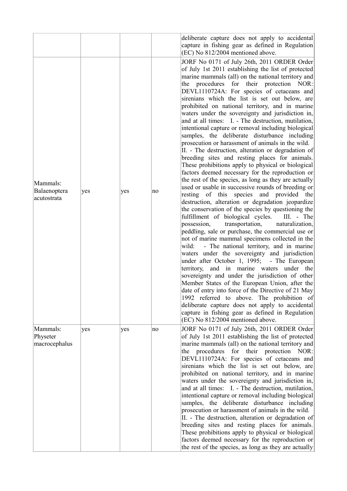|                                         |     |     |    | deliberate capture does not apply to accidental<br>capture in fishing gear as defined in Regulation<br>(EC) No 812/2004 mentioned above.                                                                                                                                                                                                                                                                                                                                                                                                                                                                                                                                                                                                                                                                                                                                                                                                                                                                                                                                                                                                                                                                                                                                                                                                                                                                                                                                                                                                                                                                                                                                                                                                                                                                                                                                                         |
|-----------------------------------------|-----|-----|----|--------------------------------------------------------------------------------------------------------------------------------------------------------------------------------------------------------------------------------------------------------------------------------------------------------------------------------------------------------------------------------------------------------------------------------------------------------------------------------------------------------------------------------------------------------------------------------------------------------------------------------------------------------------------------------------------------------------------------------------------------------------------------------------------------------------------------------------------------------------------------------------------------------------------------------------------------------------------------------------------------------------------------------------------------------------------------------------------------------------------------------------------------------------------------------------------------------------------------------------------------------------------------------------------------------------------------------------------------------------------------------------------------------------------------------------------------------------------------------------------------------------------------------------------------------------------------------------------------------------------------------------------------------------------------------------------------------------------------------------------------------------------------------------------------------------------------------------------------------------------------------------------------|
| Mammals:<br>Balaenoptera<br>acutostrata | yes | yes | no | JORF No 0171 of July 26th, 2011 ORDER Order<br>of July 1st 2011 establishing the list of protected<br>marine mammals (all) on the national territory and<br>the procedures for their protection NOR:<br>DEVL1110724A: For species of cetaceans and<br>sirenians which the list is set out below, are<br>prohibited on national territory, and in marine<br>waters under the sovereignty and jurisdiction in,<br>and at all times: I. - The destruction, mutilation,<br>intentional capture or removal including biological<br>samples, the deliberate disturbance including<br>prosecution or harassment of animals in the wild.<br>II. - The destruction, alteration or degradation of<br>breeding sites and resting places for animals.<br>These prohibitions apply to physical or biological<br>factors deemed necessary for the reproduction or<br>the rest of the species, as long as they are actually<br>used or usable in successive rounds of breeding or<br>resting of this species and provided the<br>destruction, alteration or degradation jeopardize<br>the conservation of the species by questioning the<br>fulfillment of biological cycles.<br>III. - The<br>naturalization,<br>possession,<br>transportation,<br>peddling, sale or purchase, the commercial use or<br>not of marine mammal specimens collected in the<br>- The national territory, and in marine<br>wild:<br>waters under the sovereignty and jurisdiction<br>under after October 1, 1995; - The European<br>territory, and in marine waters under the<br>sovereignty and under the jurisdiction of other<br>Member States of the European Union, after the<br>date of entry into force of the Directive of 21 May<br>1992 referred to above. The prohibition of<br>deliberate capture does not apply to accidental<br>capture in fishing gear as defined in Regulation<br>(EC) No 812/2004 mentioned above. |
| Mammals:<br>Physeter<br>macrocephalus   | yes | yes | no | JORF No 0171 of July 26th, 2011 ORDER Order<br>of July 1st 2011 establishing the list of protected<br>marine mammals (all) on the national territory and<br>procedures for their protection NOR:<br>the<br>DEVL1110724A: For species of cetaceans and<br>sirenians which the list is set out below, are<br>prohibited on national territory, and in marine<br>waters under the sovereignty and jurisdiction in,<br>and at all times: I. - The destruction, mutilation,<br>intentional capture or removal including biological<br>samples, the deliberate disturbance including<br>prosecution or harassment of animals in the wild.<br>II. - The destruction, alteration or degradation of<br>breeding sites and resting places for animals.<br>These prohibitions apply to physical or biological<br>factors deemed necessary for the reproduction or<br>the rest of the species, as long as they are actually                                                                                                                                                                                                                                                                                                                                                                                                                                                                                                                                                                                                                                                                                                                                                                                                                                                                                                                                                                                  |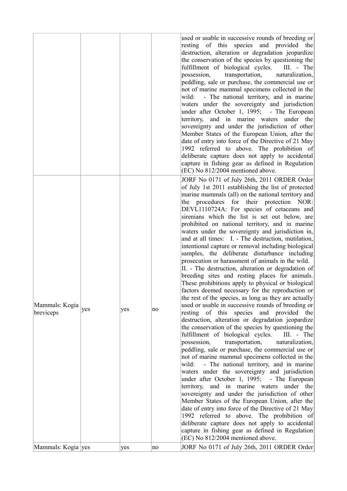|                             |     |     |    | used or usable in successive rounds of breeding or<br>resting of this species and provided the<br>destruction, alteration or degradation jeopardize<br>the conservation of the species by questioning the<br>fulfillment of biological cycles.<br>$III. - The$<br>transportation,<br>possession,<br>naturalization,<br>peddling, sale or purchase, the commercial use or<br>not of marine mammal specimens collected in the<br>- The national territory, and in marine<br>wild:<br>waters under the sovereignty and jurisdiction<br>under after October 1, 1995; - The European<br>territory, and in marine waters under the<br>sovereignty and under the jurisdiction of other<br>Member States of the European Union, after the<br>date of entry into force of the Directive of 21 May<br>1992 referred to above. The prohibition of<br>deliberate capture does not apply to accidental<br>capture in fishing gear as defined in Regulation<br>(EC) No 812/2004 mentioned above.                                                                                                                                                                                                                                                                                                                                                                                                                                                                                                                                                                                                                                                                                                                                                                                                                                                                                                                  |
|-----------------------------|-----|-----|----|-----------------------------------------------------------------------------------------------------------------------------------------------------------------------------------------------------------------------------------------------------------------------------------------------------------------------------------------------------------------------------------------------------------------------------------------------------------------------------------------------------------------------------------------------------------------------------------------------------------------------------------------------------------------------------------------------------------------------------------------------------------------------------------------------------------------------------------------------------------------------------------------------------------------------------------------------------------------------------------------------------------------------------------------------------------------------------------------------------------------------------------------------------------------------------------------------------------------------------------------------------------------------------------------------------------------------------------------------------------------------------------------------------------------------------------------------------------------------------------------------------------------------------------------------------------------------------------------------------------------------------------------------------------------------------------------------------------------------------------------------------------------------------------------------------------------------------------------------------------------------------------------------------|
| Mammals: Kogia<br>breviceps | yes | yes | no | JORF No 0171 of July 26th, 2011 ORDER Order<br>of July 1st 2011 establishing the list of protected<br>marine mammals (all) on the national territory and<br>the procedures for their protection NOR:<br>DEVL1110724A: For species of cetaceans and<br>sirenians which the list is set out below, are<br>prohibited on national territory, and in marine<br>waters under the sovereignty and jurisdiction in,<br>and at all times: I. - The destruction, mutilation,<br>intentional capture or removal including biological<br>samples, the deliberate disturbance including<br>prosecution or harassment of animals in the wild.<br>II. - The destruction, alteration or degradation of<br>breeding sites and resting places for animals.<br>These prohibitions apply to physical or biological<br>factors deemed necessary for the reproduction or<br>the rest of the species, as long as they are actually<br>used or usable in successive rounds of breeding or<br>resting of this species and provided the<br>destruction, alteration or degradation jeopardize<br>the conservation of the species by questioning the<br>fulfillment of biological cycles.<br>III. - The<br>transportation,<br>possession,<br>naturalization,<br>peddling, sale or purchase, the commercial use or<br>not of marine mammal specimens collected in the<br>- The national territory, and in marine<br>wild:<br>waters under the sovereignty and jurisdiction<br>under after October 1, 1995; - The European<br>and in marine waters under the<br>territory,<br>sovereignty and under the jurisdiction of other<br>Member States of the European Union, after the<br>date of entry into force of the Directive of 21 May<br>1992 referred to above. The prohibition of<br>deliberate capture does not apply to accidental<br>capture in fishing gear as defined in Regulation<br>(EC) No 812/2004 mentioned above. |
| Mammals: Kogia yes          |     | yes | no | JORF No 0171 of July 26th, 2011 ORDER Order                                                                                                                                                                                                                                                                                                                                                                                                                                                                                                                                                                                                                                                                                                                                                                                                                                                                                                                                                                                                                                                                                                                                                                                                                                                                                                                                                                                                                                                                                                                                                                                                                                                                                                                                                                                                                                                         |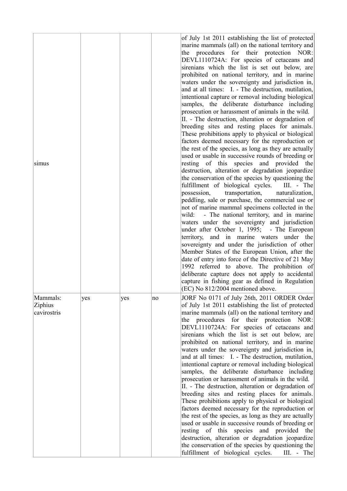| simus                              |     |     |    | of July 1st 2011 establishing the list of protected<br>marine mammals (all) on the national territory and<br>the procedures for their protection NOR:<br>DEVL1110724A: For species of cetaceans and<br>sirenians which the list is set out below, are<br>prohibited on national territory, and in marine<br>waters under the sovereignty and jurisdiction in,<br>and at all times: I. - The destruction, mutilation,<br>intentional capture or removal including biological<br>samples, the deliberate disturbance including<br>prosecution or harassment of animals in the wild.<br>II. - The destruction, alteration or degradation of<br>breeding sites and resting places for animals.<br>These prohibitions apply to physical or biological<br>factors deemed necessary for the reproduction or<br>the rest of the species, as long as they are actually<br>used or usable in successive rounds of breeding or<br>resting of this species and provided the<br>destruction, alteration or degradation jeopardize<br>the conservation of the species by questioning the<br>fulfillment of biological cycles.<br>III. - The<br>naturalization,<br>possession,<br>transportation,<br>peddling, sale or purchase, the commercial use or<br>not of marine mammal specimens collected in the<br>- The national territory, and in marine<br>wild:<br>waters under the sovereignty and jurisdiction<br>under after October 1, 1995; - The European<br>territory, and in marine waters under the<br>sovereignty and under the jurisdiction of other<br>Member States of the European Union, after the<br>date of entry into force of the Directive of 21 May<br>1992 referred to above. The prohibition of<br>deliberate capture does not apply to accidental<br>capture in fishing gear as defined in Regulation<br>(EC) No 812/2004 mentioned above. |
|------------------------------------|-----|-----|----|---------------------------------------------------------------------------------------------------------------------------------------------------------------------------------------------------------------------------------------------------------------------------------------------------------------------------------------------------------------------------------------------------------------------------------------------------------------------------------------------------------------------------------------------------------------------------------------------------------------------------------------------------------------------------------------------------------------------------------------------------------------------------------------------------------------------------------------------------------------------------------------------------------------------------------------------------------------------------------------------------------------------------------------------------------------------------------------------------------------------------------------------------------------------------------------------------------------------------------------------------------------------------------------------------------------------------------------------------------------------------------------------------------------------------------------------------------------------------------------------------------------------------------------------------------------------------------------------------------------------------------------------------------------------------------------------------------------------------------------------------------------------------------------------------------------------------------------------------|
| Mammals:<br>Ziphius<br>cavirostris | yes | yes | no | JORF No 0171 of July 26th, 2011 ORDER Order<br>of July 1st 2011 establishing the list of protected<br>marine mammals (all) on the national territory and<br>the procedures for their protection NOR:<br>DEVL1110724A: For species of cetaceans and<br>sirenians which the list is set out below, are<br>prohibited on national territory, and in marine<br>waters under the sovereignty and jurisdiction in,<br>and at all times: I. - The destruction, mutilation,<br>intentional capture or removal including biological<br>samples, the deliberate disturbance including<br>prosecution or harassment of animals in the wild.<br>II. - The destruction, alteration or degradation of<br>breeding sites and resting places for animals.<br>These prohibitions apply to physical or biological<br>factors deemed necessary for the reproduction or<br>the rest of the species, as long as they are actually<br>used or usable in successive rounds of breeding or<br>resting of this species and provided the<br>destruction, alteration or degradation jeopardize<br>the conservation of the species by questioning the<br>fulfillment of biological cycles.<br>$III. - The$                                                                                                                                                                                                                                                                                                                                                                                                                                                                                                                                                                                                                                                                    |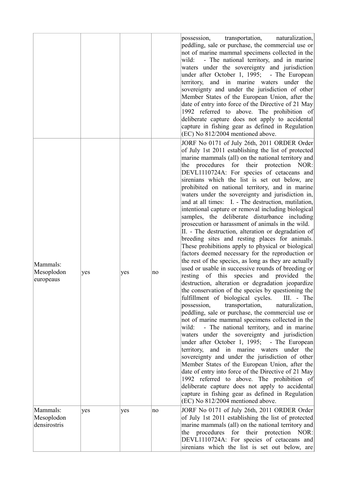|                                        |     |     |    | possession,<br>transportation,<br>naturalization,<br>peddling, sale or purchase, the commercial use or<br>not of marine mammal specimens collected in the<br>wild:<br>- The national territory, and in marine<br>waters under the sovereignty and jurisdiction<br>under after October 1, 1995; - The European<br>and in marine waters under the<br>territory,<br>sovereignty and under the jurisdiction of other<br>Member States of the European Union, after the<br>date of entry into force of the Directive of 21 May<br>1992 referred to above. The prohibition of<br>deliberate capture does not apply to accidental<br>capture in fishing gear as defined in Regulation<br>(EC) No 812/2004 mentioned above.                                                                                                                                                                                                                                                                                                                                                                                                                                                                                                                                                                                                                                                                                                                                                                                                                                                                                                                                                                                                                                                                                                                                                                                |
|----------------------------------------|-----|-----|----|----------------------------------------------------------------------------------------------------------------------------------------------------------------------------------------------------------------------------------------------------------------------------------------------------------------------------------------------------------------------------------------------------------------------------------------------------------------------------------------------------------------------------------------------------------------------------------------------------------------------------------------------------------------------------------------------------------------------------------------------------------------------------------------------------------------------------------------------------------------------------------------------------------------------------------------------------------------------------------------------------------------------------------------------------------------------------------------------------------------------------------------------------------------------------------------------------------------------------------------------------------------------------------------------------------------------------------------------------------------------------------------------------------------------------------------------------------------------------------------------------------------------------------------------------------------------------------------------------------------------------------------------------------------------------------------------------------------------------------------------------------------------------------------------------------------------------------------------------------------------------------------------------|
| Mammals:<br>Mesoplodon<br>europeaus    | yes | yes | no | JORF No 0171 of July 26th, 2011 ORDER Order<br>of July 1st 2011 establishing the list of protected<br>marine mammals (all) on the national territory and<br>the procedures for their protection NOR:<br>DEVL1110724A: For species of cetaceans and<br>sirenians which the list is set out below, are<br>prohibited on national territory, and in marine<br>waters under the sovereignty and jurisdiction in,<br>and at all times: I. - The destruction, mutilation,<br>intentional capture or removal including biological<br>samples, the deliberate disturbance including<br>prosecution or harassment of animals in the wild.<br>II. - The destruction, alteration or degradation of<br>breeding sites and resting places for animals.<br>These prohibitions apply to physical or biological<br>factors deemed necessary for the reproduction or<br>the rest of the species, as long as they are actually<br>used or usable in successive rounds of breeding or<br>resting of this species and provided the<br>destruction, alteration or degradation jeopardize<br>the conservation of the species by questioning the<br>$III. - The$<br>fulfillment of biological cycles.<br>possession,<br>transportation,<br>naturalization,<br>peddling, sale or purchase, the commercial use or<br>not of marine mammal specimens collected in the<br>- The national territory, and in marine<br>wild:<br>waters under the sovereignty and jurisdiction<br>under after October 1, 1995; - The European<br>territory, and in marine waters under the<br>sovereignty and under the jurisdiction of other<br>Member States of the European Union, after the<br>date of entry into force of the Directive of 21 May<br>1992 referred to above. The prohibition of<br>deliberate capture does not apply to accidental<br>capture in fishing gear as defined in Regulation<br>(EC) No 812/2004 mentioned above. |
| Mammals:<br>Mesoplodon<br>densirostris | yes | yes | no | JORF No 0171 of July 26th, 2011 ORDER Order<br>of July 1st 2011 establishing the list of protected<br>marine mammals (all) on the national territory and<br>the procedures for their protection NOR:<br>DEVL1110724A: For species of cetaceans and<br>sirenians which the list is set out below, are                                                                                                                                                                                                                                                                                                                                                                                                                                                                                                                                                                                                                                                                                                                                                                                                                                                                                                                                                                                                                                                                                                                                                                                                                                                                                                                                                                                                                                                                                                                                                                                               |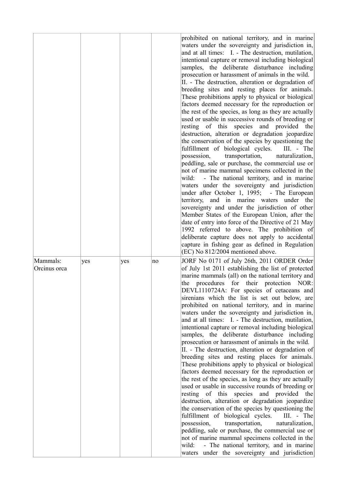|                          |     |     |    | prohibited on national territory, and in marine<br>waters under the sovereignty and jurisdiction in,<br>and at all times: I. - The destruction, mutilation,<br>intentional capture or removal including biological<br>samples, the deliberate disturbance including<br>prosecution or harassment of animals in the wild.<br>II. - The destruction, alteration or degradation of<br>breeding sites and resting places for animals.<br>These prohibitions apply to physical or biological<br>factors deemed necessary for the reproduction or<br>the rest of the species, as long as they are actually<br>used or usable in successive rounds of breeding or<br>resting of this species and provided the<br>destruction, alteration or degradation jeopardize<br>the conservation of the species by questioning the<br>fulfillment of biological cycles.<br>III. - The<br>possession,<br>transportation,<br>naturalization,<br>peddling, sale or purchase, the commercial use or<br>not of marine mammal specimens collected in the<br>wild:<br>- The national territory, and in marine<br>waters under the sovereignty and jurisdiction<br>under after October 1, 1995; - The European<br>and in marine waters under the<br>territory,<br>sovereignty and under the jurisdiction of other<br>Member States of the European Union, after the<br>date of entry into force of the Directive of 21 May<br>1992 referred to above. The prohibition of<br>deliberate capture does not apply to accidental<br>capture in fishing gear as defined in Regulation<br>(EC) No 812/2004 mentioned above. |
|--------------------------|-----|-----|----|---------------------------------------------------------------------------------------------------------------------------------------------------------------------------------------------------------------------------------------------------------------------------------------------------------------------------------------------------------------------------------------------------------------------------------------------------------------------------------------------------------------------------------------------------------------------------------------------------------------------------------------------------------------------------------------------------------------------------------------------------------------------------------------------------------------------------------------------------------------------------------------------------------------------------------------------------------------------------------------------------------------------------------------------------------------------------------------------------------------------------------------------------------------------------------------------------------------------------------------------------------------------------------------------------------------------------------------------------------------------------------------------------------------------------------------------------------------------------------------------------------------------------------------------------------------------------------------------|
| Mammals:<br>Orcinus orca | yes | yes | no | JORF No 0171 of July 26th, 2011 ORDER Order<br>of July 1st 2011 establishing the list of protected<br>marine mammals (all) on the national territory and<br>the procedures for their protection NOR:<br>DEVL1110724A: For species of cetaceans and<br>sirenians which the list is set out below, are<br>prohibited on national territory, and in marine<br>waters under the sovereignty and jurisdiction in,<br>and at all times: I. - The destruction, mutilation,<br>intentional capture or removal including biological<br>samples, the deliberate disturbance including<br>prosecution or harassment of animals in the wild.<br>II. - The destruction, alteration or degradation of<br>breeding sites and resting places for animals.<br>These prohibitions apply to physical or biological<br>factors deemed necessary for the reproduction or<br>the rest of the species, as long as they are actually<br>used or usable in successive rounds of breeding or<br>resting of this species and provided<br>the<br>destruction, alteration or degradation jeopardize<br>the conservation of the species by questioning the<br>fulfillment of biological cycles.<br>III. - The<br>possession,<br>transportation,<br>naturalization,<br>peddling, sale or purchase, the commercial use or<br>not of marine mammal specimens collected in the<br>- The national territory, and in marine<br>wild:<br>waters under the sovereignty and jurisdiction                                                                                                                                           |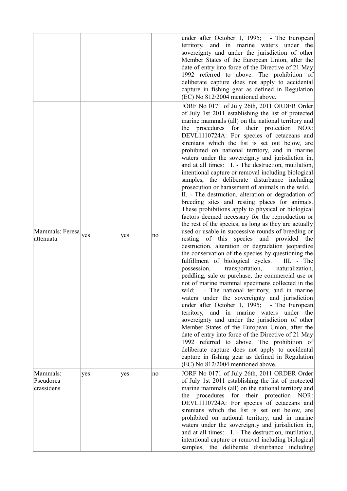|                                             |     |     |    | under after October 1, 1995; - The European<br>territory, and in marine waters under the<br>sovereignty and under the jurisdiction of other<br>Member States of the European Union, after the<br>date of entry into force of the Directive of 21 May<br>1992 referred to above. The prohibition of<br>deliberate capture does not apply to accidental<br>capture in fishing gear as defined in Regulation<br>(EC) No 812/2004 mentioned above.                                                                                                                                                                                                                                                                                                                                                                                                                                                                                                                                                                                                                                                                                                                                                                                                                                                                                                                                                                                                                                                                                                                                                                                                                                                                                                                                                                                                                                                        |
|---------------------------------------------|-----|-----|----|-------------------------------------------------------------------------------------------------------------------------------------------------------------------------------------------------------------------------------------------------------------------------------------------------------------------------------------------------------------------------------------------------------------------------------------------------------------------------------------------------------------------------------------------------------------------------------------------------------------------------------------------------------------------------------------------------------------------------------------------------------------------------------------------------------------------------------------------------------------------------------------------------------------------------------------------------------------------------------------------------------------------------------------------------------------------------------------------------------------------------------------------------------------------------------------------------------------------------------------------------------------------------------------------------------------------------------------------------------------------------------------------------------------------------------------------------------------------------------------------------------------------------------------------------------------------------------------------------------------------------------------------------------------------------------------------------------------------------------------------------------------------------------------------------------------------------------------------------------------------------------------------------------|
| Mammals: Feresa <sub>yes</sub><br>attenuata |     | yes | no | JORF No 0171 of July 26th, 2011 ORDER Order<br>of July 1st 2011 establishing the list of protected<br>marine mammals (all) on the national territory and<br>the procedures for their protection NOR:<br>DEVL1110724A: For species of cetaceans and<br>sirenians which the list is set out below, are<br>prohibited on national territory, and in marine<br>waters under the sovereignty and jurisdiction in,<br>and at all times: I. - The destruction, mutilation,<br>intentional capture or removal including biological<br>samples, the deliberate disturbance including<br>prosecution or harassment of animals in the wild.<br>II. - The destruction, alteration or degradation of<br>breeding sites and resting places for animals.<br>These prohibitions apply to physical or biological<br>factors deemed necessary for the reproduction or<br>the rest of the species, as long as they are actually<br>used or usable in successive rounds of breeding or<br>resting of this species and provided the<br>destruction, alteration or degradation jeopardize<br>the conservation of the species by questioning the<br>fulfillment of biological cycles.<br>$III. - The$<br>transportation,<br>possession,<br>naturalization,<br>peddling, sale or purchase, the commercial use or<br>not of marine mammal specimens collected in the<br>wild:<br>- The national territory, and in marine<br>waters under the sovereignty and jurisdiction<br>under after October 1, 1995; - The European<br>and in marine waters under the<br>territory,<br>sovereignty and under the jurisdiction of other<br>Member States of the European Union, after the<br>date of entry into force of the Directive of 21 May<br>1992 referred to above. The prohibition of<br>deliberate capture does not apply to accidental<br>capture in fishing gear as defined in Regulation<br>(EC) No 812/2004 mentioned above. |
| Mammals:<br>Pseudorca<br>crassidens         | yes | yes | no | JORF No 0171 of July 26th, 2011 ORDER Order<br>of July 1st 2011 establishing the list of protected<br>marine mammals (all) on the national territory and<br>the procedures for their protection NOR:<br>DEVL1110724A: For species of cetaceans and<br>sirenians which the list is set out below, are<br>prohibited on national territory, and in marine<br>waters under the sovereignty and jurisdiction in,<br>and at all times: I. - The destruction, mutilation,<br>intentional capture or removal including biological<br>samples, the deliberate disturbance including                                                                                                                                                                                                                                                                                                                                                                                                                                                                                                                                                                                                                                                                                                                                                                                                                                                                                                                                                                                                                                                                                                                                                                                                                                                                                                                           |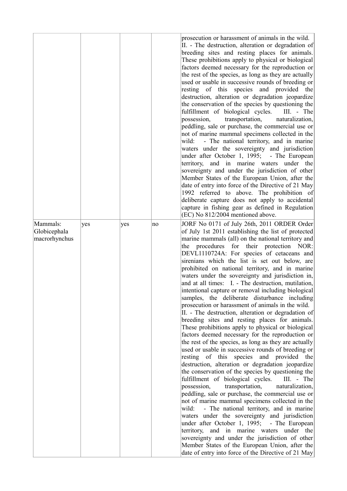|                                           |     |     |    | prosecution or harassment of animals in the wild.<br>II. - The destruction, alteration or degradation of<br>breeding sites and resting places for animals.<br>These prohibitions apply to physical or biological<br>factors deemed necessary for the reproduction or<br>the rest of the species, as long as they are actually<br>used or usable in successive rounds of breeding or<br>resting of this species and provided the<br>destruction, alteration or degradation jeopardize<br>the conservation of the species by questioning the<br>fulfillment of biological cycles.<br>III. - The<br>possession,<br>transportation,<br>naturalization,<br>peddling, sale or purchase, the commercial use or<br>not of marine mammal specimens collected in the<br>- The national territory, and in marine<br>wild:<br>waters under the sovereignty and jurisdiction<br>under after October 1, 1995; - The European<br>territory, and in marine waters under the<br>sovereignty and under the jurisdiction of other<br>Member States of the European Union, after the<br>date of entry into force of the Directive of 21 May<br>1992 referred to above. The prohibition of<br>deliberate capture does not apply to accidental<br>capture in fishing gear as defined in Regulation<br>(EC) No 812/2004 mentioned above.                                                                                                                                                                                                                                                                             |
|-------------------------------------------|-----|-----|----|-----------------------------------------------------------------------------------------------------------------------------------------------------------------------------------------------------------------------------------------------------------------------------------------------------------------------------------------------------------------------------------------------------------------------------------------------------------------------------------------------------------------------------------------------------------------------------------------------------------------------------------------------------------------------------------------------------------------------------------------------------------------------------------------------------------------------------------------------------------------------------------------------------------------------------------------------------------------------------------------------------------------------------------------------------------------------------------------------------------------------------------------------------------------------------------------------------------------------------------------------------------------------------------------------------------------------------------------------------------------------------------------------------------------------------------------------------------------------------------------------------------------------------------------------------------------------------------------------|
| Mammals:<br>Globicephala<br>macrorhynchus | yes | yes | no | JORF No 0171 of July 26th, 2011 ORDER Order<br>of July 1st 2011 establishing the list of protected<br>marine mammals (all) on the national territory and<br>the procedures for their protection NOR:<br>DEVL1110724A: For species of cetaceans and<br>sirenians which the list is set out below, are<br>prohibited on national territory, and in marine<br>waters under the sovereignty and jurisdiction in,<br>and at all times: I. - The destruction, mutilation,<br>intentional capture or removal including biological<br>samples, the deliberate disturbance including<br>prosecution or harassment of animals in the wild.<br>II. - The destruction, alteration or degradation of<br>breeding sites and resting places for animals.<br>These prohibitions apply to physical or biological<br>factors deemed necessary for the reproduction or<br>the rest of the species, as long as they are actually<br>used or usable in successive rounds of breeding or<br>resting of this species and provided the<br>destruction, alteration or degradation jeopardize<br>the conservation of the species by questioning the<br>fulfillment of biological cycles.<br>III. - The<br>possession,<br>transportation,<br>naturalization,<br>peddling, sale or purchase, the commercial use or<br>not of marine mammal specimens collected in the<br>- The national territory, and in marine<br>wild:<br>waters under the sovereignty and jurisdiction<br>under after October 1, 1995; - The European<br>territory, and in marine waters under the<br>sovereignty and under the jurisdiction of other |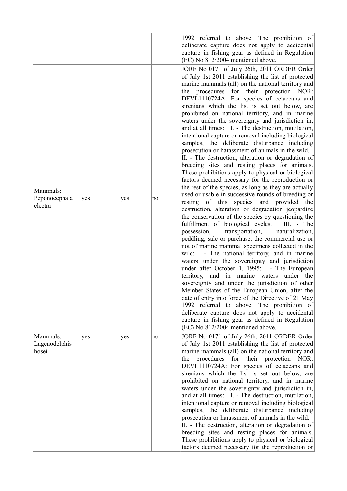| Mammals:<br>Peponocephala<br>electra | yes | yes | no | 1992 referred to above. The prohibition of<br>deliberate capture does not apply to accidental<br>capture in fishing gear as defined in Regulation<br>(EC) No 812/2004 mentioned above.<br>JORF No 0171 of July 26th, 2011 ORDER Order<br>of July 1st 2011 establishing the list of protected<br>marine mammals (all) on the national territory and<br>the procedures for their protection NOR:<br>DEVL1110724A: For species of cetaceans and<br>sirenians which the list is set out below, are<br>prohibited on national territory, and in marine<br>waters under the sovereignty and jurisdiction in,<br>and at all times: I. - The destruction, mutilation,<br>intentional capture or removal including biological<br>samples, the deliberate disturbance including<br>prosecution or harassment of animals in the wild.<br>II. - The destruction, alteration or degradation of<br>breeding sites and resting places for animals.<br>These prohibitions apply to physical or biological<br>factors deemed necessary for the reproduction or<br>the rest of the species, as long as they are actually<br>used or usable in successive rounds of breeding or<br>resting of this species and provided the<br>destruction, alteration or degradation jeopardize<br>the conservation of the species by questioning the<br>fulfillment of biological cycles.<br>III. - The<br>transportation,<br>naturalization,<br>possession,<br>peddling, sale or purchase, the commercial use or<br>not of marine mammal specimens collected in the<br>- The national territory, and in marine<br>wild:<br>waters under the sovereignty and jurisdiction<br>under after October 1, 1995; - The European<br>territory, and in marine waters under the<br>sovereignty and under the jurisdiction of other<br>Member States of the European Union, after the<br>date of entry into force of the Directive of 21 May<br>1992 referred to above. The prohibition of<br>deliberate capture does not apply to accidental<br>capture in fishing gear as defined in Regulation<br>(EC) No 812/2004 mentioned above. |
|--------------------------------------|-----|-----|----|--------------------------------------------------------------------------------------------------------------------------------------------------------------------------------------------------------------------------------------------------------------------------------------------------------------------------------------------------------------------------------------------------------------------------------------------------------------------------------------------------------------------------------------------------------------------------------------------------------------------------------------------------------------------------------------------------------------------------------------------------------------------------------------------------------------------------------------------------------------------------------------------------------------------------------------------------------------------------------------------------------------------------------------------------------------------------------------------------------------------------------------------------------------------------------------------------------------------------------------------------------------------------------------------------------------------------------------------------------------------------------------------------------------------------------------------------------------------------------------------------------------------------------------------------------------------------------------------------------------------------------------------------------------------------------------------------------------------------------------------------------------------------------------------------------------------------------------------------------------------------------------------------------------------------------------------------------------------------------------------------------------------------------------------------------------------------------------------|
| Mammals:<br>Lagenodelphis<br>hosei   | yes | yes | no | JORF No 0171 of July 26th, 2011 ORDER Order<br>of July 1st 2011 establishing the list of protected<br>marine mammals (all) on the national territory and<br>procedures for their protection NOR:<br>the<br>DEVL1110724A: For species of cetaceans and<br>sirenians which the list is set out below, are<br>prohibited on national territory, and in marine<br>waters under the sovereignty and jurisdiction in,<br>and at all times: I. - The destruction, mutilation,<br>intentional capture or removal including biological<br>samples, the deliberate disturbance including<br>prosecution or harassment of animals in the wild.<br>II. - The destruction, alteration or degradation of<br>breeding sites and resting places for animals.<br>These prohibitions apply to physical or biological<br>factors deemed necessary for the reproduction or                                                                                                                                                                                                                                                                                                                                                                                                                                                                                                                                                                                                                                                                                                                                                                                                                                                                                                                                                                                                                                                                                                                                                                                                                                     |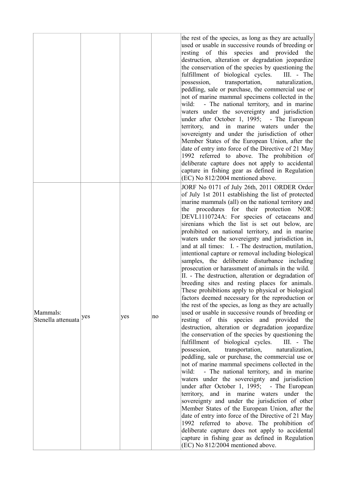|                                |     |     |    | the rest of the species, as long as they are actually<br>used or usable in successive rounds of breeding or<br>resting of this species and provided the<br>destruction, alteration or degradation jeopardize<br>the conservation of the species by questioning the<br>fulfillment of biological cycles.<br>III. - The<br>possession,<br>transportation,<br>naturalization,<br>peddling, sale or purchase, the commercial use or<br>not of marine mammal specimens collected in the<br>- The national territory, and in marine<br>wild:<br>waters under the sovereignty and jurisdiction<br>under after October 1, 1995; - The European<br>territory, and in marine waters under the<br>sovereignty and under the jurisdiction of other<br>Member States of the European Union, after the<br>date of entry into force of the Directive of 21 May<br>1992 referred to above. The prohibition of<br>deliberate capture does not apply to accidental<br>capture in fishing gear as defined in Regulation<br>(EC) No 812/2004 mentioned above.                                                                                                                                                                                                                                                                                                                                                                                                                                                                                                                                                                                                                                                                                                                                                                                                                                                          |
|--------------------------------|-----|-----|----|----------------------------------------------------------------------------------------------------------------------------------------------------------------------------------------------------------------------------------------------------------------------------------------------------------------------------------------------------------------------------------------------------------------------------------------------------------------------------------------------------------------------------------------------------------------------------------------------------------------------------------------------------------------------------------------------------------------------------------------------------------------------------------------------------------------------------------------------------------------------------------------------------------------------------------------------------------------------------------------------------------------------------------------------------------------------------------------------------------------------------------------------------------------------------------------------------------------------------------------------------------------------------------------------------------------------------------------------------------------------------------------------------------------------------------------------------------------------------------------------------------------------------------------------------------------------------------------------------------------------------------------------------------------------------------------------------------------------------------------------------------------------------------------------------------------------------------------------------------------------------------------------------|
| Mammals:<br>Stenella attenuata | yes | yes | no | JORF No 0171 of July 26th, 2011 ORDER Order<br>of July 1st 2011 establishing the list of protected<br>marine mammals (all) on the national territory and<br>the procedures for their protection NOR:<br>DEVL1110724A: For species of cetaceans and<br>sirenians which the list is set out below, are<br>prohibited on national territory, and in marine<br>waters under the sovereignty and jurisdiction in,<br>and at all times: I. - The destruction, mutilation,<br>intentional capture or removal including biological<br>samples, the deliberate disturbance including<br>prosecution or harassment of animals in the wild.<br>II. - The destruction, alteration or degradation of<br>breeding sites and resting places for animals.<br>These prohibitions apply to physical or biological<br>factors deemed necessary for the reproduction or<br>the rest of the species, as long as they are actually<br>used or usable in successive rounds of breeding or<br>resting of this species and provided the<br>destruction, alteration or degradation jeopardize<br>the conservation of the species by questioning the<br>fulfillment of biological cycles.<br>$III. - The$<br>possession,<br>transportation,<br>naturalization,<br>peddling, sale or purchase, the commercial use or<br>not of marine mammal specimens collected in the<br>wild:<br>- The national territory, and in marine<br>waters under the sovereignty and jurisdiction<br>under after October 1, 1995; - The European<br>territory, and in marine waters under the<br>sovereignty and under the jurisdiction of other<br>Member States of the European Union, after the<br>date of entry into force of the Directive of 21 May<br>1992 referred to above. The prohibition of<br>deliberate capture does not apply to accidental<br>capture in fishing gear as defined in Regulation<br>(EC) No 812/2004 mentioned above. |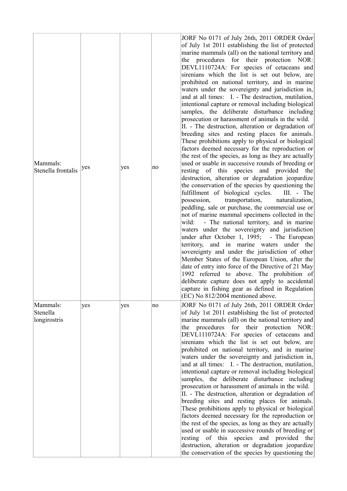| Mammals:<br>Stenella frontalis       | yes | yes | no | JORF No 0171 of July 26th, 2011 ORDER Order<br>of July 1st 2011 establishing the list of protected<br>marine mammals (all) on the national territory and<br>the procedures for their protection NOR:<br>DEVL1110724A: For species of cetaceans and<br>sirenians which the list is set out below, are<br>prohibited on national territory, and in marine<br>waters under the sovereignty and jurisdiction in,<br>and at all times: I. - The destruction, mutilation,<br>intentional capture or removal including biological<br>samples, the deliberate disturbance including<br>prosecution or harassment of animals in the wild.<br>II. - The destruction, alteration or degradation of<br>breeding sites and resting places for animals.<br>These prohibitions apply to physical or biological<br>factors deemed necessary for the reproduction or<br>the rest of the species, as long as they are actually<br>used or usable in successive rounds of breeding or<br>resting of this species and provided the<br>destruction, alteration or degradation jeopardize<br>the conservation of the species by questioning the<br>fulfillment of biological cycles.<br>III. - The<br>possession,<br>transportation,<br>naturalization,<br>peddling, sale or purchase, the commercial use or<br>not of marine mammal specimens collected in the<br>- The national territory, and in marine<br>wild:<br>waters under the sovereignty and jurisdiction<br>under after October 1, 1995; - The European<br>territory, and in marine waters under the<br>sovereignty and under the jurisdiction of other<br>Member States of the European Union, after the<br>date of entry into force of the Directive of 21 May<br>1992 referred to above. The prohibition of<br>deliberate capture does not apply to accidental<br>capture in fishing gear as defined in Regulation<br>(EC) No 812/2004 mentioned above. |
|--------------------------------------|-----|-----|----|--------------------------------------------------------------------------------------------------------------------------------------------------------------------------------------------------------------------------------------------------------------------------------------------------------------------------------------------------------------------------------------------------------------------------------------------------------------------------------------------------------------------------------------------------------------------------------------------------------------------------------------------------------------------------------------------------------------------------------------------------------------------------------------------------------------------------------------------------------------------------------------------------------------------------------------------------------------------------------------------------------------------------------------------------------------------------------------------------------------------------------------------------------------------------------------------------------------------------------------------------------------------------------------------------------------------------------------------------------------------------------------------------------------------------------------------------------------------------------------------------------------------------------------------------------------------------------------------------------------------------------------------------------------------------------------------------------------------------------------------------------------------------------------------------------------------------------------------------------------------------------------------------|
| Mammals:<br>Stenella<br>longirostris | yes | yes | no | JORF No 0171 of July 26th, 2011 ORDER Order<br>of July 1st 2011 establishing the list of protected<br>marine mammals (all) on the national territory and<br>the procedures for their protection NOR:<br>DEVL1110724A: For species of cetaceans and<br>sirenians which the list is set out below, are<br>prohibited on national territory, and in marine<br>waters under the sovereignty and jurisdiction in,<br>and at all times: I. - The destruction, mutilation,<br>intentional capture or removal including biological<br>samples, the deliberate disturbance including<br>prosecution or harassment of animals in the wild.<br>II. - The destruction, alteration or degradation of<br>breeding sites and resting places for animals.<br>These prohibitions apply to physical or biological<br>factors deemed necessary for the reproduction or<br>the rest of the species, as long as they are actually<br>used or usable in successive rounds of breeding or<br>resting of this species and provided the<br>destruction, alteration or degradation jeopardize<br>the conservation of the species by questioning the                                                                                                                                                                                                                                                                                                                                                                                                                                                                                                                                                                                                                                                                                                                                                                        |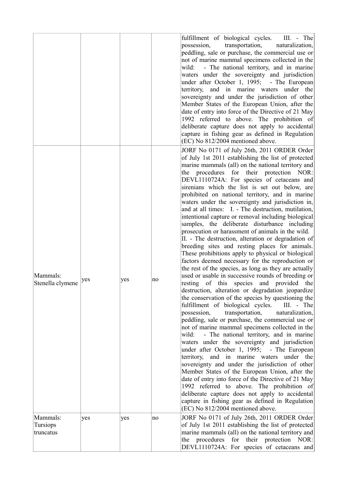|                                   |     |     |    | fulfillment of biological cycles.<br>III. - The<br>possession,<br>transportation,<br>naturalization,<br>peddling, sale or purchase, the commercial use or<br>not of marine mammal specimens collected in the<br>- The national territory, and in marine<br>wild:<br>waters under the sovereignty and jurisdiction<br>under after October 1, 1995; - The European<br>territory, and in marine waters under the<br>sovereignty and under the jurisdiction of other<br>Member States of the European Union, after the<br>date of entry into force of the Directive of 21 May<br>1992 referred to above. The prohibition of<br>deliberate capture does not apply to accidental<br>capture in fishing gear as defined in Regulation<br>(EC) No 812/2004 mentioned above.                                                                                                                                                                                                                                                                                                                                                                                                                                                                                                                                                                                                                                                                                                                                                                                                                                                                                                                                                                                                                                                                                                                              |
|-----------------------------------|-----|-----|----|--------------------------------------------------------------------------------------------------------------------------------------------------------------------------------------------------------------------------------------------------------------------------------------------------------------------------------------------------------------------------------------------------------------------------------------------------------------------------------------------------------------------------------------------------------------------------------------------------------------------------------------------------------------------------------------------------------------------------------------------------------------------------------------------------------------------------------------------------------------------------------------------------------------------------------------------------------------------------------------------------------------------------------------------------------------------------------------------------------------------------------------------------------------------------------------------------------------------------------------------------------------------------------------------------------------------------------------------------------------------------------------------------------------------------------------------------------------------------------------------------------------------------------------------------------------------------------------------------------------------------------------------------------------------------------------------------------------------------------------------------------------------------------------------------------------------------------------------------------------------------------------------------|
| Mammals:<br>Stenella clymene      | yes | yes | no | JORF No 0171 of July 26th, 2011 ORDER Order<br>of July 1st 2011 establishing the list of protected<br>marine mammals (all) on the national territory and<br>the procedures for their protection NOR:<br>DEVL1110724A: For species of cetaceans and<br>sirenians which the list is set out below, are<br>prohibited on national territory, and in marine<br>waters under the sovereignty and jurisdiction in,<br>and at all times: I. - The destruction, mutilation,<br>intentional capture or removal including biological<br>samples, the deliberate disturbance including<br>prosecution or harassment of animals in the wild.<br>II. - The destruction, alteration or degradation of<br>breeding sites and resting places for animals.<br>These prohibitions apply to physical or biological<br>factors deemed necessary for the reproduction or<br>the rest of the species, as long as they are actually<br>used or usable in successive rounds of breeding or<br>resting of this species and provided the<br>destruction, alteration or degradation jeopardize<br>the conservation of the species by questioning the<br>fulfillment of biological cycles.<br>III. - The<br>possession,<br>transportation,<br>naturalization,<br>peddling, sale or purchase, the commercial use or<br>not of marine mammal specimens collected in the<br>- The national territory, and in marine<br>wild:<br>waters under the sovereignty and jurisdiction<br>under after October 1, 1995; - The European<br>territory, and in marine waters under the<br>sovereignty and under the jurisdiction of other<br>Member States of the European Union, after the<br>date of entry into force of the Directive of 21 May<br>1992 referred to above. The prohibition of<br>deliberate capture does not apply to accidental<br>capture in fishing gear as defined in Regulation<br>(EC) No 812/2004 mentioned above. |
| Mammals:<br>Tursiops<br>truncatus | yes | yes | no | JORF No 0171 of July 26th, 2011 ORDER Order<br>of July 1st 2011 establishing the list of protected<br>marine mammals (all) on the national territory and<br>the procedures for their protection NOR:<br>DEVL1110724A: For species of cetaceans and                                                                                                                                                                                                                                                                                                                                                                                                                                                                                                                                                                                                                                                                                                                                                                                                                                                                                                                                                                                                                                                                                                                                                                                                                                                                                                                                                                                                                                                                                                                                                                                                                                               |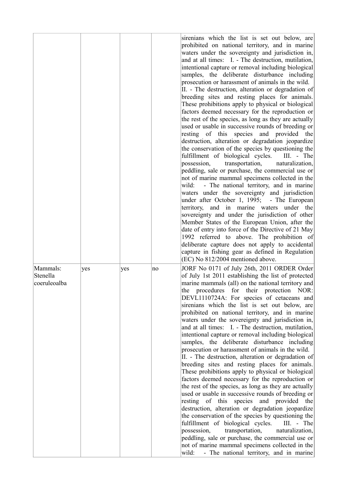|                                      |     |     |    | sirenians which the list is set out below, are<br>prohibited on national territory, and in marine<br>waters under the sovereignty and jurisdiction in,<br>and at all times: I. - The destruction, mutilation,<br>intentional capture or removal including biological<br>samples, the deliberate disturbance including<br>prosecution or harassment of animals in the wild.<br>II. - The destruction, alteration or degradation of<br>breeding sites and resting places for animals.<br>These prohibitions apply to physical or biological<br>factors deemed necessary for the reproduction or<br>the rest of the species, as long as they are actually<br>used or usable in successive rounds of breeding or<br>resting of this species and provided the<br>destruction, alteration or degradation jeopardize<br>the conservation of the species by questioning the<br>fulfillment of biological cycles.<br>III. - The<br>possession,<br>transportation,<br>naturalization,<br>peddling, sale or purchase, the commercial use or<br>not of marine mammal specimens collected in the<br>- The national territory, and in marine<br>wild:<br>waters under the sovereignty and jurisdiction<br>under after October 1, 1995; - The European<br>territory, and in marine waters under the<br>sovereignty and under the jurisdiction of other<br>Member States of the European Union, after the<br>date of entry into force of the Directive of 21 May<br>1992 referred to above. The prohibition of<br>deliberate capture does not apply to accidental<br>capture in fishing gear as defined in Regulation<br>(EC) No 812/2004 mentioned above. |
|--------------------------------------|-----|-----|----|--------------------------------------------------------------------------------------------------------------------------------------------------------------------------------------------------------------------------------------------------------------------------------------------------------------------------------------------------------------------------------------------------------------------------------------------------------------------------------------------------------------------------------------------------------------------------------------------------------------------------------------------------------------------------------------------------------------------------------------------------------------------------------------------------------------------------------------------------------------------------------------------------------------------------------------------------------------------------------------------------------------------------------------------------------------------------------------------------------------------------------------------------------------------------------------------------------------------------------------------------------------------------------------------------------------------------------------------------------------------------------------------------------------------------------------------------------------------------------------------------------------------------------------------------------------------------------------------------------------------------------------------|
| Mammals:<br>Stenella<br>coeruleoalba | yes | yes | no | JORF No 0171 of July 26th, 2011 ORDER Order<br>of July 1st 2011 establishing the list of protected<br>marine mammals (all) on the national territory and<br>procedures for their protection NOR:<br>the<br>DEVL1110724A: For species of cetaceans and<br>sirenians which the list is set out below, are<br>prohibited on national territory, and in marine<br>waters under the sovereignty and jurisdiction in,<br>and at all times: I. - The destruction, mutilation,<br>intentional capture or removal including biological<br>samples, the deliberate disturbance including<br>prosecution or harassment of animals in the wild.<br>II. - The destruction, alteration or degradation of<br>breeding sites and resting places for animals.<br>These prohibitions apply to physical or biological<br>factors deemed necessary for the reproduction or<br>the rest of the species, as long as they are actually<br>used or usable in successive rounds of breeding or<br>resting of this species and provided<br>the<br>destruction, alteration or degradation jeopardize<br>the conservation of the species by questioning the<br>fulfillment of biological cycles.<br>III. - The<br>naturalization,<br>possession,<br>transportation,<br>peddling, sale or purchase, the commercial use or<br>not of marine mammal specimens collected in the<br>- The national territory, and in marine<br>wild:                                                                                                                                                                                                                                        |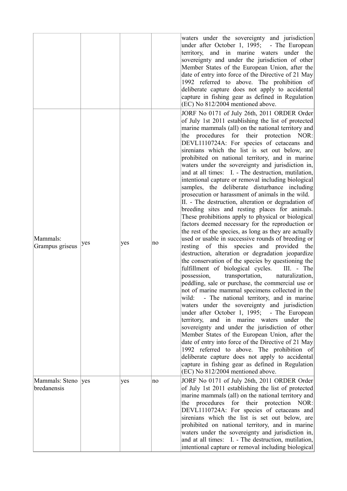|                                    |     |     |    | waters under the sovereignty and jurisdiction<br>under after October 1, 1995; - The European<br>territory, and in marine waters under the<br>sovereignty and under the jurisdiction of other<br>Member States of the European Union, after the<br>date of entry into force of the Directive of 21 May<br>1992 referred to above. The prohibition of<br>deliberate capture does not apply to accidental<br>capture in fishing gear as defined in Regulation<br>(EC) No 812/2004 mentioned above.                                                                                                                                                                                                                                                                                                                                                                                                                                                                                                                                                                                                                                                                                                                                                                                                                                                                                                                                                                                                                                                                                                                                                                                                                                                                                                                                                                                                    |
|------------------------------------|-----|-----|----|----------------------------------------------------------------------------------------------------------------------------------------------------------------------------------------------------------------------------------------------------------------------------------------------------------------------------------------------------------------------------------------------------------------------------------------------------------------------------------------------------------------------------------------------------------------------------------------------------------------------------------------------------------------------------------------------------------------------------------------------------------------------------------------------------------------------------------------------------------------------------------------------------------------------------------------------------------------------------------------------------------------------------------------------------------------------------------------------------------------------------------------------------------------------------------------------------------------------------------------------------------------------------------------------------------------------------------------------------------------------------------------------------------------------------------------------------------------------------------------------------------------------------------------------------------------------------------------------------------------------------------------------------------------------------------------------------------------------------------------------------------------------------------------------------------------------------------------------------------------------------------------------------|
| Mammals:<br>Grampus griseus        | yes | yes | no | JORF No 0171 of July 26th, 2011 ORDER Order<br>of July 1st 2011 establishing the list of protected<br>marine mammals (all) on the national territory and<br>the procedures for their protection NOR:<br>DEVL1110724A: For species of cetaceans and<br>sirenians which the list is set out below, are<br>prohibited on national territory, and in marine<br>waters under the sovereignty and jurisdiction in,<br>and at all times: I. - The destruction, mutilation,<br>intentional capture or removal including biological<br>samples, the deliberate disturbance including<br>prosecution or harassment of animals in the wild.<br>II. - The destruction, alteration or degradation of<br>breeding sites and resting places for animals.<br>These prohibitions apply to physical or biological<br>factors deemed necessary for the reproduction or<br>the rest of the species, as long as they are actually<br>used or usable in successive rounds of breeding or<br>resting of this species and provided the<br>destruction, alteration or degradation jeopardize<br>the conservation of the species by questioning the<br>fulfillment of biological cycles.<br>$III. - The$<br>transportation,<br>possession,<br>naturalization,<br>peddling, sale or purchase, the commercial use or<br>not of marine mammal specimens collected in the<br>- The national territory, and in marine<br>wild:<br>waters under the sovereignty and jurisdiction<br>under after October 1, 1995; - The European<br>territory, and in marine waters under the<br>sovereignty and under the jurisdiction of other<br>Member States of the European Union, after the<br>date of entry into force of the Directive of 21 May<br>1992 referred to above. The prohibition of<br>deliberate capture does not apply to accidental<br>capture in fishing gear as defined in Regulation<br>(EC) No 812/2004 mentioned above. |
| Mammals: Steno  yes<br>bredanensis |     | yes | no | JORF No 0171 of July 26th, 2011 ORDER Order<br>of July 1st 2011 establishing the list of protected<br>marine mammals (all) on the national territory and<br>the procedures for their protection NOR:<br>DEVL1110724A: For species of cetaceans and<br>sirenians which the list is set out below, are<br>prohibited on national territory, and in marine<br>waters under the sovereignty and jurisdiction in,<br>and at all times: I. - The destruction, mutilation,<br>intentional capture or removal including biological                                                                                                                                                                                                                                                                                                                                                                                                                                                                                                                                                                                                                                                                                                                                                                                                                                                                                                                                                                                                                                                                                                                                                                                                                                                                                                                                                                         |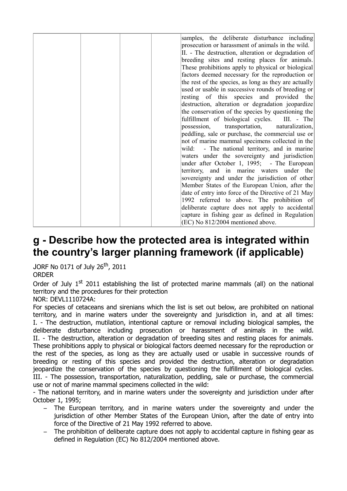|  | samples, the deliberate disturbance including         |
|--|-------------------------------------------------------|
|  | prosecution or harassment of animals in the wild.     |
|  | II. - The destruction, alteration or degradation of   |
|  | breeding sites and resting places for animals.        |
|  | These prohibitions apply to physical or biological    |
|  | factors deemed necessary for the reproduction or      |
|  | the rest of the species, as long as they are actually |
|  | used or usable in successive rounds of breeding or    |
|  |                                                       |
|  | resting of this species and provided the              |
|  | destruction, alteration or degradation jeopardize     |
|  | the conservation of the species by questioning the    |
|  | fulfillment of biological cycles. III. - The          |
|  | possession, transportation,<br>naturalization,        |
|  | peddling, sale or purchase, the commercial use or     |
|  | not of marine mammal specimens collected in the       |
|  | - The national territory, and in marine<br>wild:      |
|  | waters under the sovereignty and jurisdiction         |
|  | under after October 1, 1995; - The European           |
|  | territory, and in marine waters under the             |
|  | sovereignty and under the jurisdiction of other       |
|  |                                                       |
|  | Member States of the European Union, after the        |
|  | date of entry into force of the Directive of 21 May   |
|  | 1992 referred to above. The prohibition of            |
|  | deliberate capture does not apply to accidental       |
|  | capture in fishing gear as defined in Regulation      |
|  | (EC) No 812/2004 mentioned above.                     |
|  |                                                       |

### **g - Describe how the protected area is integrated within the country's larger planning framework (if applicable)**

JORF No 0171 of July 26th, 2011

#### ORDER

Order of July  $1<sup>st</sup>$  2011 establishing the list of protected marine mammals (all) on the national territory and the procedures for their protection

#### NOR: DEVL1110724A:

For species of cetaceans and sirenians which the list is set out below, are prohibited on national territory, and in marine waters under the sovereignty and jurisdiction in, and at all times: I. - The destruction, mutilation, intentional capture or removal including biological samples, the deliberate disturbance including prosecution or harassment of animals in the wild. II. - The destruction, alteration or degradation of breeding sites and resting places for animals. These prohibitions apply to physical or biological factors deemed necessary for the reproduction or the rest of the species, as long as they are actually used or usable in successive rounds of breeding or resting of this species and provided the destruction, alteration or degradation jeopardize the conservation of the species by questioning the fulfillment of biological cycles. III. - The possession, transportation, naturalization, peddling, sale or purchase, the commercial use or not of marine mammal specimens collected in the wild:

- The national territory, and in marine waters under the sovereignty and jurisdiction under after October 1, 1995;

- The European territory, and in marine waters under the sovereignty and under the jurisdiction of other Member States of the European Union, after the date of entry into force of the Directive of 21 May 1992 referred to above.
- The prohibition of deliberate capture does not apply to accidental capture in fishing gear as defined in Regulation (EC) No 812/2004 mentioned above.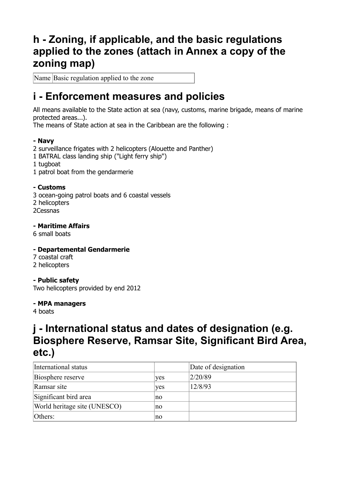## **h - Zoning, if applicable, and the basic regulations applied to the zones (attach in Annex a copy of the zoning map)**

Name Basic regulation applied to the zone

### **i - Enforcement measures and policies**

All means available to the State action at sea (navy, customs, marine brigade, means of marine protected areas...).

The means of State action at sea in the Caribbean are the following :

#### **- Navy**

- 2 surveillance frigates with 2 helicopters (Alouette and Panther)
- 1 BATRAL class landing ship ("Light ferry ship")
- 1 tugboat
- 1 patrol boat from the gendarmerie

#### **- Customs**

3 ocean-going patrol boats and 6 coastal vessels 2 helicopters 2Cessnas

#### **- Maritime Affairs**

6 small boats

#### **- Departemental Gendarmerie**

- 7 coastal craft
- 2 helicopters

#### **- Public safety**

Two helicopters provided by end 2012

#### **- MPA managers**

4 boats

## **j - International status and dates of designation (e.g. Biosphere Reserve, Ramsar Site, Significant Bird Area, etc.)**

| International status         |     | Date of designation |
|------------------------------|-----|---------------------|
| Biosphere reserve            | yes | 2/20/89             |
| Ramsar site                  | ves | 12/8/93             |
| Significant bird area        | no  |                     |
| World heritage site (UNESCO) | no  |                     |
| Others:                      | no  |                     |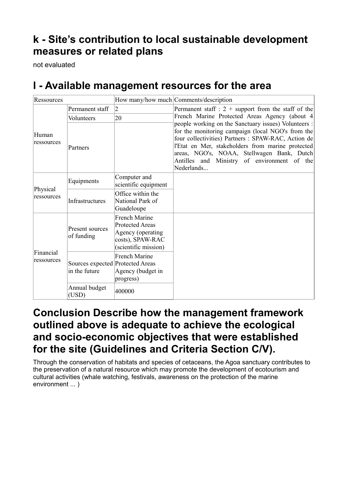## **k - Site's contribution to local sustainable development measures or related plans**

not evaluated

## **l - Available management resources for the area**

| Ressources              |                                                   |                                                                                                                 | How many/how much Comments/description                                                                                                                                                                                                                                                                                           |  |
|-------------------------|---------------------------------------------------|-----------------------------------------------------------------------------------------------------------------|----------------------------------------------------------------------------------------------------------------------------------------------------------------------------------------------------------------------------------------------------------------------------------------------------------------------------------|--|
| Human<br>ressources     | Permanent staff                                   | $\overline{2}$                                                                                                  | Permanent staff : $2 +$ support from the staff of the                                                                                                                                                                                                                                                                            |  |
|                         | Volunteers                                        | 20                                                                                                              | French Marine Protected Areas Agency (about 4)                                                                                                                                                                                                                                                                                   |  |
|                         | Partners                                          |                                                                                                                 | people working on the Sanctuary issues) Volunteers :<br>for the monitoring campaign (local NGO's from the<br>four collectivities) Partners : SPAW-RAC, Action de<br>l'Etat en Mer, stakeholders from marine protected<br>areas, NGO's, NOAA, Stellwagen Bank, Dutch<br>Antilles and Ministry of environment of the<br>Nederlands |  |
| Physical<br>ressources  | Equipments                                        | Computer and<br>scientific equipment                                                                            |                                                                                                                                                                                                                                                                                                                                  |  |
|                         | Infrastructures                                   | Office within the<br>National Park of<br>Guadeloupe                                                             |                                                                                                                                                                                                                                                                                                                                  |  |
| Financial<br>ressources | Present sources<br>of funding                     | <b>French Marine</b><br><b>Protected Areas</b><br>Agency (operating<br>costs), SPAW-RAC<br>(scientific mission) |                                                                                                                                                                                                                                                                                                                                  |  |
|                         | Sources expected Protected Areas<br>in the future | <b>French Marine</b><br>Agency (budget in<br>progress)                                                          |                                                                                                                                                                                                                                                                                                                                  |  |
|                         | Annual budget<br>(USD)                            | 400000                                                                                                          |                                                                                                                                                                                                                                                                                                                                  |  |

### **Conclusion Describe how the management framework outlined above is adequate to achieve the ecological and socio-economic objectives that were established for the site (Guidelines and Criteria Section C/V).**

Through the conservation of habitats and species of cetaceans, the Agoa sanctuary contributes to the preservation of a natural resource which may promote the development of ecotourism and cultural activities (whale watching, festivals, awareness on the protection of the marine environment ... )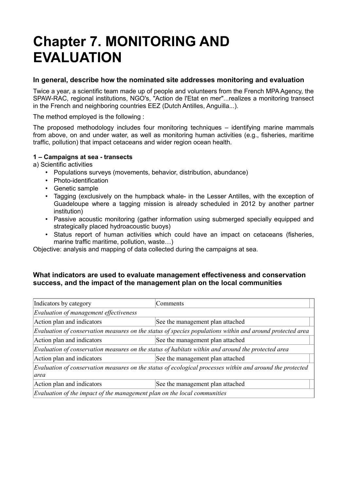# **Chapter 7. MONITORING AND EVALUATION**

#### **In general, describe how the nominated site addresses monitoring and evaluation**

Twice a year, a scientific team made up of people and volunteers from the French MPA Agency, the SPAW-RAC, regional institutions, NGO's, "Action de l'Etat en mer"...realizes a monitoring transect in the French and neighboring countries EEZ (Dutch Antilles, Anguilla...).

The method employed is the following :

The proposed methodology includes four monitoring techniques – identifying marine mammals from above, on and under water, as well as monitoring human activities (e.g., fisheries, maritime traffic, pollution) that impact cetaceans and wider region ocean health.

#### **1 – Campaigns at sea - transects**

a) Scientific activities

- Populations surveys (movements, behavior, distribution, abundance)
- Photo-identification
- Genetic sample
- Tagging (exclusively on the humpback whale- in the Lesser Antilles, with the exception of Guadeloupe where a tagging mission is already scheduled in 2012 by another partner institution)
- Passive acoustic monitoring (gather information using submerged specially equipped and strategically placed hydroacoustic buoys)
- Status report of human activities which could have an impact on cetaceans (fisheries, marine traffic maritime, pollution, waste…)

Objective: analysis and mapping of data collected during the campaigns at sea.

#### **What indicators are used to evaluate management effectiveness and conservation success, and the impact of the management plan on the local communities**

| Indicators by category                                                                                             | Comments                         |  |  |  |
|--------------------------------------------------------------------------------------------------------------------|----------------------------------|--|--|--|
| Evaluation of management effectiveness                                                                             |                                  |  |  |  |
| Action plan and indicators                                                                                         | See the management plan attached |  |  |  |
| $E$ valuation of conservation measures on the status of species populations within and around protected area       |                                  |  |  |  |
| Action plan and indicators                                                                                         | See the management plan attached |  |  |  |
| $ E$ valuation of conservation measures on the status of habitats within and around the protected area             |                                  |  |  |  |
| Action plan and indicators<br>See the management plan attached                                                     |                                  |  |  |  |
| Evaluation of conservation measures on the status of ecological processes within and around the protected<br>larea |                                  |  |  |  |
| Action plan and indicators                                                                                         | See the management plan attached |  |  |  |
| $\mathbb E$ valuation of the impact of the management plan on the local communities                                |                                  |  |  |  |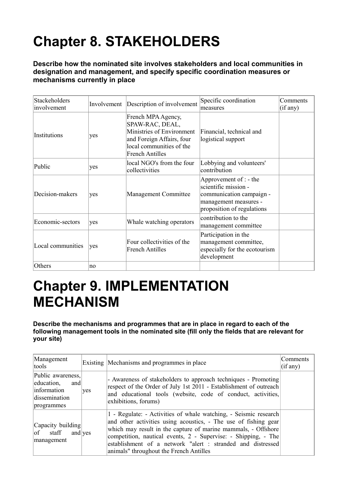# **Chapter 8. STAKEHOLDERS**

**Describe how the nominated site involves stakeholders and local communities in designation and management, and specify specific coordination measures or mechanisms currently in place** 

| Stackeholders<br>involvement | Involvement | Description of involvement                                                                                                                            | Specific coordination<br>measures                                                                                                 | Comments<br>(if any) |
|------------------------------|-------------|-------------------------------------------------------------------------------------------------------------------------------------------------------|-----------------------------------------------------------------------------------------------------------------------------------|----------------------|
| Institutions                 | yes         | French MPA Agency,<br>SPAW-RAC, DEAL,<br>Ministries of Environment<br>and Foreign Affairs, four<br>local communities of the<br><b>French Antilles</b> | Financial, technical and<br>logistical support                                                                                    |                      |
| Public                       | yes         | local NGO's from the four<br>collectivities                                                                                                           | Lobbying and volunteers'<br>contribution                                                                                          |                      |
| Decision-makers              | yes         | Management Committee                                                                                                                                  | Approvement of : - the<br>scientific mission -<br>communication campaign -<br>management measures -<br>proposition of regulations |                      |
| Economic-sectors             | yes         | Whale watching operators                                                                                                                              | contribution to the<br>management committee                                                                                       |                      |
| Local communities            | yes         | Four collectivities of the<br>French Antilles                                                                                                         | Participation in the<br>management committee,<br>especially for the ecotourism<br>development                                     |                      |
| Others                       | no          |                                                                                                                                                       |                                                                                                                                   |                      |

# **Chapter 9. IMPLEMENTATION MECHANISM**

**Describe the mechanisms and programmes that are in place in regard to each of the following management tools in the nominated site (fill only the fields that are relevant for your site)** 

| Management<br>tools                                                                  |     | Existing Mechanisms and programmes in place                                                                                                                                                                                                                                                                                                                                      | Comments<br>(if any) |
|--------------------------------------------------------------------------------------|-----|----------------------------------------------------------------------------------------------------------------------------------------------------------------------------------------------------------------------------------------------------------------------------------------------------------------------------------------------------------------------------------|----------------------|
| Public awareness,<br>education,<br>and<br>information<br>dissemination<br>programmes | yes | - Awareness of stakeholders to approach techniques - Promoting<br>respect of the Order of July 1st 2011 - Establishment of outreach<br>and educational tools (website, code of conduct, activities,<br>exhibitions, forums)                                                                                                                                                      |                      |
| Capacity building<br>$ $ of staff<br>and $\vee$ es<br>management                     |     | 1 - Regulate: - Activities of whale watching, - Seismic research<br>and other activities using acoustics, - The use of fishing gear<br>which may result in the capture of marine mammals, - Offshore<br>competition, nautical events, 2 - Supervise: - Shipping, - The<br>establishment of a network "alert : stranded and distressed<br>animals" throughout the French Antilles |                      |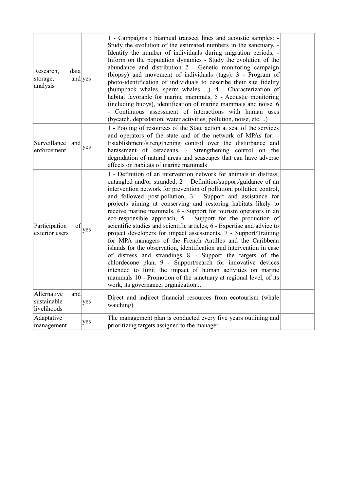| Research,<br>data<br>and yes<br>storage,<br>analysis |     | 1 - Campaigns : biannual transect lines and acoustic samples: -<br>Study the evolution of the estimated numbers in the sanctuary, -<br>Identify the number of individuals during migration periods, -<br>Inform on the population dynamics - Study the evolution of the<br>abundance and distribution 2 - Genetic monitoring campaign<br>(biopsy) and movement of individuals (tags). 3 - Program of<br>photo-identification of individuals to describe their site fidelity<br>(humpback whales, sperm whales ). 4 - Characterization of<br>habitat favorable for marine mammals, 5 - Acoustic monitoring<br>(including buoys), identification of marine mammals and noise. 6<br>- Continuous assessment of interactions with human uses<br>(bycatch, depredation, water activities, pollution, noise, etc. )                                                                                                                                                                                                                                                               |  |
|------------------------------------------------------|-----|-----------------------------------------------------------------------------------------------------------------------------------------------------------------------------------------------------------------------------------------------------------------------------------------------------------------------------------------------------------------------------------------------------------------------------------------------------------------------------------------------------------------------------------------------------------------------------------------------------------------------------------------------------------------------------------------------------------------------------------------------------------------------------------------------------------------------------------------------------------------------------------------------------------------------------------------------------------------------------------------------------------------------------------------------------------------------------|--|
| Surveillance and<br>enforcement                      | yes | 1 - Pooling of resources of the State action at sea, of the services<br>and operators of the state and of the network of MPAs for: -<br>Establishment/strengthening control over the disturbance and<br>harassment of cetaceans, - Strengthening control on the<br>degradation of natural areas and seascapes that can have adverse<br>effects on habitats of marine mammals                                                                                                                                                                                                                                                                                                                                                                                                                                                                                                                                                                                                                                                                                                |  |
| Participation<br>of<br>exterior users                | yes | 1 - Definition of an intervention network for animals in distress,<br>entangled and/or stranded, $2 - Definition/support/guidance$ of an<br>intervention network for prevention of pollution, pollution control,<br>and followed post-pollution, 3 - Support and assistance for<br>projects aiming at conserving and restoring habitats likely to<br>receive marine mammals, 4 - Support for tourism operators in an<br>eco-responsible approach, 5 - Support for the production of<br>scientific studies and scientific articles, 6 - Expertise and advice to<br>project developers for impact assessments, 7 - Support/Training<br>for MPA managers of the French Antilles and the Caribbean<br>islands for the observation, identification and intervention in case<br>of distress and strandings 8 - Support the targets of the<br>chlordecone plan, 9 - Support/search for innovative devices<br>intended to limit the impact of human activities on marine<br>mammals 10 - Promotion of the sanctuary at regional level, of its<br>work, its governance, organization |  |
| Alternative<br>and<br>sustainable<br>livelihoods     | yes | Direct and indirect financial resources from ecotourism (whale<br>watching)                                                                                                                                                                                                                                                                                                                                                                                                                                                                                                                                                                                                                                                                                                                                                                                                                                                                                                                                                                                                 |  |
| Adaptative<br>management                             | yes | The management plan is conducted every five years outlining and<br>prioritizing targets assigned to the manager.                                                                                                                                                                                                                                                                                                                                                                                                                                                                                                                                                                                                                                                                                                                                                                                                                                                                                                                                                            |  |